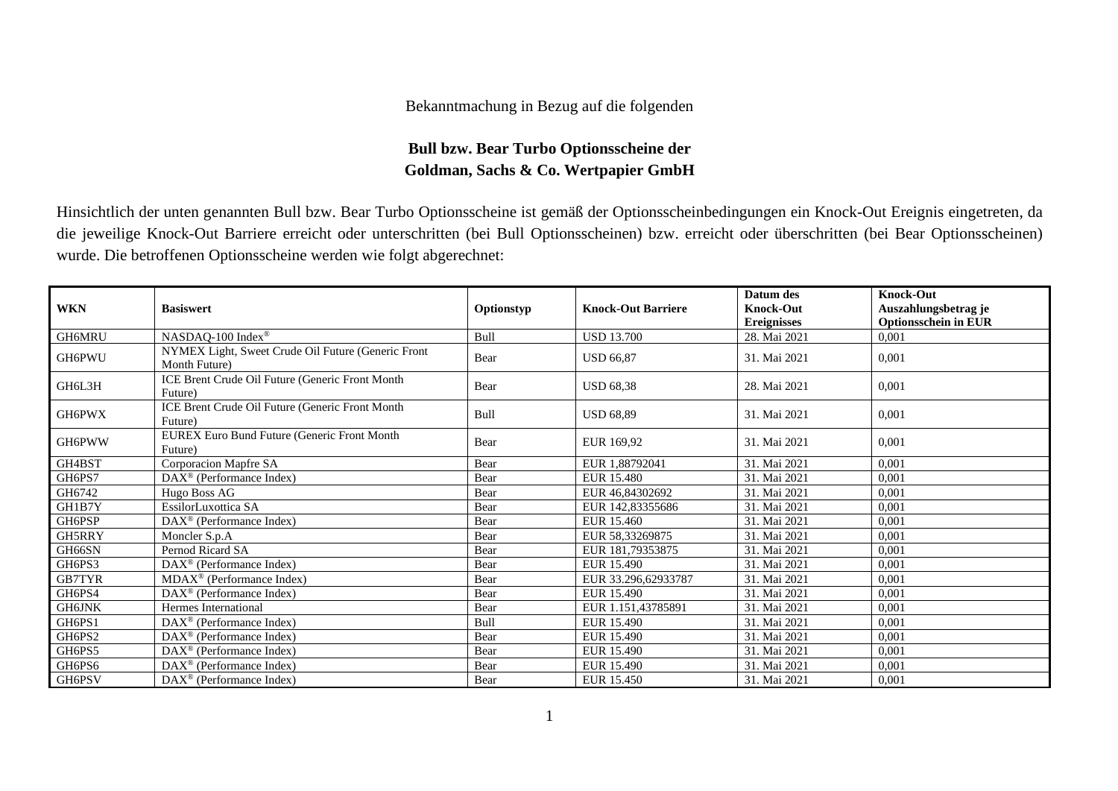## Bekanntmachung in Bezug auf die folgenden

## **Bull bzw. Bear Turbo Optionsscheine der Goldman, Sachs & Co. Wertpapier GmbH**

Hinsichtlich der unten genannten Bull bzw. Bear Turbo Optionsscheine ist gemäß der Optionsscheinbedingungen ein Knock-Out Ereignis eingetreten, da die jeweilige Knock-Out Barriere erreicht oder unterschritten (bei Bull Optionsscheinen) bzw. erreicht oder überschritten (bei Bear Optionsscheinen) wurde. Die betroffenen Optionsscheine werden wie folgt abgerechnet:

| <b>WKN</b>    | <b>Basiswert</b>                                                    | Optionstyp | <b>Knock-Out Barriere</b> | Datum des<br><b>Knock-Out</b> | <b>Knock-Out</b><br>Auszahlungsbetrag je |
|---------------|---------------------------------------------------------------------|------------|---------------------------|-------------------------------|------------------------------------------|
|               |                                                                     |            |                           | <b>Ereignisses</b>            | <b>Optionsschein in EUR</b>              |
| GH6MRU        | NASDAQ-100 Index®                                                   | Bull       | <b>USD 13.700</b>         | 28. Mai 2021                  | 0.001                                    |
| GH6PWU        | NYMEX Light, Sweet Crude Oil Future (Generic Front<br>Month Future) | Bear       | <b>USD 66,87</b>          | 31. Mai 2021                  | 0,001                                    |
| GH6L3H        | ICE Brent Crude Oil Future (Generic Front Month<br>Future)          | Bear       | <b>USD 68.38</b>          | 28. Mai 2021                  | 0.001                                    |
| GH6PWX        | ICE Brent Crude Oil Future (Generic Front Month<br>Future)          | Bull       | <b>USD 68.89</b>          | 31. Mai 2021                  | 0.001                                    |
| GH6PWW        | <b>EUREX Euro Bund Future (Generic Front Month</b><br>Future)       | Bear       | EUR 169.92                | 31. Mai 2021                  | 0.001                                    |
| GH4BST        | Corporacion Mapfre SA                                               | Bear       | EUR 1,88792041            | 31. Mai 2021                  | 0.001                                    |
| GH6PS7        | DAX <sup>®</sup> (Performance Index)                                | Bear       | EUR 15.480                | 31. Mai 2021                  | 0,001                                    |
| GH6742        | Hugo Boss AG                                                        | Bear       | EUR 46,84302692           | 31. Mai 2021                  | 0,001                                    |
| GH1B7Y        | EssilorLuxottica SA                                                 | Bear       | EUR 142,83355686          | 31. Mai 2021                  | 0,001                                    |
| GH6PSP        | DAX <sup>®</sup> (Performance Index)                                | Bear       | EUR 15.460                | 31. Mai 2021                  | 0,001                                    |
| GH5RRY        | Moncler S.p.A                                                       | Bear       | EUR 58.33269875           | 31. Mai 2021                  | 0,001                                    |
| GH66SN        | Pernod Ricard SA                                                    | Bear       | EUR 181,79353875          | 31. Mai 2021                  | 0,001                                    |
| GH6PS3        | DAX <sup>®</sup> (Performance Index)                                | Bear       | EUR 15.490                | 31. Mai 2021                  | 0,001                                    |
| <b>GB7TYR</b> | $MDAX^{\circledcirc}$ (Performance Index)                           | Bear       | EUR 33.296.62933787       | 31. Mai 2021                  | 0,001                                    |
| GH6PS4        | $DAX^{\circledcirc}$ (Performance Index)                            | Bear       | EUR 15.490                | 31. Mai 2021                  | 0.001                                    |
| <b>GH6JNK</b> | Hermes International                                                | Bear       | EUR 1.151,43785891        | 31. Mai 2021                  | 0,001                                    |
| GH6PS1        | $\text{DAX}^{\circledast}$ (Performance Index)                      | Bull       | EUR 15.490                | 31. Mai 2021                  | 0,001                                    |
| GH6PS2        | $DAX^{\circledcirc}$ (Performance Index)                            | Bear       | EUR 15.490                | 31. Mai 2021                  | 0,001                                    |
| GH6PS5        | $DAX^{\circledast}$ (Performance Index)                             | Bear       | EUR 15.490                | 31. Mai 2021                  | 0,001                                    |
| GH6PS6        | DAX <sup>®</sup> (Performance Index)                                | Bear       | EUR 15.490                | 31. Mai 2021                  | 0,001                                    |
| GH6PSV        | $DAX^{\circledcirc}$ (Performance Index)                            | Bear       | EUR 15.450                | 31. Mai 2021                  | 0,001                                    |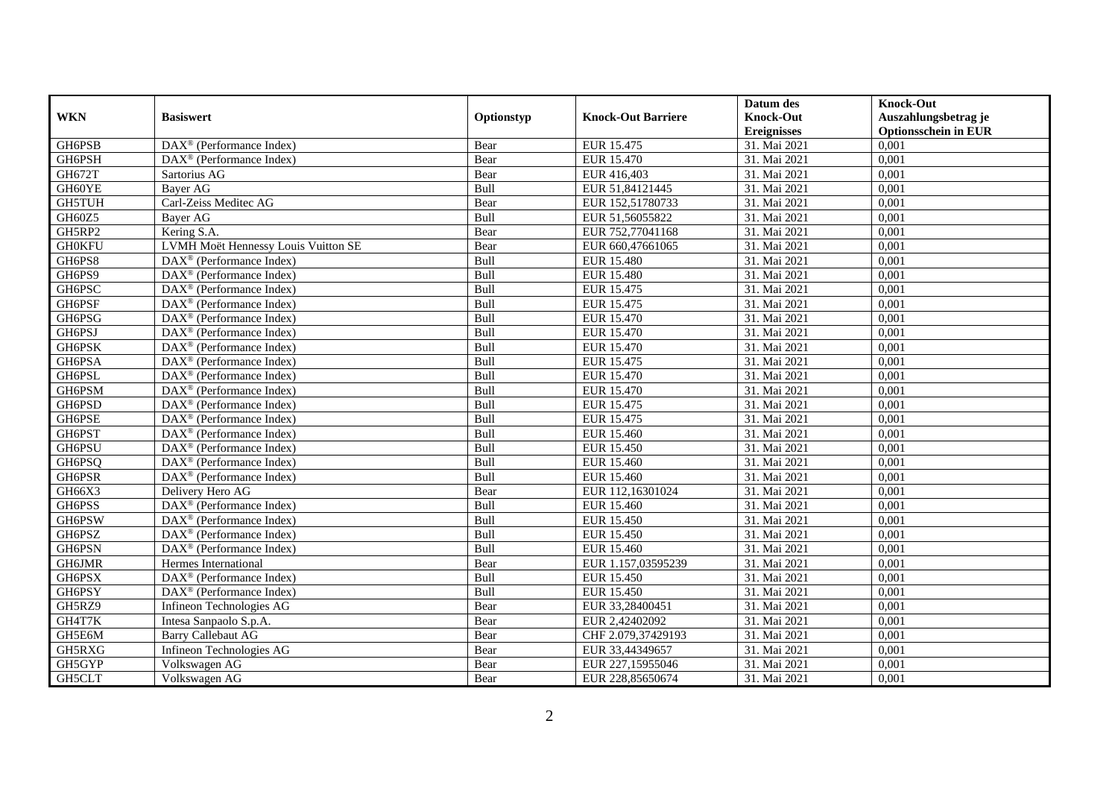|               |                                                              |            |                           | Datum des          | <b>Knock-Out</b>            |
|---------------|--------------------------------------------------------------|------------|---------------------------|--------------------|-----------------------------|
| <b>WKN</b>    | <b>Basiswert</b>                                             | Optionstyp | <b>Knock-Out Barriere</b> | <b>Knock-Out</b>   | Auszahlungsbetrag je        |
|               |                                                              |            |                           | <b>Ereignisses</b> | <b>Optionsschein in EUR</b> |
| GH6PSB        | DAX <sup>®</sup> (Performance Index)                         | Bear       | EUR 15.475                | 31. Mai 2021       | 0,001                       |
| GH6PSH        | $\overline{\text{DAX}}^{\textcircled{}}$ (Performance Index) | Bear       | <b>EUR 15.470</b>         | 31. Mai 2021       | 0,001                       |
| GH672T        | Sartorius AG                                                 | Bear       | EUR 416,403               | 31. Mai 2021       | 0,001                       |
| GH60YE        | Bayer AG                                                     | Bull       | EUR 51,84121445           | 31. Mai 2021       | 0,001                       |
| <b>GH5TUH</b> | Carl-Zeiss Meditec AG                                        | Bear       | EUR 152,51780733          | 31. Mai 2021       | 0,001                       |
| GH60Z5        | Bayer AG                                                     | Bull       | EUR 51,56055822           | 31. Mai 2021       | 0,001                       |
| GH5RP2        | Kering S.A.                                                  | Bear       | EUR 752,77041168          | 31. Mai 2021       | 0,001                       |
| <b>GH0KFU</b> | <b>LVMH Moët Hennessy Louis Vuitton SE</b>                   | Bear       | EUR 660,47661065          | 31. Mai 2021       | 0,001                       |
| GH6PS8        | $\text{DAX}^{\textcircled{D}}$ (Performance Index)           | Bull       | <b>EUR 15.480</b>         | 31. Mai 2021       | 0,001                       |
| GH6PS9        | DAX <sup>®</sup> (Performance Index)                         | Bull       | <b>EUR 15.480</b>         | 31. Mai 2021       | 0,001                       |
| GH6PSC        | DAX <sup>®</sup> (Performance Index)                         | Bull       | EUR 15.475                | 31. Mai 2021       | 0,001                       |
| GH6PSF        | DAX <sup>®</sup> (Performance Index)                         | Bull       | EUR 15.475                | 31. Mai 2021       | 0,001                       |
| GH6PSG        | $\text{DAX}^{\circledast}$ (Performance Index)               | Bull       | EUR 15.470                | 31. Mai 2021       | 0,001                       |
| GH6PSJ        | DAX <sup>®</sup> (Performance Index)                         | Bull       | EUR 15.470                | 31. Mai 2021       | 0,001                       |
| GH6PSK        | DAX <sup>®</sup> (Performance Index)                         | Bull       | <b>EUR 15.470</b>         | 31. Mai 2021       | 0,001                       |
| GH6PSA        | DAX <sup>®</sup> (Performance Index)                         | Bull       | EUR 15.475                | 31. Mai 2021       | 0,001                       |
| GH6PSL        | $\text{DAX}^{\textcircled{p}}$ (Performance Index)           | Bull       | <b>EUR 15.470</b>         | 31. Mai 2021       | 0,001                       |
| GH6PSM        | $\overline{\text{DAX}^{\otimes}}$ (Performance Index)        | Bull       | <b>EUR 15.470</b>         | 31. Mai 2021       | 0,001                       |
| GH6PSD        | $\text{DAX}^{\textcircled{n}}$ (Performance Index)           | Bull       | EUR 15.475                | 31. Mai 2021       | 0,001                       |
| GH6PSE        | $\text{DAX}^{\textcircled{n}}$ (Performance Index)           | Bull       | EUR 15.475                | 31. Mai 2021       | 0,001                       |
| GH6PST        | DAX <sup>®</sup> (Performance Index)                         | Bull       | EUR 15.460                | 31. Mai 2021       | 0,001                       |
| GH6PSU        | $\overline{\text{DAX}^{\otimes}}$ (Performance Index)        | Bull       | <b>EUR 15.450</b>         | 31. Mai 2021       | 0,001                       |
| GH6PSQ        | DAX <sup>®</sup> (Performance Index)                         | Bull       | EUR 15.460                | 31. Mai 2021       | 0,001                       |
| GH6PSR        | DAX <sup>®</sup> (Performance Index)                         | Bull       | <b>EUR 15.460</b>         | 31. Mai 2021       | 0,001                       |
| GH66X3        | Delivery Hero AG                                             | Bear       | EUR 112,16301024          | 31. Mai 2021       | 0,001                       |
| GH6PSS        | DAX <sup>®</sup> (Performance Index)                         | Bull       | EUR 15.460                | 31. Mai 2021       | 0,001                       |
| GH6PSW        | DAX <sup>®</sup> (Performance Index)                         | Bull       | <b>EUR 15.450</b>         | 31. Mai 2021       | 0,001                       |
| GH6PSZ        | $\overline{\text{DAX}^{\otimes}}$ (Performance Index)        | Bull       | EUR 15.450                | 31. Mai 2021       | 0,001                       |
| GH6PSN        | DAX <sup>®</sup> (Performance Index)                         | Bull       | EUR 15.460                | 31. Mai 2021       | 0,001                       |
| GH6JMR        | Hermes International                                         | Bear       | EUR 1.157,03595239        | 31. Mai 2021       | 0.001                       |
| GH6PSX        | $\text{DAX}^{\textcircled{p}}$ (Performance Index)           | Bull       | <b>EUR 15.450</b>         | 31. Mai 2021       | 0,001                       |
| GH6PSY        | $\text{DAX}^{\textcircled{p}}$ (Performance Index)           | Bull       | EUR 15.450                | 31. Mai 2021       | 0,001                       |
| GH5RZ9        | Infineon Technologies AG                                     | Bear       | EUR 33,28400451           | 31. Mai 2021       | 0,001                       |
| GH4T7K        | Intesa Sanpaolo S.p.A.                                       | Bear       | EUR 2,42402092            | 31. Mai 2021       | 0,001                       |
| GH5E6M        | <b>Barry Callebaut AG</b>                                    | Bear       | CHF 2.079,37429193        | 31. Mai 2021       | 0,001                       |
| GH5RXG        | Infineon Technologies AG                                     | Bear       | EUR 33,44349657           | 31. Mai 2021       | 0,001                       |
| GH5GYP        | Volkswagen AG                                                | Bear       | EUR 227,15955046          | 31. Mai 2021       | 0,001                       |
| GH5CLT        | Volkswagen AG                                                | Bear       | EUR 228,85650674          | 31. Mai 2021       | 0,001                       |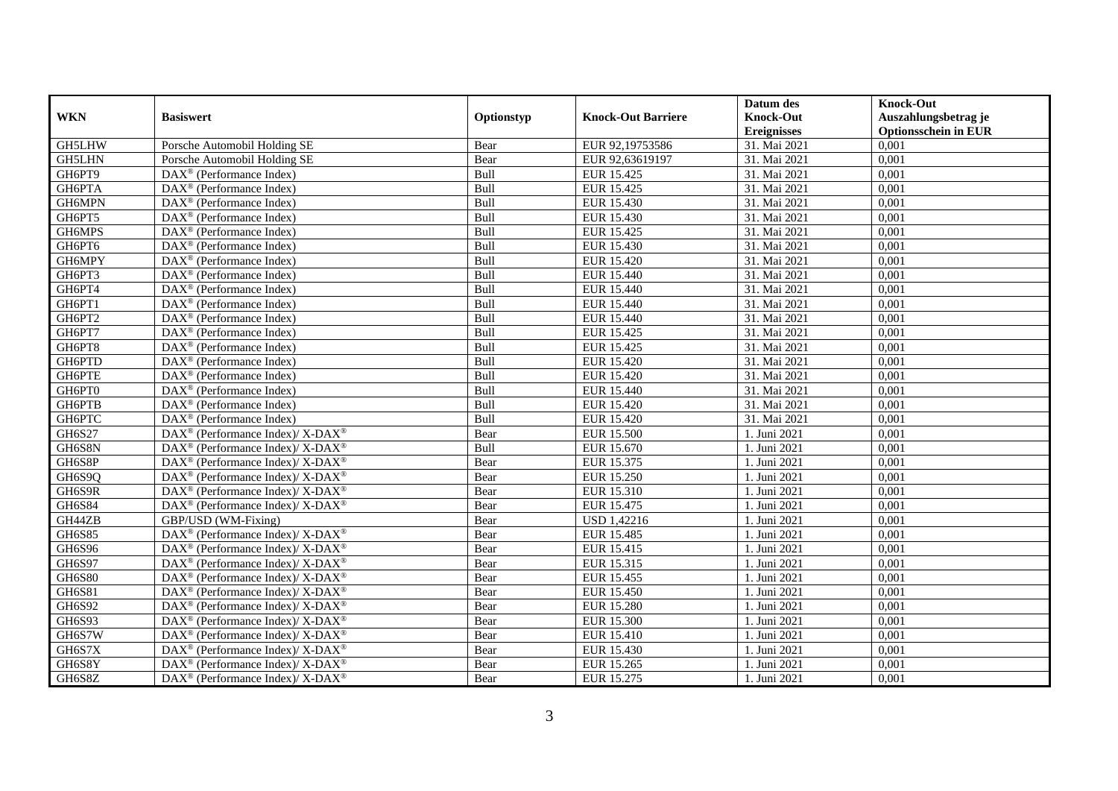|               |                                                                    |             |                           | Datum des          | <b>Knock-Out</b>            |
|---------------|--------------------------------------------------------------------|-------------|---------------------------|--------------------|-----------------------------|
| <b>WKN</b>    | <b>Basiswert</b>                                                   | Optionstyp  | <b>Knock-Out Barriere</b> | <b>Knock-Out</b>   | Auszahlungsbetrag je        |
|               |                                                                    |             |                           | <b>Ereignisses</b> | <b>Optionsschein in EUR</b> |
| GH5LHW        | Porsche Automobil Holding SE                                       | Bear        | EUR 92,19753586           | 31. Mai 2021       | 0,001                       |
| GH5LHN        | Porsche Automobil Holding SE                                       | Bear        | EUR 92,63619197           | 31. Mai 2021       | 0,001                       |
| GH6PT9        | $DAX^{\circledR}$ (Performance Index)                              | <b>Bull</b> | <b>EUR 15.425</b>         | 31. Mai 2021       | 0,001                       |
| GH6PTA        | DAX <sup>®</sup> (Performance Index)                               | Bull        | <b>EUR 15.425</b>         | 31. Mai 2021       | 0,001                       |
| GH6MPN        | DAX <sup>®</sup> (Performance Index)                               | Bull        | <b>EUR 15.430</b>         | 31. Mai 2021       | 0,001                       |
| GH6PT5        | $\text{DAX}^{\textcircled{p}}$ (Performance Index)                 | Bull        | EUR 15.430                | 31. Mai 2021       | 0,001                       |
| GH6MPS        | $\overline{\text{DAX}^{\otimes}}$ (Performance Index)              | Bull        | EUR 15.425                | 31. Mai 2021       | 0,001                       |
| GH6PT6        | $\text{DAX}^{\textcircled{n}}$ (Performance Index)                 | Bull        | EUR 15.430                | 31. Mai 2021       | 0,001                       |
| GH6MPY        | $DAX^{\circledR}$ (Performance Index)                              | Bull        | EUR 15.420                | 31. Mai 2021       | 0,001                       |
| GH6PT3        | $DAX^{\otimes}$ (Performance Index)                                | Bull        | EUR 15.440                | 31. Mai 2021       | 0,001                       |
| GH6PT4        | $\overline{\text{DAX}}^{\textcircled{}}$ (Performance Index)       | Bull        | EUR 15.440                | 31. Mai 2021       | 0,001                       |
| GH6PT1        | DAX <sup>®</sup> (Performance Index)                               | Bull        | EUR 15.440                | 31. Mai 2021       | 0,001                       |
| GH6PT2        | $\text{DAX}^{\circledast}$ (Performance Index)                     | Bull        | EUR 15.440                | 31. Mai 2021       | 0,001                       |
| GH6PT7        | DAX <sup>®</sup> (Performance Index)                               | Bull        | EUR 15.425                | 31. Mai 2021       | 0,001                       |
| GH6PT8        | $\text{DAX}^{\textcircled{n}}$ (Performance Index)                 | Bull        | EUR 15.425                | 31. Mai 2021       | 0,001                       |
| GH6PTD        | DAX <sup>®</sup> (Performance Index)                               | Bull        | <b>EUR 15.420</b>         | 31. Mai 2021       | 0,001                       |
| GH6PTE        | $\text{DAX}^{\textcircled{D}}$ (Performance Index)                 | Bull        | <b>EUR 15.420</b>         | 31. Mai 2021       | 0,001                       |
| GH6PT0        | DAX <sup>®</sup> (Performance Index)                               | Bull        | EUR 15.440                | 31. Mai 2021       | 0,001                       |
| GH6PTB        | $\text{DAX}^{\circledast}$ (Performance Index)                     | Bull        | <b>EUR 15.420</b>         | 31. Mai 2021       | 0,001                       |
| GH6PTC        | DAX <sup>®</sup> (Performance Index)                               | Bull        | EUR 15.420                | 31. Mai 2021       | 0,001                       |
| GH6S27        | $\text{DAX}^{\circledast}$ (Performance Index)/ X-DAX <sup>®</sup> | Bear        | <b>EUR 15.500</b>         | 1. Juni 2021       | 0,001                       |
| GH6S8N        | DAX <sup>®</sup> (Performance Index)/ X-DAX <sup>®</sup>           | Bull        | <b>EUR 15.670</b>         | 1. Juni 2021       | 0,001                       |
| GH6S8P        | $\text{DAX}^{\circledR}$ (Performance Index)/ X-DAX <sup>®</sup>   | Bear        | EUR 15.375                | 1. Juni 2021       | 0,001                       |
| GH6S9Q        | $\text{DAX}^{\circledR}$ (Performance Index)/ X-DAX <sup>®</sup>   | Bear        | <b>EUR 15.250</b>         | 1. Juni 2021       | 0,001                       |
| GH6S9R        | $\text{DAX}^{\circledast}$ (Performance Index)/ X-DAX <sup>®</sup> | Bear        | EUR 15.310                | 1. Juni 2021       | 0,001                       |
| GH6S84        | DAX <sup>®</sup> (Performance Index)/ X-DAX <sup>®</sup>           | Bear        | EUR 15.475                | 1. Juni 2021       | 0,001                       |
| GH44ZB        | GBP/USD (WM-Fixing)                                                | Bear        | <b>USD 1,42216</b>        | 1. Juni 2021       | 0,001                       |
| <b>GH6S85</b> | $\text{DAX}^{\circledR}$ (Performance Index)/ X-DAX <sup>®</sup>   | Bear        | <b>EUR 15.485</b>         | 1. Juni 2021       | 0,001                       |
| GH6S96        | $\text{DAX}^{\circledR}$ (Performance Index)/ X-DAX <sup>®</sup>   | Bear        | EUR 15.415                | 1. Juni 2021       | 0,001                       |
| GH6S97        | $\text{DAX}^{\circledR}$ (Performance Index)/ X-DAX <sup>®</sup>   | Bear        | EUR 15.315                | 1. Juni 2021       | 0,001                       |
| <b>GH6S80</b> | $\text{DAX}^{\circledast}$ (Performance Index)/ X-DAX <sup>®</sup> | Bear        | EUR 15.455                | 1. Juni 2021       | 0,001                       |
| GH6S81        | DAX <sup>®</sup> (Performance Index)/ X-DAX <sup>®</sup>           | Bear        | EUR 15.450                | . Juni 2021        | 0,001                       |
| GH6S92        | $\text{DAX}^{\circledast}$ (Performance Index)/ X-DAX <sup>®</sup> | Bear        | <b>EUR 15.280</b>         | 1. Juni 2021       | 0,001                       |
| GH6S93        | DAX <sup>®</sup> (Performance Index)/ X-DAX <sup>®</sup>           | Bear        | <b>EUR 15.300</b>         | 1. Juni 2021       | 0,001                       |
| GH6S7W        | DAX <sup>®</sup> (Performance Index)/ X-DAX <sup>®</sup>           | Bear        | <b>EUR 15.410</b>         | 1. Juni 2021       | 0,001                       |
| GH6S7X        | DAX <sup>®</sup> (Performance Index)/ X-DAX <sup>®</sup>           | Bear        | EUR 15.430                | 1. Juni 2021       | 0,001                       |
| GH6S8Y        | DAX <sup>®</sup> (Performance Index)/ X-DAX <sup>®</sup>           | Bear        | EUR 15.265                | 1. Juni 2021       | 0,001                       |
| GH6S8Z        | $\text{DAX}^{\circledast}$ (Performance Index)/ X-DAX <sup>®</sup> | Bear        | EUR 15.275                | 1. Juni 2021       | 0,001                       |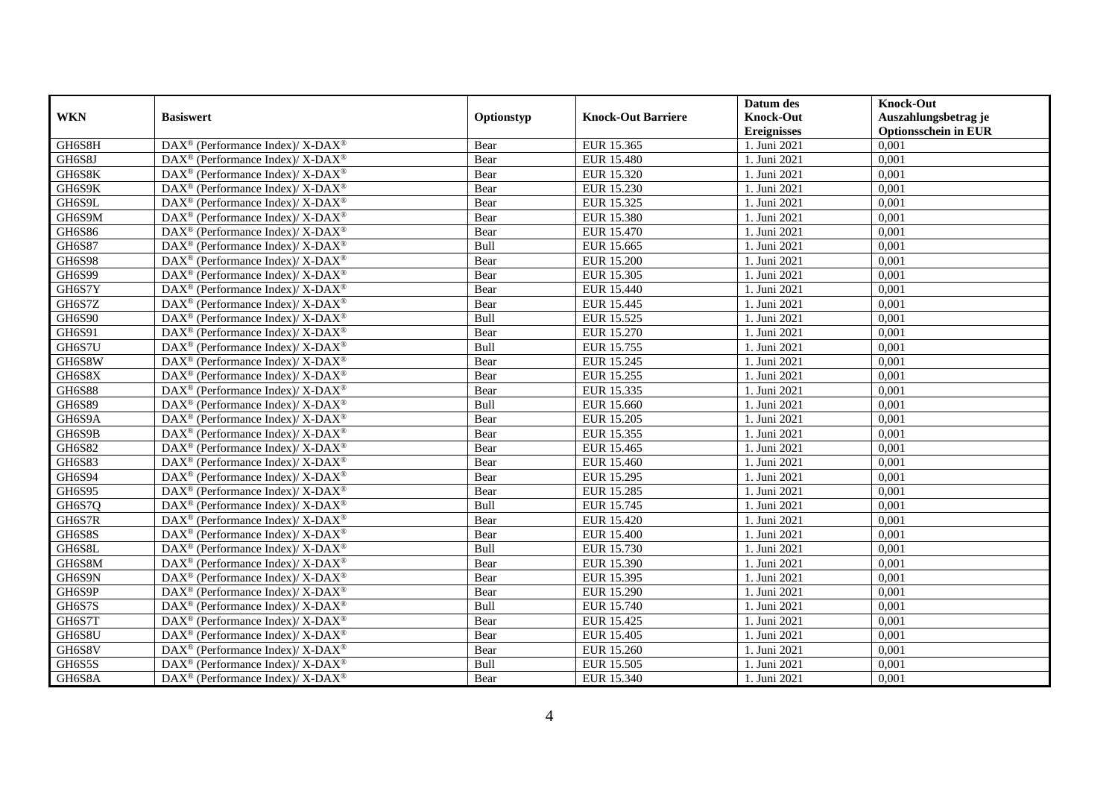|               |                                                                          |            |                           | Datum des          | <b>Knock-Out</b>            |
|---------------|--------------------------------------------------------------------------|------------|---------------------------|--------------------|-----------------------------|
| <b>WKN</b>    | <b>Basiswert</b>                                                         | Optionstyp | <b>Knock-Out Barriere</b> | <b>Knock-Out</b>   | Auszahlungsbetrag je        |
|               |                                                                          |            |                           | <b>Ereignisses</b> | <b>Optionsschein in EUR</b> |
| GH6S8H        | DAX <sup>®</sup> (Performance Index)/X-DAX <sup>®</sup>                  | Bear       | EUR 15.365                | 1. Juni 2021       | 0,001                       |
| GH6S8J        | $\text{DAX}^{\circledast}$ (Performance Index)/ X-DAX <sup>®</sup>       | Bear       | <b>EUR 15.480</b>         | 1. Juni 2021       | 0,001                       |
| GH6S8K        | $DAX^{\circledcirc}$ (Performance Index)/X-DAX <sup>®</sup>              | Bear       | EUR 15.320                | 1. Juni 2021       | 0,001                       |
| GH6S9K        | DAX <sup>®</sup> (Performance Index)/X-DAX <sup>®</sup>                  | Bear       | EUR 15.230                | 1. Juni 2021       | 0,001                       |
| GH6S9L        | DAX <sup>®</sup> (Performance Index)/ X-DAX <sup>®</sup>                 | Bear       | EUR 15.325                | 1. Juni 2021       | 0,001                       |
| GH6S9M        | DAX <sup>®</sup> (Performance Index)/ X-DAX <sup>®</sup>                 | Bear       | <b>EUR 15.380</b>         | 1. Juni 2021       | 0,001                       |
| GH6S86        | $\text{DAX}^{\circledast}$ (Performance Index)/ X-DAX <sup>®</sup>       | Bear       | EUR 15.470                | 1. Juni 2021       | 0,001                       |
| GH6S87        | DAX <sup>®</sup> (Performance Index)/ X-DAX <sup>®</sup>                 | Bull       | EUR 15.665                | 1. Juni 2021       | 0,001                       |
| <b>GH6S98</b> | $DAX^{\circledcirc}$ (Performance Index)/X-DAX <sup>®</sup>              | Bear       | <b>EUR 15.200</b>         | 1. Juni 2021       | 0,001                       |
| GH6S99        | $\overline{\text{DAX}^{\otimes}}$ (Performance Index)/X-DAX <sup>®</sup> | Bear       | EUR 15.305                | 1. Juni 2021       | 0,001                       |
| GH6S7Y        | $\text{DAX}^{\circledast}$ (Performance Index)/ X-DAX <sup>®</sup>       | Bear       | EUR 15.440                | 1. Juni 2021       | 0,001                       |
| GH6S7Z        | DAX <sup>®</sup> (Performance Index)/ X-DAX <sup>®</sup>                 | Bear       | EUR 15.445                | 1. Juni 2021       | 0,001                       |
| GH6S90        | $\text{DAX}^{\circledast}$ (Performance Index)/ X-DAX <sup>®</sup>       | Bull       | EUR 15.525                | 1. Juni 2021       | 0,001                       |
| GH6S91        | $\text{DAX}^{\circledast}$ (Performance Index)/ X-DAX <sup>®</sup>       | Bear       | EUR 15.270                | 1. Juni 2021       | 0,001                       |
| GH6S7U        | DAX <sup>®</sup> (Performance Index)/ X-DAX <sup>®</sup>                 | Bull       | EUR 15.755                | 1. Juni 2021       | 0,001                       |
| GH6S8W        | DAX <sup>®</sup> (Performance Index)/ X-DAX <sup>®</sup>                 | Bear       | EUR 15.245                | 1. Juni 2021       | 0,001                       |
| GH6S8X        | $DAX^{\circledcirc}$ (Performance Index)/ X-DAX <sup>®</sup>             | Bear       | EUR 15.255                | 1. Juni 2021       | 0,001                       |
| <b>GH6S88</b> | $\text{DAX}^{\circledast}$ (Performance Index)/ X-DAX <sup>®</sup>       | Bear       | EUR 15.335                | 1. Juni 2021       | 0,001                       |
| GH6S89        | DAX <sup>®</sup> (Performance Index)/X-DAX <sup>®</sup>                  | Bull       | EUR 15.660                | 1. Juni 2021       | 0,001                       |
| GH6S9A        | $\text{DAX}^{\circledast}$ (Performance Index)/ X-DAX <sup>®</sup>       | Bear       | EUR 15.205                | 1. Juni 2021       | 0,001                       |
| GH6S9B        | DAX <sup>®</sup> (Performance Index)/ X-DAX <sup>®</sup>                 | Bear       | EUR 15.355                | 1. Juni 2021       | 0,001                       |
| GH6S82        | $\text{DAX}^{\circledast}$ (Performance Index)/ X-DAX <sup>®</sup>       | Bear       | EUR 15.465                | 1. Juni 2021       | 0,001                       |
| <b>GH6S83</b> | $\text{DAX}^{\circledR}$ (Performance Index)/ X-DAX <sup>®</sup>         | Bear       | EUR 15.460                | 1. Juni 2021       | 0,001                       |
| GH6S94        | $\text{DAX}^{\circledast}$ (Performance Index)/ X-DAX <sup>®</sup>       | Bear       | EUR 15.295                | 1. Juni 2021       | 0,001                       |
| GH6S95        | $\text{DAX}^{\circledast}$ (Performance Index)/ X-DAX <sup>®</sup>       | Bear       | EUR 15.285                | 1. Juni 2021       | 0,001                       |
| GH6S7Q        | $\text{DAX}^{\circledast}$ (Performance Index)/ X-DAX <sup>®</sup>       | Bull       | EUR 15.745                | 1. Juni 2021       | 0,001                       |
| GH6S7R        | $DAX^{\circledcirc}$ (Performance Index)/X-DAX <sup>®</sup>              | Bear       | <b>EUR 15.420</b>         | 1. Juni $2021$     | 0,001                       |
| GH6S8S        | DAX <sup>®</sup> (Performance Index)/ X-DAX <sup>®</sup>                 | Bear       | <b>EUR 15.400</b>         | 1. Juni 2021       | 0,001                       |
| GH6S8L        | $\text{DAX}^{\circledast}$ (Performance Index)/ X-DAX <sup>®</sup>       | Bull       | EUR 15.730                | 1. Juni 2021       | 0,001                       |
| GH6S8M        | $\text{DAX}^{\circledR}$ (Performance Index)/ X-DAX <sup>®</sup>         | Bear       | EUR 15.390                | 1. Juni 2021       | 0,001                       |
| GH6S9N        | $\text{DAX}^{\circledast}$ (Performance Index)/ X-DAX <sup>®</sup>       | Bear       | EUR 15.395                | 1. Juni 2021       | 0,001                       |
| GH6S9P        | DAX <sup>®</sup> (Performance Index)/ X-DAX <sup>®</sup>                 | Bear       | EUR 15.290                | . Juni 2021        | 0,001                       |
| GH6S7S        | $\text{DAX}^{\circledast}$ (Performance Index)/ X-DAX <sup>®</sup>       | Bull       | EUR 15.740                | 1. Juni 2021       | 0,001                       |
| GH6S7T        | DAX <sup>®</sup> (Performance Index)/ X-DAX <sup>®</sup>                 | Bear       | <b>EUR 15.425</b>         | 1. Juni 2021       | 0,001                       |
| GH6S8U        | DAX <sup>®</sup> (Performance Index)/ X-DAX <sup>®</sup>                 | Bear       | EUR 15.405                | 1. Juni 2021       | 0,001                       |
| GH6S8V        | DAX <sup>®</sup> (Performance Index)/ X-DAX <sup>®</sup>                 | Bear       | EUR 15.260                | 1. Juni 2021       | 0,001                       |
| GH6S5S        | DAX <sup>®</sup> (Performance Index)/ X-DAX <sup>®</sup>                 | Bull       | EUR 15.505                | 1. Juni 2021       | 0,001                       |
| GH6S8A        | $\text{DAX}^{\circledast}$ (Performance Index)/ X-DAX <sup>®</sup>       | Bear       | EUR 15.340                | 1. Juni 2021       | 0,001                       |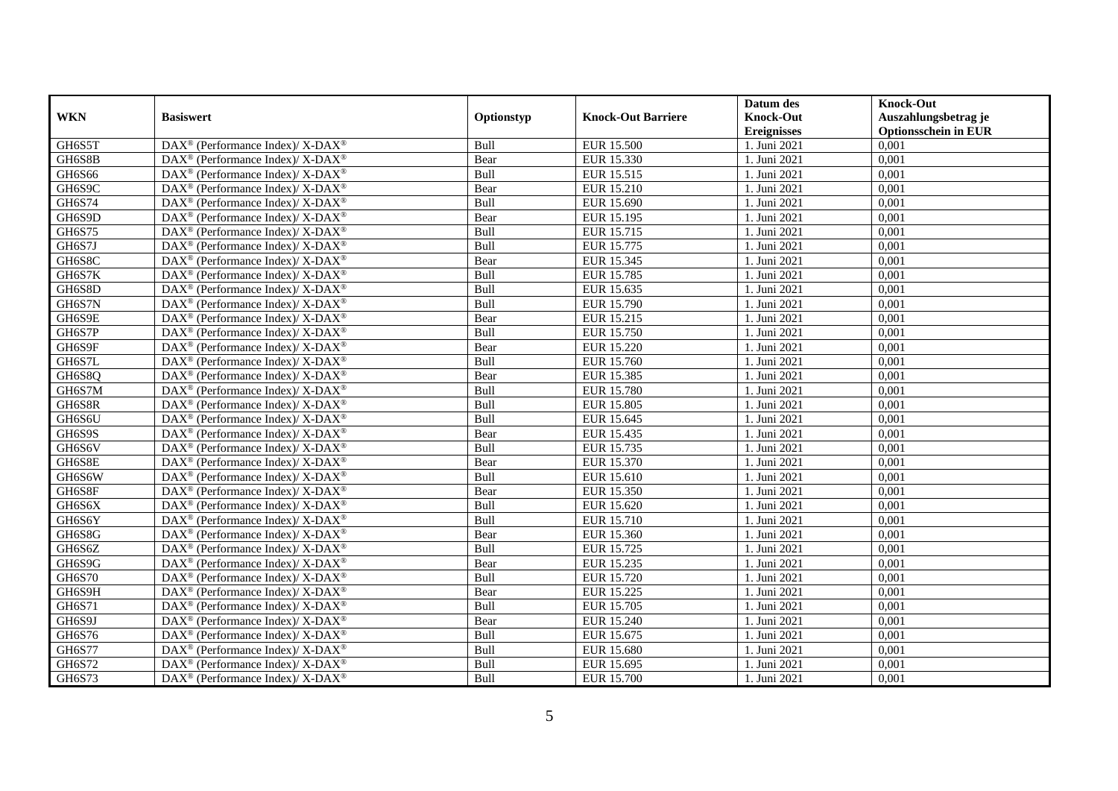|               |                                                                          |             |                           | Datum des          | <b>Knock-Out</b>            |
|---------------|--------------------------------------------------------------------------|-------------|---------------------------|--------------------|-----------------------------|
| <b>WKN</b>    | <b>Basiswert</b>                                                         | Optionstyp  | <b>Knock-Out Barriere</b> | <b>Knock-Out</b>   | Auszahlungsbetrag je        |
|               |                                                                          |             |                           | <b>Ereignisses</b> | <b>Optionsschein in EUR</b> |
| GH6S5T        | DAX <sup>®</sup> (Performance Index)/X-DAX <sup>®</sup>                  | Bull        | <b>EUR 15.500</b>         | 1. Juni 2021       | 0,001                       |
| GH6S8B        | $\text{DAX}^{\circledast}$ (Performance Index)/ X-DAX <sup>®</sup>       | Bear        | EUR 15.330                | 1. Juni 2021       | 0,001                       |
| GH6S66        | $DAX^{\circledcirc}$ (Performance Index)/X-DAX <sup>®</sup>              | <b>Bull</b> | EUR 15.515                | 1. Juni 2021       | 0,001                       |
| GH6S9C        | DAX <sup>®</sup> (Performance Index)/ X-DAX <sup>®</sup>                 | Bear        | EUR 15.210                | 1. Juni 2021       | 0,001                       |
| GH6S74        | DAX <sup>®</sup> (Performance Index)/ X-DAX <sup>®</sup>                 | Bull        | <b>EUR 15.690</b>         | 1. Juni 2021       | 0,001                       |
| GH6S9D        | DAX <sup>®</sup> (Performance Index)/ X-DAX <sup>®</sup>                 | Bear        | EUR 15.195                | 1. Juni 2021       | 0,001                       |
| GH6S75        | $\text{DAX}^{\circledast}$ (Performance Index)/ X-DAX <sup>®</sup>       | Bull        | EUR 15.715                | 1. Juni 2021       | 0,001                       |
| GH6S7J        | DAX <sup>®</sup> (Performance Index)/ X-DAX <sup>®</sup>                 | Bull        | EUR 15.775                | 1. Juni 2021       | 0,001                       |
| GH6S8C        | $DAX^{\circledcirc}$ (Performance Index)/X-DAX <sup>®</sup>              | Bear        | EUR 15.345                | 1. Juni 2021       | 0,001                       |
| GH6S7K        | $\overline{\text{DAX}^{\otimes}}$ (Performance Index)/X-DAX <sup>®</sup> | Bull        | EUR 15.785                | 1. Juni 2021       | 0,001                       |
| GH6S8D        | $\text{DAX}^{\circledast}$ (Performance Index)/ X-DAX <sup>®</sup>       | Bull        | EUR 15.635                | 1. Juni 2021       | 0,001                       |
| GH6S7N        | DAX <sup>®</sup> (Performance Index)/ X-DAX <sup>®</sup>                 | Bull        | EUR 15.790                | 1. Juni 2021       | 0,001                       |
| GH6S9E        | $\text{DAX}^{\circledast}$ (Performance Index)/ X-DAX <sup>®</sup>       | Bear        | EUR 15.215                | 1. Juni 2021       | 0,001                       |
| GH6S7P        | $\text{DAX}^{\circledast}$ (Performance Index)/ X-DAX <sup>®</sup>       | Bull        | EUR 15.750                | 1. Juni 2021       | 0,001                       |
| GH6S9F        | DAX <sup>®</sup> (Performance Index)/X-DAX <sup>®</sup>                  | Bear        | EUR 15.220                | 1. Juni 2021       | 0,001                       |
| GH6S7L        | $\text{DAX}^{\circledR}$ (Performance Index)/ X-DAX <sup>®</sup>         | Bull        | <b>EUR 15.760</b>         | 1. Juni 2021       | 0,001                       |
| GH6S8Q        | $DAX^{\circledast}$ (Performance Index)/ X-DAX <sup>®</sup>              | Bear        | EUR 15.385                | 1. Juni 2021       | 0,001                       |
| GH6S7M        | $\text{DAX}^{\circledast}$ (Performance Index)/ X-DAX <sup>®</sup>       | Bull        | <b>EUR 15.780</b>         | 1. Juni 2021       | 0,001                       |
| GH6S8R        | DAX <sup>®</sup> (Performance Index)/X-DAX <sup>®</sup>                  | Bull        | <b>EUR 15.805</b>         | 1. Juni 2021       | 0,001                       |
| GH6S6U        | $\text{DAX}^{\circledast}$ (Performance Index)/ X-DAX <sup>®</sup>       | Bull        | EUR 15.645                | 1. Juni 2021       | 0,001                       |
| GH6S9S        | DAX <sup>®</sup> (Performance Index)/ X-DAX <sup>®</sup>                 | Bear        | EUR 15.435                | 1. Juni 2021       | 0,001                       |
| GH6S6V        | $\text{DAX}^{\circledast}$ (Performance Index)/ X-DAX <sup>®</sup>       | Bull        | EUR 15.735                | 1. Juni 2021       | 0,001                       |
| GH6S8E        | $\text{DAX}^{\circledR}$ (Performance Index)/ X-DAX <sup>®</sup>         | Bear        | EUR 15.370                | 1. Juni 2021       | 0,001                       |
| GH6S6W        | $\text{DAX}^{\circledast}$ (Performance Index)/ X-DAX <sup>®</sup>       | Bull        | EUR 15.610                | 1. Juni 2021       | 0,001                       |
| GH6S8F        | $\text{DAX}^{\circledast}$ (Performance Index)/ X-DAX <sup>®</sup>       | Bear        | EUR 15.350                | 1. Juni 2021       | 0,001                       |
| GH6S6X        | DAX <sup>®</sup> (Performance Index)/ X-DAX <sup>®</sup>                 | Bull        | EUR 15.620                | 1. Juni 2021       | 0,001                       |
| GH6S6Y        | $DAX^{\circledcirc}$ (Performance Index)/X-DAX <sup>®</sup>              | Bull        | EUR 15.710                | 1. Juni $2021$     | 0,001                       |
| GH6S8G        | DAX <sup>®</sup> (Performance Index)/ X-DAX <sup>®</sup>                 | Bear        | EUR 15.360                | 1. Juni 2021       | 0,001                       |
| GH6S6Z        | $\text{DAX}^{\circledast}$ (Performance Index)/ X-DAX <sup>®</sup>       | Bull        | EUR 15.725                | 1. Juni 2021       | 0,001                       |
| GH6S9G        | DAX <sup>®</sup> (Performance Index)/ X-DAX <sup>®</sup>                 | Bear        | EUR 15.235                | 1. Juni 2021       | 0,001                       |
| GH6S70        | $\text{DAX}^{\circledast}$ (Performance Index)/ X-DAX <sup>®</sup>       | Bull        | EUR 15.720                | 1. Juni 2021       | 0,001                       |
| GH6S9H        | DAX <sup>®</sup> (Performance Index)/ X-DAX <sup>®</sup>                 | Bear        | EUR 15.225                | . Juni 2021        | 0,001                       |
| GH6S71        | $\text{DAX}^{\circledast}$ (Performance Index)/ X-DAX <sup>®</sup>       | Bull        | EUR 15.705                | 1. Juni 2021       | 0,001                       |
| GH6S9J        | DAX <sup>®</sup> (Performance Index)/ X-DAX <sup>®</sup>                 | Bear        | EUR 15.240                | 1. Juni 2021       | 0,001                       |
| GH6S76        | DAX <sup>®</sup> (Performance Index)/ X-DAX <sup>®</sup>                 | Bull        | EUR 15.675                | 1. Juni 2021       | 0,001                       |
| <b>GH6S77</b> | DAX <sup>®</sup> (Performance Index)/ X-DAX <sup>®</sup>                 | Bull        | EUR 15.680                | 1. Juni 2021       | 0,001                       |
| GH6S72        | DAX <sup>®</sup> (Performance Index)/ X-DAX <sup>®</sup>                 | Bull        | EUR 15.695                | 1. Juni 2021       | 0,001                       |
| GH6S73        | $\text{DAX}^{\circledast}$ (Performance Index)/ X-DAX <sup>®</sup>       | Bull        | EUR 15.700                | 1. Juni 2021       | 0,001                       |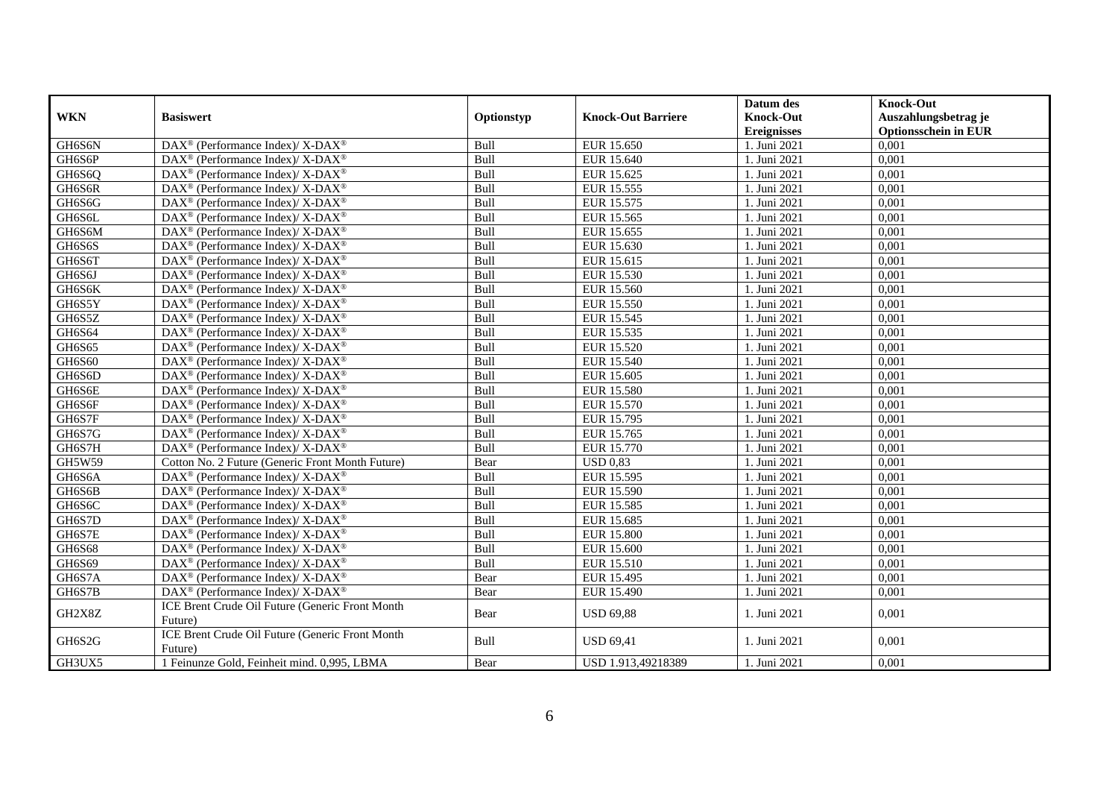|            |                                                                    |            |                           | Datum des                          | <b>Knock-Out</b>                     |
|------------|--------------------------------------------------------------------|------------|---------------------------|------------------------------------|--------------------------------------|
| <b>WKN</b> | <b>Basiswert</b>                                                   | Optionstyp | <b>Knock-Out Barriere</b> | <b>Knock-Out</b>                   | Auszahlungsbetrag je                 |
| GH6S6N     | DAX <sup>®</sup> (Performance Index)/ X-DAX <sup>®</sup>           | Bull       | EUR 15.650                | <b>Ereignisses</b><br>1. Juni 2021 | <b>Optionsschein in EUR</b><br>0,001 |
| GH6S6P     | DAX <sup>®</sup> (Performance Index)/ X-DAX <sup>®</sup>           | Bull       | EUR 15.640                | 1. Juni 2021                       | 0,001                                |
|            |                                                                    |            |                           |                                    |                                      |
| GH6S6Q     | $\text{DAX}^{\circledR}$ (Performance Index)/ X-DAX <sup>®</sup>   | Bull       | EUR 15.625                | 1. Juni 2021                       | 0,001                                |
| GH6S6R     | DAX <sup>®</sup> (Performance Index)/ X-DAX <sup>®</sup>           | Bull       | EUR 15.555                | 1. Juni 2021                       | 0,001                                |
| GH6S6G     | $\text{DAX}^{\circledast}$ (Performance Index)/ X-DAX <sup>®</sup> | Bull       | EUR 15.575                | 1. Juni 2021                       | 0,001                                |
| GH6S6L     | $\text{DAX}^{\circledast}$ (Performance Index)/ X-DAX <sup>®</sup> | Bull       | EUR 15.565                | 1. Juni 2021                       | 0,001                                |
| GH6S6M     | DAX <sup>®</sup> (Performance Index)/X-DAX <sup>®</sup>            | Bull       | EUR 15.655                | 1. Juni 2021                       | 0,001                                |
| GH6S6S     | DAX <sup>®</sup> (Performance Index)/ X-DAX <sup>®</sup>           | Bull       | EUR 15.630                | 1. Juni 2021                       | 0,001                                |
| GH6S6T     | DAX <sup>®</sup> (Performance Index)/ X-DAX <sup>®</sup>           | Bull       | EUR 15.615                | 1. Juni 2021                       | 0,001                                |
| GH6S6J     | DAX <sup>®</sup> (Performance Index)/ X-DAX <sup>®</sup>           | Bull       | EUR 15.530                | 1. Juni 2021                       | 0,001                                |
| GH6S6K     | $\text{DAX}^{\circledR}$ (Performance Index)/ X-DAX <sup>®</sup>   | Bull       | <b>EUR 15.560</b>         | 1. Juni 2021                       | 0,001                                |
| GH6S5Y     | DAX <sup>®</sup> (Performance Index)/ X-DAX <sup>®</sup>           | Bull       | <b>EUR 15.550</b>         | 1. Juni 2021                       | 0,001                                |
| GH6S5Z     | $\text{DAX}^{\circledast}$ (Performance Index)/ X-DAX <sup>®</sup> | Bull       | EUR 15.545                | 1. Juni 2021                       | 0,001                                |
| GH6S64     | $\text{DAX}^{\circledast}$ (Performance Index)/ X-DAX <sup>®</sup> | Bull       | EUR 15.535                | 1. Juni 2021                       | 0,001                                |
| GH6S65     | DAX <sup>®</sup> (Performance Index)/X-DAX <sup>®</sup>            | Bull       | EUR 15.520                | 1. Juni 2021                       | 0,001                                |
| GH6S60     | DAX <sup>®</sup> (Performance Index)/ X-DAX <sup>®</sup>           | Bull       | <b>EUR 15.540</b>         | 1. Juni 2021                       | 0,001                                |
| GH6S6D     | $\text{DAX}^{\circledR}$ (Performance Index)/ X-DAX <sup>®</sup>   | Bull       | EUR 15.605                | 1. Juni 2021                       | 0,001                                |
| GH6S6E     | DAX <sup>®</sup> (Performance Index)/ X-DAX <sup>®</sup>           | Bull       | <b>EUR 15.580</b>         | 1. Juni 2021                       | 0,001                                |
| GH6S6F     | DAX <sup>®</sup> (Performance Index)/ X-DAX <sup>®</sup>           | Bull       | EUR 15.570                | 1. Juni 2021                       | 0,001                                |
| GH6S7F     | DAX <sup>®</sup> (Performance Index)/X-DAX <sup>®</sup>            | Bull       | EUR 15.795                | 1. Juni 2021                       | 0,001                                |
| GH6S7G     | $\text{DAX}^{\circledast}$ (Performance Index)/ X-DAX <sup>®</sup> | Bull       | EUR 15.765                | 1. Juni 2021                       | 0,001                                |
| GH6S7H     | DAX <sup>®</sup> (Performance Index)/ X-DAX <sup>®</sup>           | Bull       | EUR 15.770                | 1. Juni 2021                       | 0,001                                |
| GH5W59     | Cotton No. 2 Future (Generic Front Month Future)                   | Bear       | <b>USD 0,83</b>           | 1. Juni 2021                       | 0,001                                |
| GH6S6A     | DAX <sup>®</sup> (Performance Index)/ X-DAX <sup>®</sup>           | Bull       | EUR 15.595                | 1. Juni 2021                       | 0,001                                |
| GH6S6B     | $\text{DAX}^{\circledR}$ (Performance Index)/ X-DAX <sup>®</sup>   | Bull       | EUR 15.590                | 1. Juni 2021                       | 0,001                                |
| GH6S6C     | DAX <sup>®</sup> (Performance Index)/ X-DAX <sup>®</sup>           | Bull       | EUR 15.585                | 1. Juni 2021                       | 0,001                                |
| GH6S7D     | DAX <sup>®</sup> (Performance Index)/ X-DAX <sup>®</sup>           | Bull       | EUR 15.685                | 1. Juni 2021                       | 0,001                                |
| GH6S7E     | DAX <sup>®</sup> (Performance Index)/ X-DAX <sup>®</sup>           | Bull       | <b>EUR 15.800</b>         | 1. Juni 2021                       | 0,001                                |
| GH6S68     | $\text{DAX}^{\circledast}$ (Performance Index)/ X-DAX <sup>®</sup> | Bull       | EUR 15.600                | 1. Juni 2021                       | 0,001                                |
| GH6S69     | DAX <sup>®</sup> (Performance Index)/ X-DAX <sup>®</sup>           | Bull       | EUR 15.510                | . Juni 2021                        | 0,001                                |
| GH6S7A     | DAX <sup>®</sup> (Performance Index)/ X-DAX <sup>®</sup>           | Bear       | EUR 15.495                | 1. Juni 2021                       | 0,001                                |
| GH6S7B     | DAX <sup>®</sup> (Performance Index)/ X-DAX <sup>®</sup>           | Bear       | EUR 15.490                | 1. Juni 2021                       | 0,001                                |
|            | ICE Brent Crude Oil Future (Generic Front Month                    |            |                           |                                    |                                      |
| GH2X8Z     | Future)                                                            | Bear       | <b>USD 69,88</b>          | 1. Juni 2021                       | 0,001                                |
| GH6S2G     | ICE Brent Crude Oil Future (Generic Front Month                    | Bull       | <b>USD 69,41</b>          | 1. Juni 2021                       | 0,001                                |
|            | Future)                                                            |            |                           |                                    |                                      |
| GH3UX5     | 1 Feinunze Gold, Feinheit mind. 0,995, LBMA                        | Bear       | USD 1.913,49218389        | 1. Juni 2021                       | 0,001                                |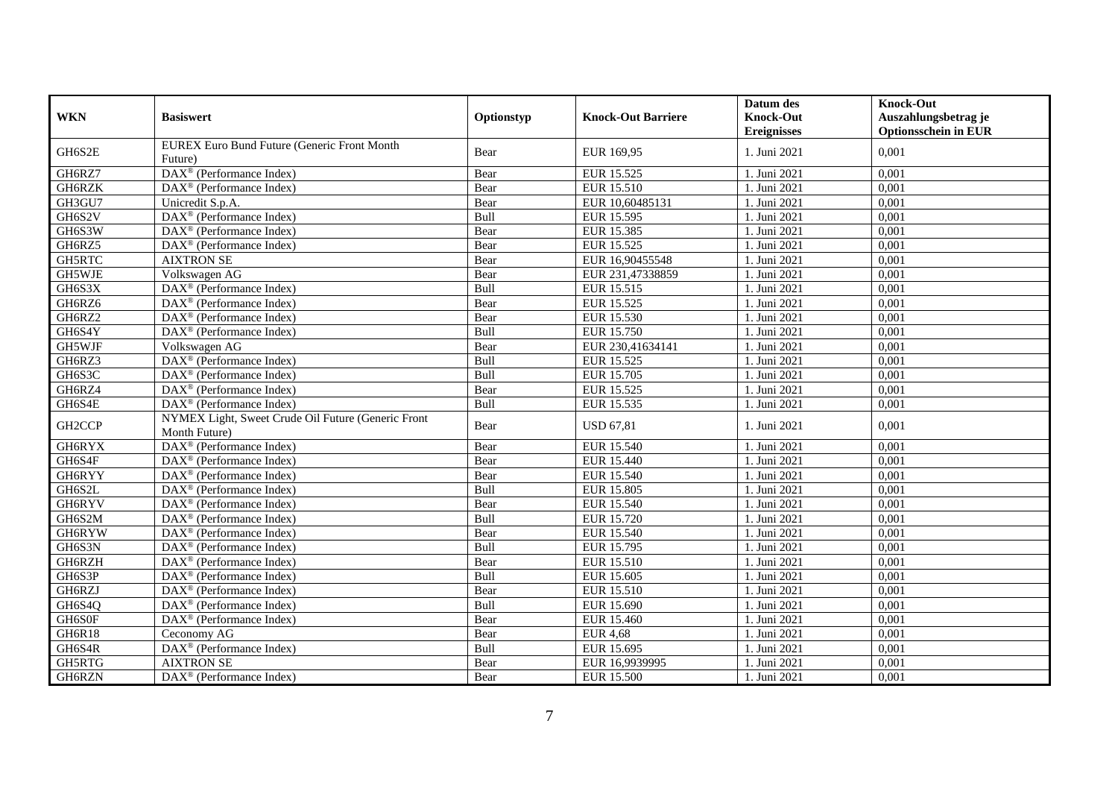|               |                                                                     |            |                           | Datum des          | <b>Knock-Out</b>            |
|---------------|---------------------------------------------------------------------|------------|---------------------------|--------------------|-----------------------------|
| <b>WKN</b>    | <b>Basiswert</b>                                                    | Optionstyp | <b>Knock-Out Barriere</b> | <b>Knock-Out</b>   | Auszahlungsbetrag je        |
|               |                                                                     |            |                           | <b>Ereignisses</b> | <b>Optionsschein in EUR</b> |
| GH6S2E        | EUREX Euro Bund Future (Generic Front Month                         | Bear       | EUR 169,95                | 1. Juni 2021       | 0,001                       |
|               | Future)                                                             |            |                           |                    |                             |
| GH6RZ7        | DAX <sup>®</sup> (Performance Index)                                | Bear       | EUR 15.525                | 1. Juni 2021       | 0,001                       |
| GH6RZK        | DAX <sup>®</sup> (Performance Index)                                | Bear       | <b>EUR 15.510</b>         | 1. Juni 2021       | 0,001                       |
| GH3GU7        | Unicredit S.p.A.                                                    | Bear       | EUR 10,60485131           | 1. Juni 2021       | 0,001                       |
| GH6S2V        | DAX <sup>®</sup> (Performance Index)                                | Bull       | <b>EUR 15.595</b>         | 1. Juni 2021       | 0,001                       |
| GH6S3W        | DAX <sup>®</sup> (Performance Index)                                | Bear       | <b>EUR 15.385</b>         | 1. Juni 2021       | 0,001                       |
| GH6RZ5        | DAX <sup>®</sup> (Performance Index)                                | Bear       | EUR 15.525                | 1. Juni 2021       | 0,001                       |
| GH5RTC        | <b>AIXTRON SE</b>                                                   | Bear       | EUR 16,90455548           | 1. Juni 2021       | 0,001                       |
| GH5WJE        | Volkswagen AG                                                       | Bear       | EUR 231,47338859          | 1. Juni 2021       | 0,001                       |
| GH6S3X        | DAX <sup>®</sup> (Performance Index)                                | Bull       | EUR 15.515                | 1. Juni 2021       | 0,001                       |
| GH6RZ6        | DAX <sup>®</sup> (Performance Index)                                | Bear       | EUR 15.525                | 1. Juni 2021       | 0,001                       |
| GH6RZ2        | $DAX^{\circledR}$ (Performance Index)                               | Bear       | <b>EUR 15.530</b>         | 1. Juni 2021       | 0,001                       |
| GH6S4Y        | $DAX^{\circledast}$ (Performance Index)                             | Bull       | EUR 15.750                | 1. Juni 2021       | 0,001                       |
| GH5WJF        | Volkswagen AG                                                       | Bear       | EUR 230,41634141          | 1. Juni 2021       | 0,001                       |
| GH6RZ3        | DAX <sup>®</sup> (Performance Index)                                | Bull       | EUR 15.525                | 1. Juni 2021       | 0,001                       |
| GH6S3C        | DAX <sup>®</sup> (Performance Index)                                | Bull       | EUR 15.705                | 1. Juni 2021       | 0,001                       |
| GH6RZ4        | $DAX^{\circledR}$ (Performance Index)                               | Bear       | <b>EUR 15.525</b>         | 1. Juni 2021       | 0.001                       |
| GH6S4E        | $DAX^{\circledast}$ (Performance Index)                             | Bull       | EUR 15.535                | 1. Juni 2021       | 0,001                       |
| GH2CCP        | NYMEX Light, Sweet Crude Oil Future (Generic Front<br>Month Future) | Bear       | <b>USD 67,81</b>          | 1. Juni 2021       | 0.001                       |
| <b>GH6RYX</b> | DAX <sup>®</sup> (Performance Index)                                | Bear       | EUR 15.540                | 1. Juni 2021       | 0,001                       |
| GH6S4F        | $DAX^{\circledR}$ (Performance Index)                               | Bear       | EUR 15.440                | 1. Juni 2021       | 0.001                       |
| GH6RYY        | $DAX^{\circledR}$ (Performance Index)                               | Bear       | <b>EUR 15.540</b>         | 1. Juni 2021       | 0,001                       |
| GH6S2L        | DAX <sup>®</sup> (Performance Index)                                | Bull       | <b>EUR 15.805</b>         | 1. Juni 2021       | 0,001                       |
| GH6RYV        | DAX <sup>®</sup> (Performance Index)                                | Bear       | <b>EUR 15.540</b>         | 1. Juni 2021       | 0,001                       |
| GH6S2M        | $\overline{\text{DAX}^{\otimes}}$ (Performance Index)               | Bull       | EUR 15.720                | 1. Juni 2021       | 0,001                       |
| GH6RYW        | $DAX^{\circledR}$ (Performance Index)                               | Bear       | EUR 15.540                | 1. Juni 2021       | 0,001                       |
| GH6S3N        | $DAX^{\circledast}$ (Performance Index)                             | Bull       | EUR 15.795                | 1. Juni 2021       | 0,001                       |
| GH6RZH        | $DAX^{\circledast}$ (Performance Index)                             | Bear       | <b>EUR 15.510</b>         | 1. Juni 2021       | 0,001                       |
| GH6S3P        | DAX <sup>®</sup> (Performance Index)                                | Bull       | EUR 15.605                | 1. Juni 2021       | 0,001                       |
| GH6RZJ        | DAX <sup>®</sup> (Performance Index)                                | Bear       | EUR 15.510                | 1. Juni 2021       | 0,001                       |
| GH6S4Q        | $\overline{\text{DAX}^{\otimes}}$ (Performance Index)               | Bull       | EUR 15.690                | 1. Juni 2021       | 0,001                       |
| GH6S0F        | $\overline{\text{DAX}}^{\textcirc}$ (Performance Index)             | Bear       | EUR 15.460                | 1. Juni 2021       | 0,001                       |
| GH6R18        | Ceconomy AG                                                         | Bear       | <b>EUR 4,68</b>           | 1. Juni 2021       | 0,001                       |
| GH6S4R        | DAX <sup>®</sup> (Performance Index)                                | Bull       | EUR 15.695                | 1. Juni 2021       | 0,001                       |
| GH5RTG        | <b>AIXTRON SE</b>                                                   | Bear       | EUR 16,9939995            | 1. Juni 2021       | 0,001                       |
| GH6RZN        | DAX <sup>®</sup> (Performance Index)                                | Bear       | <b>EUR 15.500</b>         | 1. Juni 2021       | 0,001                       |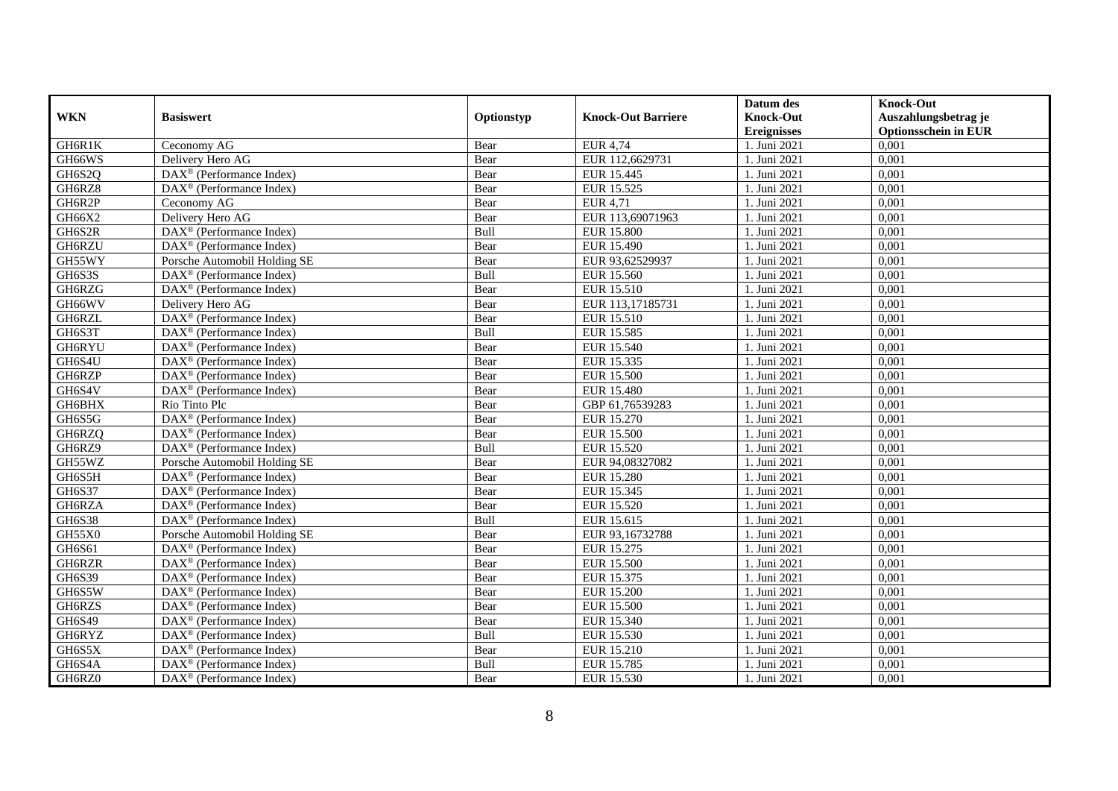|               |                                                              |            |                           | Datum des          | <b>Knock-Out</b>            |
|---------------|--------------------------------------------------------------|------------|---------------------------|--------------------|-----------------------------|
| <b>WKN</b>    | <b>Basiswert</b>                                             | Optionstyp | <b>Knock-Out Barriere</b> | <b>Knock-Out</b>   | Auszahlungsbetrag je        |
|               |                                                              |            |                           | <b>Ereignisses</b> | <b>Optionsschein in EUR</b> |
| GH6R1K        | Ceconomy AG                                                  | Bear       | <b>EUR 4,74</b>           | 1. Juni 2021       | 0,001                       |
| GH66WS        | Delivery Hero AG                                             | Bear       | EUR 112,6629731           | 1. Juni 2021       | 0,001                       |
| GH6S2Q        | $\text{DAX}^{\textcircled{n}}$ (Performance Index)           | Bear       | EUR 15.445                | 1. Juni 2021       | 0,001                       |
| GH6RZ8        | $\text{DAX}^{\circledast}$ (Performance Index)               | Bear       | EUR 15.525                | 1. Juni 2021       | 0,001                       |
| GH6R2P        | Ceconomy AG                                                  | Bear       | <b>EUR 4,71</b>           | 1. Juni 2021       | 0,001                       |
| GH66X2        | Delivery Hero AG                                             | Bear       | EUR 113,69071963          | 1. Juni 2021       | 0,001                       |
| GH6S2R        | DAX <sup>®</sup> (Performance Index)                         | Bull       | <b>EUR 15.800</b>         | 1. Juni 2021       | 0,001                       |
| GH6RZU        | $\text{DAX}^{\textcircled{}}$ (Performance Index)            | Bear       | EUR 15.490                | 1. Juni 2021       | 0,001                       |
| GH55WY        | Porsche Automobil Holding SE                                 | Bear       | EUR 93,62529937           | 1. Juni 2021       | 0,001                       |
| GH6S3S        | $\text{DAX}^{\circledR}$ (Performance Index)                 | Bull       | EUR 15.560                | 1. Juni 2021       | 0,001                       |
| GH6RZG        | $\overline{\text{DAX}}^{\textcirc}$ (Performance Index)      | Bear       | <b>EUR 15.510</b>         | 1. Juni 2021       | 0,001                       |
| GH66WV        | Delivery Hero AG                                             | Bear       | EUR 113,17185731          | 1. Juni 2021       | 0,001                       |
| GH6RZL        | $\text{DAX}^{\circledast}$ (Performance Index)               | Bear       | EUR 15.510                | 1. Juni 2021       | 0,001                       |
| GH6S3T        | DAX <sup>®</sup> (Performance Index)                         | Bull       | EUR 15.585                | 1. Juni 2021       | 0,001                       |
| GH6RYU        | $\text{DAX}^{\otimes}$ (Performance Index)                   | Bear       | EUR 15.540                | 1. Juni 2021       | 0,001                       |
| GH6S4U        | DAX <sup>®</sup> (Performance Index)                         | Bear       | EUR 15.335                | 1. Juni 2021       | 0,001                       |
| GH6RZP        | DAX <sup>®</sup> (Performance Index)                         | Bear       | <b>EUR 15.500</b>         | 1. Juni 2021       | 0,001                       |
| GH6S4V        | $\overline{\text{DAX}}^{\textcircled{}}$ (Performance Index) | Bear       | <b>EUR 15.480</b>         | 1. Juni 2021       | 0,001                       |
| GH6BHX        | Rio Tinto Plc                                                | Bear       | GBP 61,76539283           | 1. Juni 2021       | 0,001                       |
| GH6S5G        | DAX <sup>®</sup> (Performance Index)                         | Bear       | EUR 15.270                | 1. Juni 2021       | 0,001                       |
| GH6RZQ        | $\overline{\text{DAX}^{\otimes}}$ (Performance Index)        | Bear       | <b>EUR 15.500</b>         | 1. Juni 2021       | 0,001                       |
| GH6RZ9        | $\overline{\text{DAX}^{\otimes}}$ (Performance Index)        | Bull       | EUR 15.520                | 1. Juni 2021       | 0,001                       |
| GH55WZ        | Porsche Automobil Holding SE                                 | Bear       | EUR 94,08327082           | 1. Juni 2021       | 0,001                       |
| GH6S5H        | DAX <sup>®</sup> (Performance Index)                         | Bear       | <b>EUR 15.280</b>         | 1. Juni 2021       | 0,001                       |
| GH6S37        | $\overline{\text{DAX}^{\otimes}}$ (Performance Index)        | Bear       | EUR 15.345                | 1. Juni 2021       | 0,001                       |
| GH6RZA        | $\text{DAX}^{\otimes}$ (Performance Index)                   | Bear       | EUR 15.520                | 1. Juni 2021       | 0,001                       |
| <b>GH6S38</b> | DAX <sup>®</sup> (Performance Index)                         | Bull       | EUR 15.615                | 1. Juni 2021       | 0,001                       |
| <b>GH55X0</b> | Porsche Automobil Holding SE                                 | Bear       | EUR 93,16732788           | 1. Juni 2021       | 0,001                       |
| <b>GH6S61</b> | $\text{DAX}^{\textcircled{D}}$ (Performance Index)           | Bear       | EUR 15.275                | 1. Juni 2021       | 0,001                       |
| GH6RZR        | $DAX^{\otimes}$ (Performance Index)                          | Bear       | <b>EUR 15.500</b>         | 1. Juni 2021       | 0,001                       |
| GH6S39        | DAX <sup>®</sup> (Performance Index)                         | Bear       | EUR 15.375                | 1. Juni 2021       | 0,001                       |
| GH6S5W        | DAX <sup>®</sup> (Performance Index)                         | Bear       | <b>EUR 15.200</b>         | 1. Juni 2021       | 0,001                       |
| GH6RZS        | $\overline{\text{DAX}^{\otimes}}$ (Performance Index)        | Bear       | <b>EUR 15.500</b>         | 1. Juni 2021       | 0,001                       |
| GH6S49        | DAX <sup>®</sup> (Performance Index)                         | Bear       | EUR 15.340                | 1. Juni 2021       | 0,001                       |
| GH6RYZ        | $\text{DAX}^{\textcircled{n}}$ (Performance Index)           | Bull       | EUR 15.530                | 1. Juni 2021       | 0,001                       |
| GH6S5X        | $\text{DAX}^{\circledast}$ (Performance Index)               | Bear       | EUR 15.210                | 1. Juni 2021       | 0,001                       |
| GH6S4A        | $\text{DAX}^{\otimes}$ (Performance Index)                   | Bull       | EUR 15.785                | 1. Juni 2021       | 0,001                       |
| GH6RZ0        | $\overline{\text{DAX}}^{\textcirc}$ (Performance Index)      | Bear       | EUR 15.530                | 1. Juni 2021       | 0,001                       |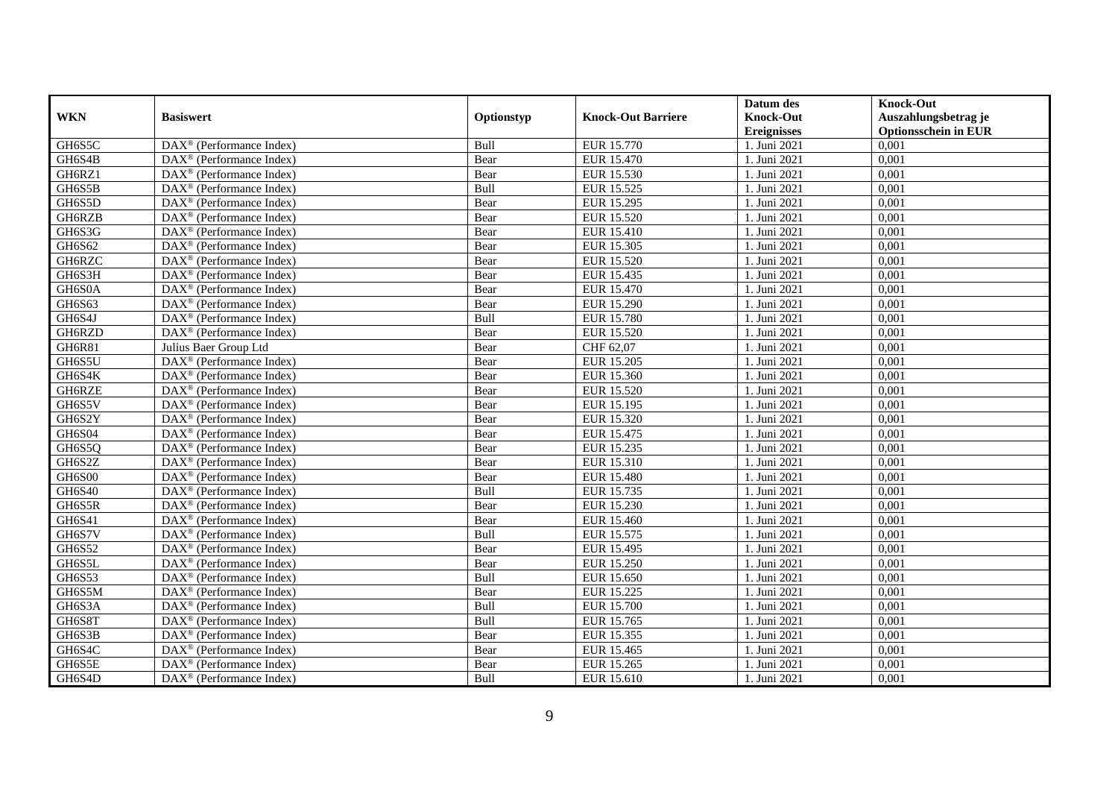|               |                                                              |            |                           | Datum des          | <b>Knock-Out</b>            |
|---------------|--------------------------------------------------------------|------------|---------------------------|--------------------|-----------------------------|
| <b>WKN</b>    | <b>Basiswert</b>                                             | Optionstyp | <b>Knock-Out Barriere</b> | <b>Knock-Out</b>   | Auszahlungsbetrag je        |
|               |                                                              |            |                           | <b>Ereignisses</b> | <b>Optionsschein in EUR</b> |
| GH6S5C        | DAX <sup>®</sup> (Performance Index)                         | Bull       | EUR 15.770                | 1. Juni 2021       | 0,001                       |
| GH6S4B        | $\text{DAX}^{\circledast}$ (Performance Index)               | Bear       | EUR 15.470                | 1. Juni 2021       | 0,001                       |
| GH6RZ1        | $DAX^{\circledR}$ (Performance Index)                        | Bear       | EUR 15.530                | 1. Juni 2021       | 0,001                       |
| GH6S5B        | $\text{DAX}^{\otimes}$ (Performance Index)                   | Bull       | EUR 15.525                | 1. Juni 2021       | 0,001                       |
| GH6S5D        | $\overline{\text{DAX}}^{\textcircled{}}$ (Performance Index) | Bear       | EUR 15.295                | 1. Juni 2021       | 0,001                       |
| GH6RZB        | $\text{DAX}^{\textcircled{D}}$ (Performance Index)           | Bear       | <b>EUR 15.520</b>         | 1. Juni 2021       | 0,001                       |
| GH6S3G        | $\overline{\text{DAX}}^{\textcirc}$ (Performance Index)      | Bear       | EUR 15.410                | 1. Juni 2021       | 0,001                       |
| GH6S62        | $\text{DAX}^{\textcircled{n}}$ (Performance Index)           | Bear       | EUR 15.305                | 1. Juni 2021       | 0,001                       |
| GH6RZC        | $\text{DAX}^{\circledast}$ (Performance Index)               | Bear       | EUR 15.520                | 1. Juni 2021       | 0,001                       |
| GH6S3H        | DAX <sup>®</sup> (Performance Index)                         | Bear       | EUR 15.435                | 1. Juni 2021       | 0,001                       |
| GH6S0A        | $\overline{\text{DAX}^{\otimes}}$ (Performance Index)        | Bear       | EUR 15.470                | 1. Juni 2021       | 0,001                       |
| GH6S63        | DAX <sup>®</sup> (Performance Index)                         | Bear       | EUR 15.290                | 1. Juni 2021       | 0,001                       |
| GH6S4J        | $\text{DAX}^{\textcircled{n}}$ (Performance Index)           | Bull       | <b>EUR 15.780</b>         | 1. Juni 2021       | 0,001                       |
| GH6RZD        | DAX <sup>®</sup> (Performance Index)                         | Bear       | EUR 15.520                | 1. Juni 2021       | 0.001                       |
| GH6R81        | Julius Baer Group Ltd                                        | Bear       | CHF 62,07                 | . Juni 2021        | 0,001                       |
| GH6S5U        | DAX <sup>®</sup> (Performance Index)                         | Bear       | <b>EUR 15.205</b>         | 1. Juni 2021       | 0,001                       |
| GH6S4K        | DAX <sup>®</sup> (Performance Index)                         | Bear       | EUR 15.360                | 1. Juni 2021       | 0,001                       |
| GH6RZE        | DAX <sup>®</sup> (Performance Index)                         | Bear       | EUR 15.520                | 1. Juni 2021       | 0,001                       |
| GH6S5V        | DAX <sup>®</sup> (Performance Index)                         | Bear       | EUR 15.195                | 1. Juni 2021       | 0,001                       |
| GH6S2Y        | $\text{DAX}^{\circledast}$ (Performance Index)               | Bear       | EUR 15.320                | 1. Juni 2021       | 0,001                       |
| GH6S04        | DAX <sup>®</sup> (Performance Index)                         | Bear       | EUR 15.475                | 1. Juni 2021       | 0,001                       |
| GH6S5Q        | $DAX^{\circledR}$ (Performance Index)                        | Bear       | EUR 15.235                | 1. Juni 2021       | 0,001                       |
| GH6S2Z        | $\overline{\text{DAX}}^{\textcirc}$ (Performance Index)      | Bear       | EUR 15.310                | 1. Juni 2021       | 0,001                       |
| <b>GH6S00</b> | $\text{DAX}^{\textcircled{p}}$ (Performance Index)           | Bear       | <b>EUR 15.480</b>         | 1. Juni 2021       | 0,001                       |
| GH6S40        | $DAX^{\circledR}$ (Performance Index)                        | Bull       | EUR 15.735                | 1. Juni 2021       | 0,001                       |
| GH6S5R        | $\text{DAX}^{\circledast}$ (Performance Index)               | Bear       | EUR 15.230                | 1. Juni 2021       | 0,001                       |
| GH6S41        | DAX <sup>®</sup> (Performance Index)                         | Bear       | EUR 15.460                | 1. Juni 2021       | 0,001                       |
| GH6S7V        | DAX <sup>®</sup> (Performance Index)                         | Bull       | EUR 15.575                | 1. Juni 2021       | 0,001                       |
| GH6S52        | $\text{DAX}^{\otimes}$ (Performance Index)                   | Bear       | EUR 15.495                | 1. Juni 2021       | 0,001                       |
| GH6S5L        | $\text{DAX}^{\textcircled{n}}$ (Performance Index)           | Bear       | EUR 15.250                | 1. Juni 2021       | 0,001                       |
| GH6S53        | DAX <sup>®</sup> (Performance Index)                         | Bull       | EUR 15.650                | 1. Juni 2021       | 0,001                       |
| GH6S5M        | DAX <sup>®</sup> (Performance Index)                         | Bear       | EUR 15.225                | 1. Juni 2021       | 0,001                       |
| GH6S3A        | $\overline{\text{DAX}}^{\textcirc}$ (Performance Index)      | Bull       | <b>EUR 15.700</b>         | 1. Juni 2021       | 0,001                       |
| GH6S8T        | $\overline{\text{DAX}}^{\textcirc}$ (Performance Index)      | Bull       | EUR 15.765                | 1. Juni 2021       | 0,001                       |
| GH6S3B        | $\text{DAX}^{\otimes}$ (Performance Index)                   | Bear       | EUR 15.355                | 1. Juni 2021       | 0,001                       |
| GH6S4C        | $\text{DAX}^{\circledast}$ (Performance Index)               | Bear       | EUR 15.465                | . Juni 2021        | 0,001                       |
| GH6S5E        | $\text{DAX}^{\otimes}$ (Performance Index)                   | Bear       | EUR 15.265                | 1. Juni 2021       | 0,001                       |
| GH6S4D        | $\overline{\text{DAX}}^{\textcirc}$ (Performance Index)      | Bull       | EUR 15.610                | 1. Juni 2021       | 0,001                       |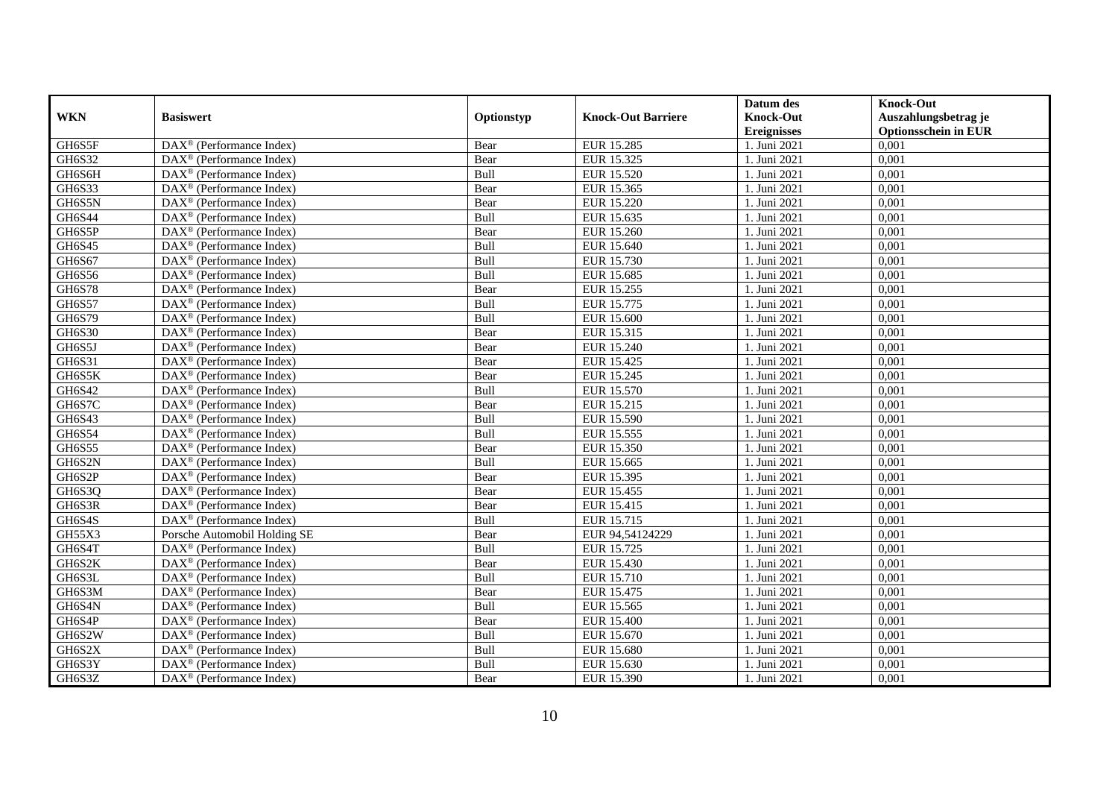|               |                                                              |             |                           | Datum des          | <b>Knock-Out</b>            |
|---------------|--------------------------------------------------------------|-------------|---------------------------|--------------------|-----------------------------|
| <b>WKN</b>    | <b>Basiswert</b>                                             | Optionstyp  | <b>Knock-Out Barriere</b> | <b>Knock-Out</b>   | Auszahlungsbetrag je        |
|               |                                                              |             |                           | <b>Ereignisses</b> | <b>Optionsschein in EUR</b> |
| GH6S5F        | $\overline{\text{DAX}}^{\textcircled{}}$ (Performance Index) | Bear        | <b>EUR 15.285</b>         | 1. Juni 2021       | 0,001                       |
| GH6S32        | $DAX^{\circledR}$ (Performance Index)                        | Bear        | EUR 15.325                | 1. Juni 2021       | 0,001                       |
| GH6S6H        | DAX <sup>®</sup> (Performance Index)                         | Bull        | EUR 15.520                | 1. Juni 2021       | 0,001                       |
| GH6S33        | $\text{DAX}^{\otimes}$ (Performance Index)                   | Bear        | EUR 15.365                | 1. Juni 2021       | 0,001                       |
| GH6S5N        | DAX <sup>®</sup> (Performance Index)                         | Bear        | EUR 15.220                | 1. Juni 2021       | 0,001                       |
| GH6S44        | $\text{DAX}^{\circledast}$ (Performance Index)               | Bull        | EUR 15.635                | 1. Juni 2021       | 0,001                       |
| GH6S5P        | $\text{DAX}^{\textcircled{n}}$ (Performance Index)           | Bear        | EUR 15.260                | 1. Juni 2021       | 0,001                       |
| GH6S45        | $\text{DAX}^{\textcircled{}}$ (Performance Index)            | Bull        | EUR 15.640                | 1. Juni 2021       | 0,001                       |
| GH6S67        | $\text{DAX}^{\textcircled{p}}$ (Performance Index)           | Bull        | EUR 15.730                | 1. Juni 2021       | 0,001                       |
| <b>GH6S56</b> | $DAX^{\otimes}$ (Performance Index)                          | Bull        | EUR 15.685                | 1. Juni 2021       | 0,001                       |
| <b>GH6S78</b> | $\overline{\text{DAX}}^{\textcircled{}}$ (Performance Index) | Bear        | EUR 15.255                | 1. Juni 2021       | 0,001                       |
| <b>GH6S57</b> | $\overline{\text{DAX}^{\otimes}}$ (Performance Index)        | Bull        | EUR 15.775                | 1. Juni 2021       | 0,001                       |
| GH6S79        | $\text{DAX}^{\textcircled{n}}$ (Performance Index)           | Bull        | <b>EUR 15.600</b>         | 1. Juni 2021       | 0,001                       |
| GH6S30        | DAX <sup>®</sup> (Performance Index)                         | Bear        | EUR 15.315                | 1. Juni 2021       | 0,001                       |
| GH6S5J        | DAX <sup>®</sup> (Performance Index)                         | Bear        | EUR 15.240                | 1. Juni 2021       | 0,001                       |
| GH6S31        | DAX <sup>®</sup> (Performance Index)                         | Bear        | EUR 15.425                | 1. Juni 2021       | 0,001                       |
| GH6S5K        | DAX <sup>®</sup> (Performance Index)                         | Bear        | EUR 15.245                | 1. Juni 2021       | 0,001                       |
| GH6S42        | $\overline{\text{DAX}}^{\textcirc}$ (Performance Index)      | <b>Bull</b> | EUR 15.570                | 1. Juni 2021       | 0,001                       |
| GH6S7C        | DAX <sup>®</sup> (Performance Index)                         | Bear        | EUR 15.215                | 1. Juni 2021       | 0,001                       |
| GH6S43        | DAX <sup>®</sup> (Performance Index)                         | Bull        | EUR 15.590                | 1. Juni 2021       | 0,001                       |
| GH6S54        | DAX <sup>®</sup> (Performance Index)                         | Bull        | EUR 15.555                | 1. Juni 2021       | 0,001                       |
| <b>GH6S55</b> | $\overline{\text{DAX}^{\otimes}}$ (Performance Index)        | Bear        | EUR 15.350                | 1. Juni 2021       | 0,001                       |
| GH6S2N        | $\text{DAX}^{\circledast}$ (Performance Index)               | Bull        | EUR 15.665                | 1. Juni 2021       | 0,001                       |
| GH6S2P        | DAX <sup>®</sup> (Performance Index)                         | Bear        | EUR 15.395                | 1. Juni 2021       | 0,001                       |
| GH6S3Q        | DAX <sup>®</sup> (Performance Index)                         | Bear        | EUR 15.455                | 1. Juni 2021       | 0,001                       |
| GH6S3R        | $\text{DAX}^{\otimes}$ (Performance Index)                   | Bear        | EUR 15.415                | 1. Juni 2021       | 0,001                       |
| GH6S4S        | $\text{DAX}^{\circledast}$ (Performance Index)               | Bull        | EUR 15.715                | 1. Juni 2021       | 0,001                       |
| GH55X3        | Porsche Automobil Holding SE                                 | Bear        | EUR 94,54124229           | 1. Juni 2021       | 0,001                       |
| GH6S4T        | $\text{DAX}^{\textcircled{p}}$ (Performance Index)           | Bull        | EUR 15.725                | 1. Juni 2021       | 0,001                       |
| GH6S2K        | $DAX^{\otimes}$ (Performance Index)                          | Bear        | EUR 15.430                | 1. Juni 2021       | 0,001                       |
| GH6S3L        | DAX <sup>®</sup> (Performance Index)                         | Bull        | EUR 15.710                | 1. Juni 2021       | 0,001                       |
| GH6S3M        | $\text{DAX}^{\otimes}$ (Performance Index)                   | Bear        | EUR 15.475                | 1. Juni 2021       | 0,001                       |
| GH6S4N        | $\overline{\text{DAX}^{\otimes}}$ (Performance Index)        | Bull        | EUR 15.565                | 1. Juni 2021       | 0,001                       |
| GH6S4P        | $\text{DAX}^{\circledast}$ (Performance Index)               | Bear        | <b>EUR 15.400</b>         | 1. Juni 2021       | 0,001                       |
| GH6S2W        | $\text{DAX}^{\textcircled{n}}$ (Performance Index)           | Bull        | EUR 15.670                | 1. Juni 2021       | 0,001                       |
| GH6S2X        | $\text{DAX}^{\textcircled{n}}$ (Performance Index)           | Bull        | <b>EUR 15.680</b>         | 1. Juni 2021       | 0,001                       |
| GH6S3Y        | $\text{DAX}^{\otimes}$ (Performance Index)                   | Bull        | EUR 15.630                | 1. Juni 2021       | 0,001                       |
| GH6S3Z        | $\overline{\text{DAX}}^{\textcirc}$ (Performance Index)      | Bear        | EUR 15.390                | 1. Juni 2021       | 0,001                       |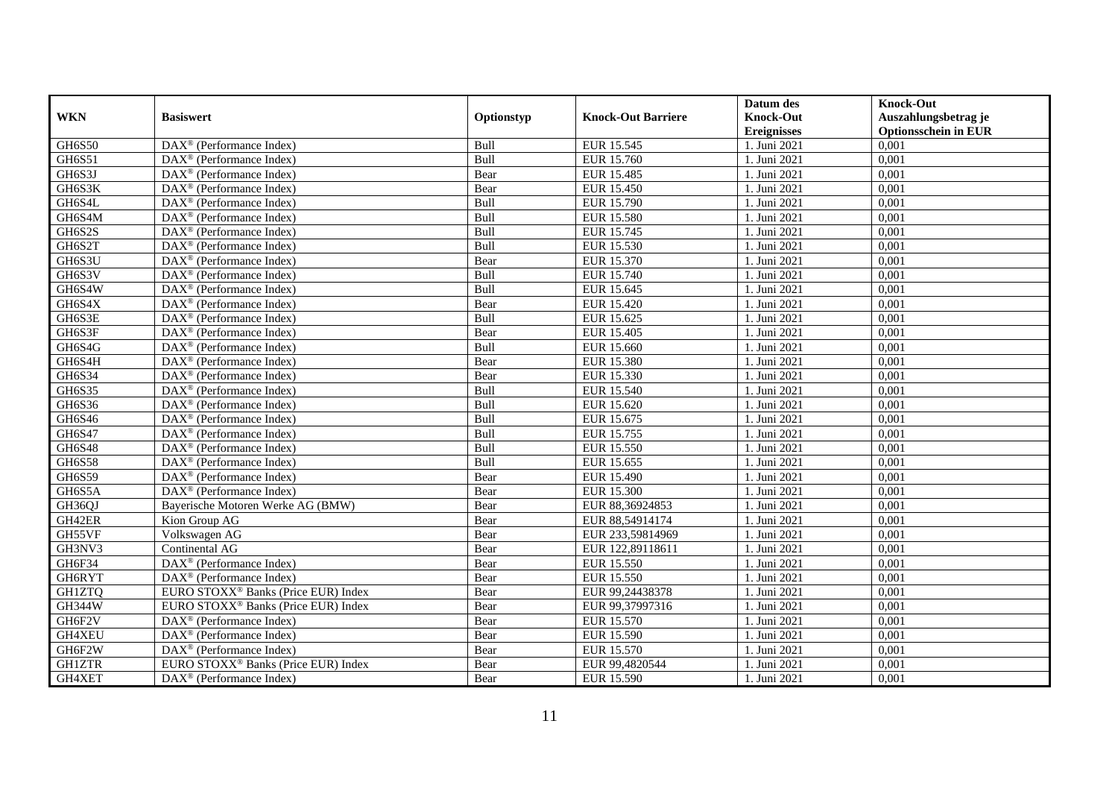| <b>WKN</b>    | <b>Basiswert</b>                                             | Optionstyp | <b>Knock-Out Barriere</b> | Datum des<br><b>Knock-Out</b> | <b>Knock-Out</b><br>Auszahlungsbetrag je |
|---------------|--------------------------------------------------------------|------------|---------------------------|-------------------------------|------------------------------------------|
|               |                                                              |            |                           | <b>Ereignisses</b>            | <b>Optionsschein in EUR</b>              |
| GH6S50        | $\overline{\text{DAX}}^{\textcircled{}}$ (Performance Index) | Bull       | EUR 15.545                | 1. Juni 2021                  | 0,001                                    |
| GH6S51        | $DAX^{\circledR}$ (Performance Index)                        | Bull       | EUR 15.760                | 1. Juni 2021                  | 0,001                                    |
| GH6S3J        | DAX <sup>®</sup> (Performance Index)                         | Bear       | EUR 15.485                | 1. Juni 2021                  | 0,001                                    |
| GH6S3K        | $\text{DAX}^{\textcircled{n}}$ (Performance Index)           | Bear       | EUR 15.450                | 1. Juni 2021                  | 0,001                                    |
| GH6S4L        | $\text{DAX}^{\textcircled{n}}$ (Performance Index)           | Bull       | EUR 15.790                | 1. Juni 2021                  | 0,001                                    |
| GH6S4M        | $\text{DAX}^{\textcircled{p}}$ (Performance Index)           | Bull       | <b>EUR 15.580</b>         | 1. Juni 2021                  | 0,001                                    |
| GH6S2S        | $\overline{\text{DAX}}^{\textcirc}$ (Performance Index)      | Bull       | EUR 15.745                | 1. Juni 2021                  | 0,001                                    |
| GH6S2T        | $\text{DAX}^{\textcircled{}}$ (Performance Index)            | Bull       | EUR 15.530                | 1. Juni 2021                  | 0,001                                    |
| GH6S3U        | $\text{DAX}^{\textcircled{p}}$ (Performance Index)           | Bear       | EUR 15.370                | 1. Juni 2021                  | 0,001                                    |
| GH6S3V        | DAX <sup>®</sup> (Performance Index)                         | Bull       | EUR 15.740                | 1. Juni 2021                  | 0,001                                    |
| GH6S4W        | DAX <sup>®</sup> (Performance Index)                         | Bull       | EUR 15.645                | 1. Juni 2021                  | 0,001                                    |
| GH6S4X        | DAX <sup>®</sup> (Performance Index)                         | Bear       | EUR 15.420                | 1. Juni 2021                  | 0,001                                    |
| GH6S3E        | $\text{DAX}^{\circledast}$ (Performance Index)               | Bull       | EUR 15.625                | 1. Juni 2021                  | 0,001                                    |
| GH6S3F        | DAX <sup>®</sup> (Performance Index)                         | Bear       | EUR 15.405                | 1. Juni 2021                  | 0,001                                    |
| GH6S4G        | DAX <sup>®</sup> (Performance Index)                         | Bull       | EUR 15.660                | 1. Juni 2021                  | 0,001                                    |
| GH6S4H        | DAX <sup>®</sup> (Performance Index)                         | Bear       | <b>EUR 15.380</b>         | 1. Juni 2021                  | 0,001                                    |
| GH6S34        | $\text{DAX}^{\textcircled{p}}$ (Performance Index)           | Bear       | EUR 15.330                | 1. Juni 2021                  | 0,001                                    |
| GH6S35        | $\overline{\text{DAX}^{\otimes}}$ (Performance Index)        | Bull       | EUR 15.540                | 1. Juni 2021                  | 0,001                                    |
| GH6S36        | $\text{DAX}^{\textcircled{n}}$ (Performance Index)           | Bull       | EUR 15.620                | 1. Juni 2021                  | 0,001                                    |
| GH6S46        | $\text{DAX}^{\textcircled{n}}$ (Performance Index)           | Bull       | EUR 15.675                | 1. Juni 2021                  | 0,001                                    |
| <b>GH6S47</b> | DAX <sup>®</sup> (Performance Index)                         | Bull       | EUR 15.755                | 1. Juni 2021                  | 0,001                                    |
| GH6S48        | $\overline{\text{DAX}}^{\textcirc}$ (Performance Index)      | Bull       | EUR 15.550                | 1. Juni 2021                  | 0,001                                    |
| <b>GH6S58</b> | $\overline{\text{DAX}^{\otimes}}$ (Performance Index)        | Bull       | EUR 15.655                | 1. Juni 2021                  | 0,001                                    |
| <b>GH6S59</b> | $\text{DAX}^{\textcircled{p}}$ (Performance Index)           | Bear       | <b>EUR 15.490</b>         | 1. Juni 2021                  | 0,001                                    |
| GH6S5A        | $\text{DAX}^{\textcircled{}}$ (Performance Index)            | Bear       | <b>EUR 15.300</b>         | 1. Juni 2021                  | 0,001                                    |
| GH36QJ        | Bayerische Motoren Werke AG (BMW)                            | Bear       | EUR 88,36924853           | 1. Juni 2021                  | 0,001                                    |
| GH42ER        | Kion Group AG                                                | Bear       | EUR 88,54914174           | 1. Juni 2021                  | 0,001                                    |
| GH55VF        | Volkswagen AG                                                | Bear       | EUR 233,59814969          | 1. Juni 2021                  | 0,001                                    |
| GH3NV3        | Continental AG                                               | Bear       | EUR 122,89118611          | 1. Juni 2021                  | 0,001                                    |
| GH6F34        | $\text{DAX}^{\circledast}$ (Performance Index)               | Bear       | EUR 15.550                | 1. Juni 2021                  | 0.001                                    |
| GH6RYT        | $DAX^{\circledR}$ (Performance Index)                        | Bear       | EUR 15.550                | 1. Juni 2021                  | 0,001                                    |
| <b>GH1ZTQ</b> | EURO STOXX <sup>®</sup> Banks (Price EUR) Index              | Bear       | EUR 99,24438378           | 1. Juni 2021                  | 0,001                                    |
| <b>GH344W</b> | EURO STOXX <sup>®</sup> Banks (Price EUR) Index              | Bear       | EUR 99,37997316           | 1. Juni 2021                  | 0,001                                    |
| GH6F2V        | DAX <sup>®</sup> (Performance Index)                         | Bear       | EUR 15.570                | 1. Juni 2021                  | 0,001                                    |
| GH4XEU        | DAX <sup>®</sup> (Performance Index)                         | Bear       | EUR 15.590                | 1. Juni 2021                  | 0,001                                    |
| GH6F2W        | $\text{DAX}^{\circledast}$ (Performance Index)               | Bear       | EUR 15.570                | 1. Juni 2021                  | 0,001                                    |
| <b>GH1ZTR</b> | EURO STOXX <sup>®</sup> Banks (Price EUR) Index              | Bear       | EUR 99,4820544            | 1. Juni 2021                  | 0,001                                    |
| GH4XET        | DAX <sup>®</sup> (Performance Index)                         | Bear       | EUR 15.590                | 1. Juni 2021                  | 0,001                                    |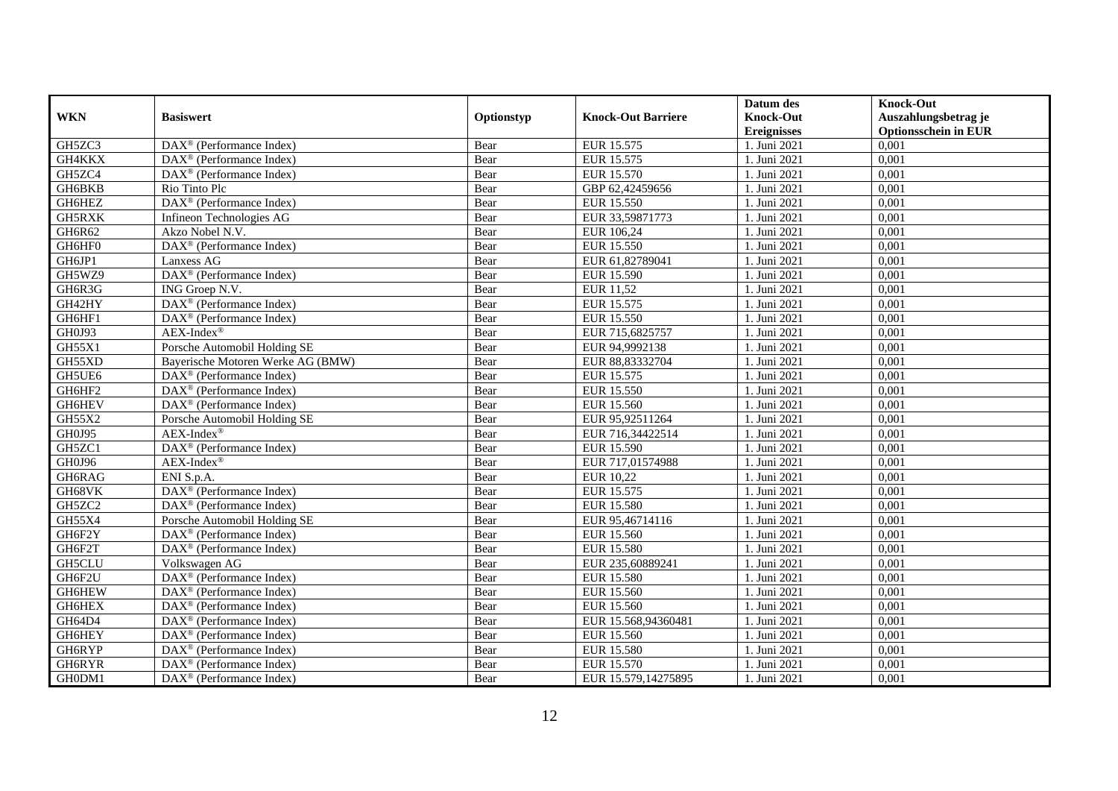|               |                                                              |            |                           | Datum des                              | <b>Knock-Out</b>                                    |
|---------------|--------------------------------------------------------------|------------|---------------------------|----------------------------------------|-----------------------------------------------------|
| <b>WKN</b>    | <b>Basiswert</b>                                             | Optionstyp | <b>Knock-Out Barriere</b> | <b>Knock-Out</b><br><b>Ereignisses</b> | Auszahlungsbetrag je<br><b>Optionsschein in EUR</b> |
| GH5ZC3        | $\overline{\text{DAX}^{\otimes}}$ (Performance Index)        | Bear       | EUR 15.575                | 1. Juni 2021                           | 0,001                                               |
| GH4KKX        | $\text{DAX}^{\textcircled{p}}$ (Performance Index)           | Bear       | EUR 15.575                | 1. Juni 2021                           | 0,001                                               |
| GH5ZC4        | DAX <sup>®</sup> (Performance Index)                         | Bear       | EUR 15.570                | 1. Juni 2021                           | 0,001                                               |
| GH6BKB        | Rio Tinto Plc                                                | Bear       | GBP 62,42459656           | 1. Juni 2021                           | 0,001                                               |
| GH6HEZ        | DAX <sup>®</sup> (Performance Index)                         | Bear       | EUR 15.550                | 1. Juni 2021                           | 0,001                                               |
| GH5RXK        | Infineon Technologies AG                                     | Bear       | EUR 33,59871773           | 1. Juni 2021                           | 0,001                                               |
| GH6R62        | Akzo Nobel N.V.                                              | Bear       | EUR 106,24                | 1. Juni 2021                           | 0,001                                               |
| GH6HF0        | DAX <sup>®</sup> (Performance Index)                         | Bear       | EUR 15.550                | 1. Juni 2021                           | 0,001                                               |
| GH6JP1        | Lanxess AG                                                   | Bear       | EUR 61,82789041           | 1. Juni 2021                           | 0,001                                               |
| GH5WZ9        | DAX <sup>®</sup> (Performance Index)                         | Bear       | EUR 15.590                | 1. Juni 2021                           | 0,001                                               |
| GH6R3G        | ING Groep N.V.                                               | Bear       | EUR 11,52                 | 1. Juni 2021                           | 0,001                                               |
| GH42HY        | DAX <sup>®</sup> (Performance Index)                         | Bear       | EUR 15.575                | 1. Juni 2021                           | 0,001                                               |
| GH6HF1        | $\text{DAX}^{\textcircled{n}}$ (Performance Index)           | Bear       | <b>EUR 15.550</b>         | 1. Juni 2021                           | 0,001                                               |
| GH0J93        | $AEX-Index^{\circledR}$                                      | Bear       | EUR 715,6825757           | 1. Juni 2021                           | 0,001                                               |
| GH55X1        | Porsche Automobil Holding SE                                 | Bear       | EUR 94,9992138            | 1. Juni 2021                           | 0,001                                               |
| GH55XD        | Bayerische Motoren Werke AG (BMW)                            | Bear       | EUR 88,83332704           | 1. Juni 2021                           | 0,001                                               |
| GH5UE6        | DAX <sup>®</sup> (Performance Index)                         | Bear       | EUR 15.575                | 1. Juni 2021                           | 0,001                                               |
| GH6HF2        | $\text{DAX}^{\textcircled{p}}$ (Performance Index)           | Bear       | EUR 15.550                | 1. Juni 2021                           | 0,001                                               |
| GH6HEV        | $\overline{\text{DAX}}^{\textcircled{}}$ (Performance Index) | Bear       | EUR 15.560                | 1. Juni 2021                           | 0,001                                               |
| GH55X2        | Porsche Automobil Holding SE                                 | Bear       | EUR 95,92511264           | 1. Juni 2021                           | 0,001                                               |
| GH0J95        | $AEX-Index^{\circledR}$                                      | Bear       | EUR 716,34422514          | 1. Juni 2021                           | 0,001                                               |
| GH5ZC1        | DAX <sup>®</sup> (Performance Index)                         | Bear       | EUR 15.590                | 1. Juni 2021                           | 0,001                                               |
| GH0J96        | $AEX-Index^{\circledR}$                                      | Bear       | EUR 717,01574988          | 1. Juni 2021                           | 0,001                                               |
| GH6RAG        | ENI S.p.A.                                                   | Bear       | EUR 10,22                 | 1. Juni 2021                           | 0,001                                               |
| GH68VK        | DAX <sup>®</sup> (Performance Index)                         | Bear       | EUR 15.575                | 1. Juni 2021                           | 0,001                                               |
| GH5ZC2        | $\text{DAX}^{\otimes}$ (Performance Index)                   | Bear       | <b>EUR 15.580</b>         | 1. Juni 2021                           | 0,001                                               |
| GH55X4        | Porsche Automobil Holding SE                                 | Bear       | EUR 95,46714116           | 1. Juni 2021                           | 0,001                                               |
| GH6F2Y        | $\overline{\text{DAX}}^{\textcircled{}}$ (Performance Index) | Bear       | EUR 15.560                | 1. Juni 2021                           | 0,001                                               |
| GH6F2T        | $\overline{\text{DAX}}^{\textcirc}$ (Performance Index)      | Bear       | <b>EUR 15.580</b>         | 1. Juni 2021                           | 0,001                                               |
| <b>GH5CLU</b> | Volkswagen AG                                                | Bear       | EUR 235,60889241          | 1. Juni 2021                           | 0,001                                               |
| GH6F2U        | DAX <sup>®</sup> (Performance Index)                         | Bear       | <b>EUR 15.580</b>         | 1. Juni 2021                           | 0,001                                               |
| GH6HEW        | DAX <sup>®</sup> (Performance Index)                         | Bear       | EUR 15.560                | 1. Juni 2021                           | 0,001                                               |
| <b>GH6HEX</b> | $\overline{\text{DAX}^{\otimes}}$ (Performance Index)        | Bear       | EUR 15.560                | 1. Juni 2021                           | 0,001                                               |
| GH64D4        | DAX <sup>®</sup> (Performance Index)                         | Bear       | EUR 15.568,94360481       | 1. Juni 2021                           | 0,001                                               |
| GH6HEY        | $\text{DAX}^{\textcircled{n}}$ (Performance Index)           | Bear       | EUR 15.560                | 1. Juni 2021                           | 0,001                                               |
| GH6RYP        | $\text{DAX}^{\textcircled{n}}$ (Performance Index)           | Bear       | <b>EUR 15.580</b>         | 1. Juni 2021                           | 0,001                                               |
| GH6RYR        | $\text{DAX}^{\otimes}$ (Performance Index)                   | Bear       | EUR 15.570                | 1. Juni 2021                           | 0,001                                               |
| GH0DM1        | $\overline{\text{DAX}}^{\textcirc}$ (Performance Index)      | Bear       | EUR 15.579,14275895       | 1. Juni 2021                           | 0,001                                               |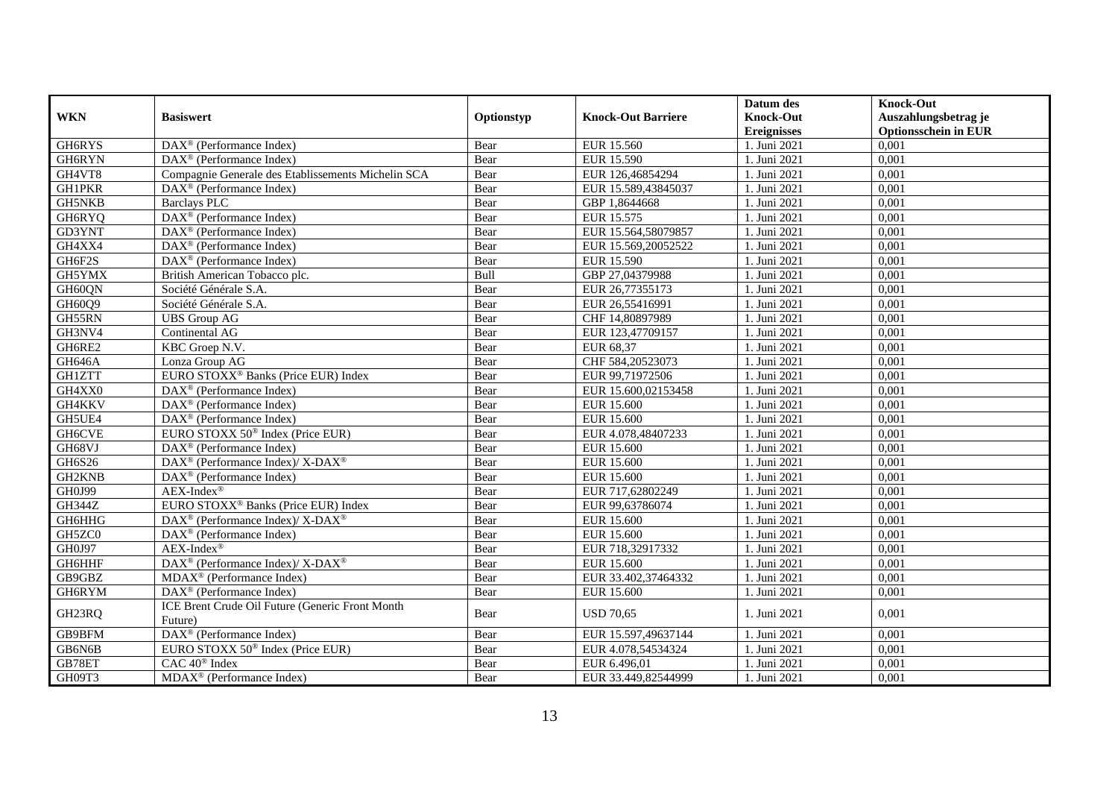|               |                                                             |            |                           | Datum des          | <b>Knock-Out</b>            |
|---------------|-------------------------------------------------------------|------------|---------------------------|--------------------|-----------------------------|
| <b>WKN</b>    | <b>Basiswert</b>                                            | Optionstyp | <b>Knock-Out Barriere</b> | <b>Knock-Out</b>   | Auszahlungsbetrag je        |
|               |                                                             |            |                           | <b>Ereignisses</b> | <b>Optionsschein in EUR</b> |
| GH6RYS        | DAX <sup>®</sup> (Performance Index)                        | Bear       | EUR 15.560                | 1. Juni 2021       | 0,001                       |
| GH6RYN        | $DAX^{\circledast}$ (Performance Index)                     | Bear       | EUR 15.590                | 1. Juni 2021       | 0,001                       |
| GH4VT8        | Compagnie Generale des Etablissements Michelin SCA          | Bear       | EUR 126,46854294          | 1. Juni 2021       | 0,001                       |
| <b>GH1PKR</b> | DAX <sup>®</sup> (Performance Index)                        | Bear       | EUR 15.589,43845037       | 1. Juni 2021       | 0,001                       |
| <b>GH5NKB</b> | Barclays PLC                                                | Bear       | GBP 1,8644668             | 1. Juni 2021       | 0,001                       |
| GH6RYQ        | DAX <sup>®</sup> (Performance Index)                        | Bear       | EUR 15.575                | 1. Juni 2021       | 0,001                       |
| GD3YNT        | $DAX^{\circledR}$ (Performance Index)                       | Bear       | EUR 15.564,58079857       | 1. Juni 2021       | 0,001                       |
| GH4XX4        | DAX <sup>®</sup> (Performance Index)                        | Bear       | EUR 15.569,20052522       | 1. Juni 2021       | 0,001                       |
| GH6F2S        | $DAX^{\circledR}$ (Performance Index)                       | Bear       | EUR 15.590                | 1. Juni 2021       | 0,001                       |
| GH5YMX        | British American Tobacco plc.                               | Bull       | GBP 27,04379988           | 1. Juni 2021       | 0,001                       |
| GH60QN        | Société Générale S.A.                                       | Bear       | EUR 26,77355173           | 1. Juni 2021       | 0,001                       |
| GH60Q9        | Société Générale S.A.                                       | Bear       | EUR 26,55416991           | 1. Juni 2021       | 0,001                       |
| GH55RN        | <b>UBS</b> Group AG                                         | Bear       | CHF 14,80897989           | 1. Juni 2021       | 0,001                       |
| GH3NV4        | Continental AG                                              | Bear       | EUR 123,47709157          | 1. Juni 2021       | 0,001                       |
| GH6RE2        | KBC Groep N.V.                                              | Bear       | EUR 68,37                 | 1. Juni 2021       | 0,001                       |
| <b>GH646A</b> | Lonza Group AG                                              | Bear       | CHF 584,20523073          | 1. Juni 2021       | 0,001                       |
| <b>GH1ZTT</b> | EURO STOXX <sup>®</sup> Banks (Price EUR) Index             | Bear       | EUR 99,71972506           | 1. Juni 2021       | 0,001                       |
| GH4XX0        | $DAX^{\circledR}$ (Performance Index)                       | Bear       | EUR 15.600.02153458       | 1. Juni 2021       | 0,001                       |
| GH4KKV        | $\text{DAX}^{\textcircled{}}$ (Performance Index)           | Bear       | <b>EUR 15.600</b>         | 1. Juni 2021       | 0,001                       |
| GH5UE4        | $\text{DAX}^{\textcircled{}}$ (Performance Index)           | Bear       | EUR 15.600                | 1. Juni 2021       | 0,001                       |
| GH6CVE        | EURO STOXX $50^{\circ}$ Index (Price EUR)                   | Bear       | EUR 4.078,48407233        | 1. Juni 2021       | 0,001                       |
| GH68VJ        | $\overline{\text{DAX}}^{\textcirc}$ (Performance Index)     | Bear       | <b>EUR 15.600</b>         | 1. Juni 2021       | 0,001                       |
| GH6S26        | DAX <sup>®</sup> (Performance Index)/ X-DAX <sup>®</sup>    | Bear       | <b>EUR 15.600</b>         | 1. Juni 2021       | 0,001                       |
| GH2KNB        | $DAX^{\circledast}$ (Performance Index)                     | Bear       | EUR 15.600                | 1. Juni 2021       | 0,001                       |
| GH0J99        | $AEX-Index^{\circledR}$                                     | Bear       | EUR 717,62802249          | 1. Juni 2021       | 0,001                       |
| <b>GH344Z</b> | EURO STOXX <sup>®</sup> Banks (Price EUR) Index             | Bear       | EUR 99,63786074           | 1. Juni 2021       | 0,001                       |
| GH6HHG        | $DAX^{\circledcirc}$ (Performance Index)/X-DAX <sup>®</sup> | Bear       | EUR 15.600                | 1. Juni 2021       | 0,001                       |
| GH5ZC0        | $\overline{\text{DAX}^{\otimes}}$ (Performance Index)       | Bear       | EUR 15.600                | 1. Juni 2021       | 0,001                       |
| GH0J97        | $AEX-Index^{\circledR}$                                     | Bear       | EUR 718,32917332          | 1. Juni 2021       | 0,001                       |
| GH6HHF        | DAX <sup>®</sup> (Performance Index)/ X-DAX <sup>®</sup>    | Bear       | <b>EUR 15.600</b>         | 1. Juni 2021       | 0,001                       |
| GB9GBZ        | MDAX <sup>®</sup> (Performance Index)                       | Bear       | EUR 33.402,37464332       | 1. Juni 2021       | 0,001                       |
| GH6RYM        | $\text{DAX}^{\circledast}$ (Performance Index)              | Bear       | <b>EUR 15.600</b>         | 1. Juni 2021       | 0,001                       |
| GH23RQ        | ICE Brent Crude Oil Future (Generic Front Month             | Bear       | <b>USD 70.65</b>          | 1. Juni 2021       | 0,001                       |
|               | Future)                                                     |            |                           |                    |                             |
| GB9BFM        | DAX <sup>®</sup> (Performance Index)                        | Bear       | EUR 15.597,49637144       | 1. Juni 2021       | 0,001                       |
| GB6N6B        | EURO STOXX 50 <sup>®</sup> Index (Price EUR)                | Bear       | EUR 4.078,54534324        | 1. Juni 2021       | 0,001                       |
| GB78ET        | CAC 40 <sup>®</sup> Index                                   | Bear       | EUR 6.496,01              | 1. Juni 2021       | 0,001                       |
| GH09T3        | MDAX <sup>®</sup> (Performance Index)                       | Bear       | EUR 33.449,82544999       | 1. Juni 2021       | 0,001                       |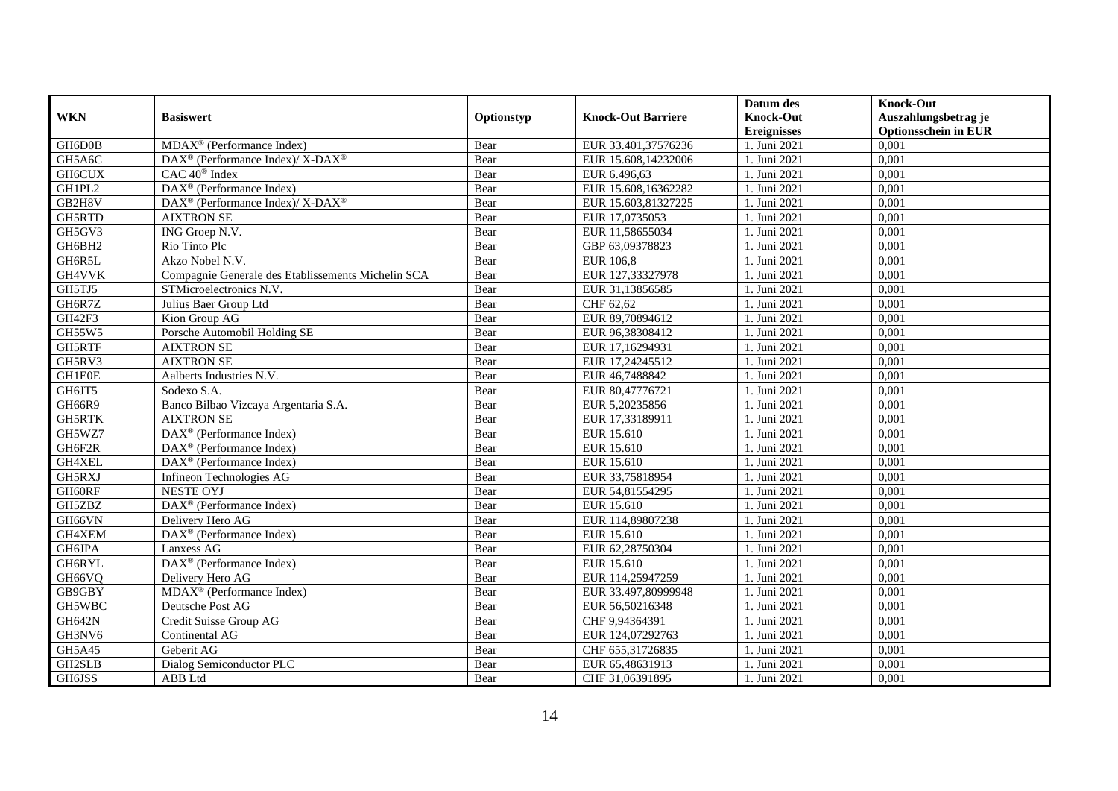| <b>WKN</b>    | <b>Basiswert</b>                                         | Optionstyp | <b>Knock-Out Barriere</b> | Datum des<br><b>Knock-Out</b> | <b>Knock-Out</b><br>Auszahlungsbetrag je |
|---------------|----------------------------------------------------------|------------|---------------------------|-------------------------------|------------------------------------------|
|               |                                                          |            |                           | <b>Ereignisses</b>            | <b>Optionsschein in EUR</b>              |
| GH6D0B        | MDAX <sup>®</sup> (Performance Index)                    | Bear       | EUR 33.401,37576236       | 1. Juni 2021                  | 0,001                                    |
| GH5A6C        | DAX <sup>®</sup> (Performance Index)/ X-DAX <sup>®</sup> | Bear       | EUR 15.608,14232006       | 1. Juni 2021                  | 0,001                                    |
| <b>GH6CUX</b> | CAC 40 <sup>®</sup> Index                                | Bear       | EUR 6.496,63              | 1. Juni 2021                  | 0,001                                    |
| GH1PL2        | DAX <sup>®</sup> (Performance Index)                     | Bear       | EUR 15.608,16362282       | 1. Juni 2021                  | 0,001                                    |
| GB2H8V        | DAX <sup>®</sup> (Performance Index)/X-DAX <sup>®</sup>  | Bear       | EUR 15.603,81327225       | 1. Juni 2021                  | 0,001                                    |
| GH5RTD        | <b>AIXTRON SE</b>                                        | Bear       | EUR 17,0735053            | 1. Juni 2021                  | 0,001                                    |
| GH5GV3        | ING Groep N.V.                                           | Bear       | EUR 11,58655034           | 1. Juni 2021                  | 0,001                                    |
| GH6BH2        | Rio Tinto Plc                                            | Bear       | GBP 63,09378823           | 1. Juni 2021                  | 0,001                                    |
| GH6R5L        | Akzo Nobel N.V.                                          | Bear       | <b>EUR 106,8</b>          | 1. Juni 2021                  | 0,001                                    |
| GH4VVK        | Compagnie Generale des Etablissements Michelin SCA       | Bear       | EUR 127,33327978          | 1. Juni 2021                  | 0,001                                    |
| GH5TJ5        | STMicroelectronics N.V.                                  | Bear       | EUR 31,13856585           | 1. Juni 2021                  | 0,001                                    |
| GH6R7Z        | Julius Baer Group Ltd                                    | Bear       | CHF 62,62                 | 1. Juni 2021                  | 0,001                                    |
| GH42F3        | Kion Group AG                                            | Bear       | EUR 89,70894612           | 1. Juni 2021                  | 0,001                                    |
| GH55W5        | Porsche Automobil Holding SE                             | Bear       | EUR 96,38308412           | 1. Juni 2021                  | 0,001                                    |
| GH5RTF        | <b>AIXTRON SE</b>                                        | Bear       | EUR 17,16294931           | 1. Juni 2021                  | 0,001                                    |
| GH5RV3        | <b>AIXTRON SE</b>                                        | Bear       | EUR 17,24245512           | 1. Juni 2021                  | 0,001                                    |
| GH1E0E        | Aalberts Industries N.V.                                 | Bear       | EUR 46,7488842            | 1. Juni 2021                  | 0,001                                    |
| GH6JT5        | Sodexo S.A.                                              | Bear       | EUR 80,47776721           | 1. Juni 2021                  | 0,001                                    |
| GH66R9        | Banco Bilbao Vizcaya Argentaria S.A.                     | Bear       | EUR 5,20235856            | 1. Juni 2021                  | 0,001                                    |
| GH5RTK        | <b>AIXTRON SE</b>                                        | Bear       | EUR 17,33189911           | 1. Juni 2021                  | 0,001                                    |
| GH5WZ7        | DAX <sup>®</sup> (Performance Index)                     | Bear       | EUR 15.610                | 1. Juni 2021                  | 0,001                                    |
| GH6F2R        | $DAX^{\circledR}$ (Performance Index)                    | Bear       | EUR 15.610                | 1. Juni 2021                  | 0,001                                    |
| GH4XEL        | $\overline{\text{DAX}^{\otimes}}$ (Performance Index)    | Bear       | EUR 15.610                | 1. Juni 2021                  | 0,001                                    |
| GH5RXJ        | Infineon Technologies AG                                 | Bear       | EUR 33,75818954           | 1. Juni 2021                  | 0,001                                    |
| GH60RF        | <b>NESTE OYJ</b>                                         | Bear       | EUR 54,81554295           | 1. Juni 2021                  | 0,001                                    |
| GH5ZBZ        | DAX <sup>®</sup> (Performance Index)                     | Bear       | EUR 15.610                | 1. Juni 2021                  | 0,001                                    |
| GH66VN        | Delivery Hero AG                                         | Bear       | EUR 114,89807238          | 1. Juni 2021                  | 0,001                                    |
| GH4XEM        | $\overline{\text{DAX}^{\otimes}}$ (Performance Index)    | Bear       | EUR 15.610                | 1. Juni 2021                  | 0,001                                    |
| GH6JPA        | Lanxess AG                                               | Bear       | EUR 62,28750304           | 1. Juni 2021                  | 0,001                                    |
| GH6RYL        | DAX <sup>®</sup> (Performance Index)                     | Bear       | EUR 15.610                | 1. Juni 2021                  | 0,001                                    |
| GH66VQ        | Delivery Hero AG                                         | Bear       | EUR 114,25947259          | 1. Juni 2021                  | 0,001                                    |
| GB9GBY        | MDAX <sup>®</sup> (Performance Index)                    | Bear       | EUR 33.497,80999948       | 1. Juni 2021                  | 0,001                                    |
| GH5WBC        | Deutsche Post AG                                         | Bear       | EUR 56,50216348           | 1. Juni 2021                  | 0,001                                    |
| <b>GH642N</b> | Credit Suisse Group AG                                   | Bear       | CHF 9,94364391            | 1. Juni 2021                  | 0,001                                    |
| GH3NV6        | Continental AG                                           | Bear       | EUR 124,07292763          | 1. Juni 2021                  | 0,001                                    |
| GH5A45        | Geberit AG                                               | Bear       | CHF 655,31726835          | 1. Juni 2021                  | 0,001                                    |
| GH2SLB        | Dialog Semiconductor PLC                                 | Bear       | EUR 65,48631913           | 1. Juni 2021                  | 0,001                                    |
| GH6JSS        | ABB Ltd                                                  | Bear       | CHF 31,06391895           | 1. Juni 2021                  | 0,001                                    |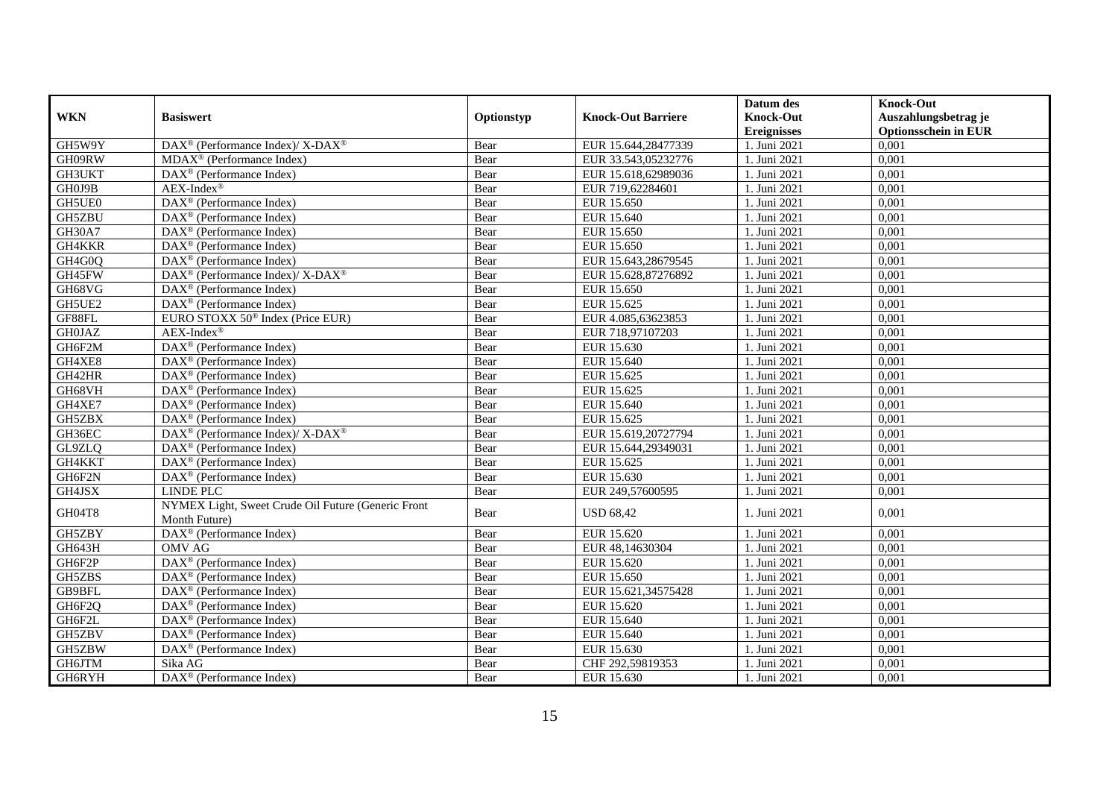| <b>WKN</b>    | <b>Basiswert</b>                                                    | Optionstyp | <b>Knock-Out Barriere</b> | Datum des<br><b>Knock-Out</b> | <b>Knock-Out</b><br>Auszahlungsbetrag je |
|---------------|---------------------------------------------------------------------|------------|---------------------------|-------------------------------|------------------------------------------|
|               |                                                                     |            |                           | <b>Ereignisses</b>            | <b>Optionsschein in EUR</b>              |
| GH5W9Y        | DAX <sup>®</sup> (Performance Index)/ X-DAX <sup>®</sup>            | Bear       | EUR 15.644,28477339       | 1. Juni 2021                  | 0,001                                    |
| GH09RW        | $MDAX^{\circledcirc}$ (Performance Index)                           | Bear       | EUR 33.543,05232776       | 1. Juni 2021                  | 0,001                                    |
| GH3UKT        | $DAX^{\circledR}$ (Performance Index)                               | Bear       | EUR 15.618,62989036       | 1. Juni 2021                  | 0,001                                    |
| GH0J9B        | $AEX-Index^{\circledR}$                                             | Bear       | EUR 719,62284601          | 1. Juni 2021                  | 0,001                                    |
| GH5UE0        | DAX <sup>®</sup> (Performance Index)                                | Bear       | EUR 15.650                | 1. Juni 2021                  | 0,001                                    |
| GH5ZBU        | $DAX^{\circledR}$ (Performance Index)                               | Bear       | EUR 15.640                | 1. Juni 2021                  | 0,001                                    |
| GH30A7        | DAX <sup>®</sup> (Performance Index)                                | Bear       | EUR 15.650                | 1. Juni 2021                  | 0,001                                    |
| GH4KKR        | $DAX^{\circledast}$ (Performance Index)                             | Bear       | EUR 15.650                | 1. Juni 2021                  | 0,001                                    |
| GH4G0Q        | DAX <sup>®</sup> (Performance Index)                                | Bear       | EUR 15.643,28679545       | 1. Juni 2021                  | 0.001                                    |
| GH45FW        | DAX <sup>®</sup> (Performance Index)/ X-DAX <sup>®</sup>            | Bear       | EUR 15.628,87276892       | 1. Juni 2021                  | 0,001                                    |
| GH68VG        | DAX <sup>®</sup> (Performance Index)                                | Bear       | EUR 15.650                | 1. Juni 2021                  | 0,001                                    |
| GH5UE2        | $DAX^{\circledR}$ (Performance Index)                               | Bear       | EUR 15.625                | 1. Juni 2021                  | 0,001                                    |
| GF88FL        | EURO STOXX 50 <sup>®</sup> Index (Price EUR)                        | Bear       | EUR 4.085,63623853        | 1. Juni 2021                  | 0,001                                    |
| <b>GH0JAZ</b> | $AEX-Index^{\circledR}$                                             | Bear       | EUR 718,97107203          | 1. Juni 2021                  | 0,001                                    |
| GH6F2M        | $DAX^{\circledR}$ (Performance Index)                               | Bear       | EUR 15.630                | 1. Juni 2021                  | 0,001                                    |
| GH4XE8        | DAX <sup>®</sup> (Performance Index)                                | Bear       | EUR 15.640                | 1. Juni 2021                  | 0,001                                    |
| GH42HR        | $DAX^{\circledR}$ (Performance Index)                               | Bear       | EUR 15.625                | 1. Juni 2021                  | 0,001                                    |
| GH68VH        | $\overline{\text{DAX}}^{\textcirc}$ (Performance Index)             | Bear       | EUR 15.625                | 1. Juni 2021                  | 0,001                                    |
| GH4XE7        | DAX <sup>®</sup> (Performance Index)                                | Bear       | EUR 15.640                | 1. Juni 2021                  | 0,001                                    |
| GH5ZBX        | $DAX^{\circledR}$ (Performance Index)                               | Bear       | EUR 15.625                | 1. Juni 2021                  | 0,001                                    |
| GH36EC        | DAX <sup>®</sup> (Performance Index)/ X-DAX <sup>®</sup>            | Bear       | EUR 15.619,20727794       | 1. Juni 2021                  | 0,001                                    |
| GL9ZLQ        | $DAX^{\circledR}$ (Performance Index)                               | Bear       | EUR 15.644,29349031       | 1. Juni 2021                  | 0,001                                    |
| GH4KKT        | $DAX^{\circledR}$ (Performance Index)                               | Bear       | EUR 15.625                | 1. Juni 2021                  | 0,001                                    |
| GH6F2N        | $DAX^{\circledR}$ (Performance Index)                               | Bear       | EUR 15.630                | 1. Juni 2021                  | 0,001                                    |
| GH4JSX        | <b>LINDE PLC</b>                                                    | Bear       | EUR 249,57600595          | 1. Juni 2021                  | 0,001                                    |
| GH04T8        | NYMEX Light, Sweet Crude Oil Future (Generic Front<br>Month Future) | Bear       | <b>USD 68,42</b>          | 1. Juni 2021                  | 0.001                                    |
| GH5ZBY        | DAX <sup>®</sup> (Performance Index)                                | Bear       | EUR 15.620                | 1. Juni 2021                  | 0,001                                    |
| GH643H        | OMV AG                                                              | Bear       | EUR 48,14630304           | 1. Juni 2021                  | 0,001                                    |
| GH6F2P        | DAX <sup>®</sup> (Performance Index)                                | Bear       | EUR 15.620                | 1. Juni 2021                  | 0,001                                    |
| GH5ZBS        | DAX <sup>®</sup> (Performance Index)                                | Bear       | EUR 15.650                | 1. Juni 2021                  | 0,001                                    |
| GB9BFL        | DAX <sup>®</sup> (Performance Index)                                | Bear       | EUR 15.621,34575428       | 1. Juni 2021                  | 0,001                                    |
| GH6F2Q        | $\overline{\text{DAX}}^{\textcirc}$ (Performance Index)             | Bear       | EUR 15.620                | 1. Juni 2021                  | 0,001                                    |
| GH6F2L        | $\overline{\text{DAX}}^{\textcirc}$ (Performance Index)             | Bear       | EUR 15.640                | 1. Juni 2021                  | 0,001                                    |
| GH5ZBV        | DAX <sup>®</sup> (Performance Index)                                | Bear       | EUR 15.640                | 1. Juni 2021                  | 0,001                                    |
| GH5ZBW        | $DAX^{\circledast}$ (Performance Index)                             | Bear       | EUR 15.630                | 1. Juni 2021                  | 0,001                                    |
| GH6JTM        | Sika AG                                                             | Bear       | CHF 292,59819353          | 1. Juni 2021                  | 0,001                                    |
| GH6RYH        | DAX <sup>®</sup> (Performance Index)                                | Bear       | EUR 15.630                | 1. Juni 2021                  | 0,001                                    |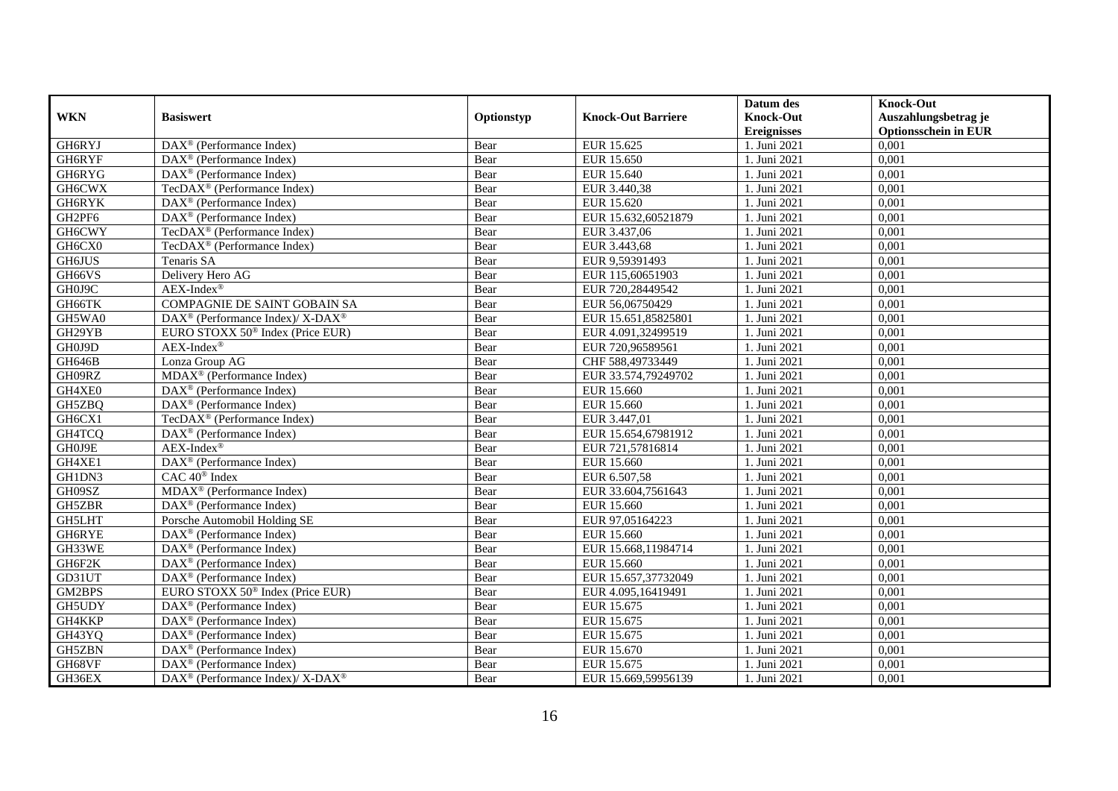| <b>WKN</b>    | <b>Basiswert</b>                                            | Optionstyp | <b>Knock-Out Barriere</b> | Datum des<br><b>Knock-Out</b><br><b>Ereignisses</b> | <b>Knock-Out</b><br>Auszahlungsbetrag je<br><b>Optionsschein in EUR</b> |
|---------------|-------------------------------------------------------------|------------|---------------------------|-----------------------------------------------------|-------------------------------------------------------------------------|
| GH6RYJ        | $\overline{\text{DAX}^{\otimes}}$ (Performance Index)       | Bear       | EUR 15.625                | 1. Juni 2021                                        | 0,001                                                                   |
| GH6RYF        | $DAX^{\circledR}$ (Performance Index)                       | Bear       | EUR 15.650                | 1. Juni 2021                                        | 0,001                                                                   |
| GH6RYG        | DAX <sup>®</sup> (Performance Index)                        | Bear       | EUR 15.640                | 1. Juni 2021                                        | 0,001                                                                   |
| GH6CWX        | TecDAX <sup>®</sup> (Performance Index)                     | Bear       | EUR 3.440,38              | 1. Juni 2021                                        | 0,001                                                                   |
| GH6RYK        | DAX <sup>®</sup> (Performance Index)                        | Bear       | EUR 15.620                | 1. Juni 2021                                        | 0,001                                                                   |
| GH2PF6        | $DAX^{\circledR}$ (Performance Index)                       | Bear       | EUR 15.632,60521879       | 1. Juni 2021                                        | 0,001                                                                   |
| GH6CWY        | TecDAX <sup>®</sup> (Performance Index)                     | Bear       | EUR 3.437,06              | 1. Juni 2021                                        | 0,001                                                                   |
| GH6CX0        | TecDAX <sup>®</sup> (Performance Index)                     | Bear       | EUR 3.443,68              | 1. Juni 2021                                        | 0,001                                                                   |
| <b>GH6JUS</b> | Tenaris SA                                                  | Bear       | EUR 9,59391493            | 1. Juni 2021                                        | 0,001                                                                   |
| GH66VS        | Delivery Hero AG                                            | Bear       | EUR 115,60651903          | 1. Juni 2021                                        | 0,001                                                                   |
| GH0J9C        | $AEX-Index^{\circledR}$                                     | Bear       | EUR 720,28449542          | 1. Juni 2021                                        | 0,001                                                                   |
| GH66TK        | COMPAGNIE DE SAINT GOBAIN SA                                | Bear       | EUR 56,06750429           | 1. Juni 2021                                        | 0,001                                                                   |
| GH5WA0        | DAX <sup>®</sup> (Performance Index)/ X-DAX <sup>®</sup>    | Bear       | EUR 15.651,85825801       | 1. Juni 2021                                        | 0,001                                                                   |
| GH29YB        | EURO STOXX 50 <sup>®</sup> Index (Price EUR)                | Bear       | EUR 4.091,32499519        | 1. Juni 2021                                        | 0,001                                                                   |
| GH0J9D        | $AEX-Index^{\circledR}$                                     | Bear       | EUR 720,96589561          | 1. Juni 2021                                        | 0,001                                                                   |
| GH646B        | Lonza Group AG                                              | Bear       | CHF 588,49733449          | 1. Juni 2021                                        | 0,001                                                                   |
| GH09RZ        | MDAX <sup>®</sup> (Performance Index)                       | Bear       | EUR 33.574,79249702       | 1. Juni 2021                                        | 0,001                                                                   |
| GH4XE0        | $\overline{\text{DAX}^{\otimes}}$ (Performance Index)       | Bear       | EUR 15.660                | 1. Juni 2021                                        | 0,001                                                                   |
| GH5ZBQ        | $DAX^{\circledast}$ (Performance Index)                     | Bear       | EUR 15.660                | 1. Juni 2021                                        | 0,001                                                                   |
| GH6CX1        | TecDAX <sup>®</sup> (Performance Index)                     | Bear       | EUR 3.447,01              | 1. Juni 2021                                        | 0,001                                                                   |
| GH4TCQ        | DAX <sup>®</sup> (Performance Index)                        | Bear       | EUR 15.654,67981912       | 1. Juni 2021                                        | 0,001                                                                   |
| GH0J9E        | $AEX-Index^{\circledR}$                                     | Bear       | EUR 721,57816814          | 1. Juni 2021                                        | 0,001                                                                   |
| GH4XE1        | DAX <sup>®</sup> (Performance Index)                        | Bear       | EUR 15.660                | 1. Juni 2021                                        | 0,001                                                                   |
| GH1DN3        | CAC 40 <sup>®</sup> Index                                   | Bear       | EUR 6.507,58              | 1. Juni 2021                                        | 0,001                                                                   |
| GH09SZ        | $MDAX^{\circledR}$ (Performance Index)                      | Bear       | EUR 33.604,7561643        | 1. Juni 2021                                        | 0,001                                                                   |
| GH5ZBR        | DAX <sup>®</sup> (Performance Index)                        | Bear       | EUR 15.660                | 1. Juni 2021                                        | 0,001                                                                   |
| GH5LHT        | Porsche Automobil Holding SE                                | Bear       | EUR 97,05164223           | 1. Juni 2021                                        | 0,001                                                                   |
| GH6RYE        | $DAX^{\circledR}$ (Performance Index)                       | Bear       | EUR 15.660                | 1. Juni 2021                                        | 0,001                                                                   |
| GH33WE        | DAX <sup>®</sup> (Performance Index)                        | Bear       | EUR 15.668,11984714       | 1. Juni 2021                                        | 0,001                                                                   |
| GH6F2K        | $DAX^{\circledR}$ (Performance Index)                       | Bear       | EUR 15.660                | 1. Juni 2021                                        | 0.001                                                                   |
| GD31UT        | $DAX^{\circledR}$ (Performance Index)                       | Bear       | EUR 15.657,37732049       | 1. Juni 2021                                        | 0,001                                                                   |
| GM2BPS        | EURO STOXX 50 <sup>®</sup> Index (Price EUR)                | Bear       | EUR 4.095,16419491        | 1. Juni 2021                                        | 0,001                                                                   |
| <b>GH5UDY</b> | $\overline{\text{DAX}^{\otimes}}$ (Performance Index)       | Bear       | EUR 15.675                | 1. Juni 2021                                        | 0,001                                                                   |
| GH4KKP        | $\overline{\text{DAX}^{\otimes}}$ (Performance Index)       | Bear       | EUR 15.675                | 1. Juni 2021                                        | 0,001                                                                   |
| GH43YQ        | DAX <sup>®</sup> (Performance Index)                        | Bear       | EUR 15.675                | 1. Juni 2021                                        | 0,001                                                                   |
| GH5ZBN        | $DAX^{\circledR}$ (Performance Index)                       | Bear       | EUR 15.670                | 1. Juni 2021                                        | 0,001                                                                   |
| GH68VF        | DAX <sup>®</sup> (Performance Index)                        | Bear       | EUR 15.675                | 1. Juni 2021                                        | 0,001                                                                   |
| GH36EX        | $DAX^{\circledast}$ (Performance Index)/ X-DAX <sup>®</sup> | Bear       | EUR 15.669,59956139       | 1. Juni 2021                                        | 0,001                                                                   |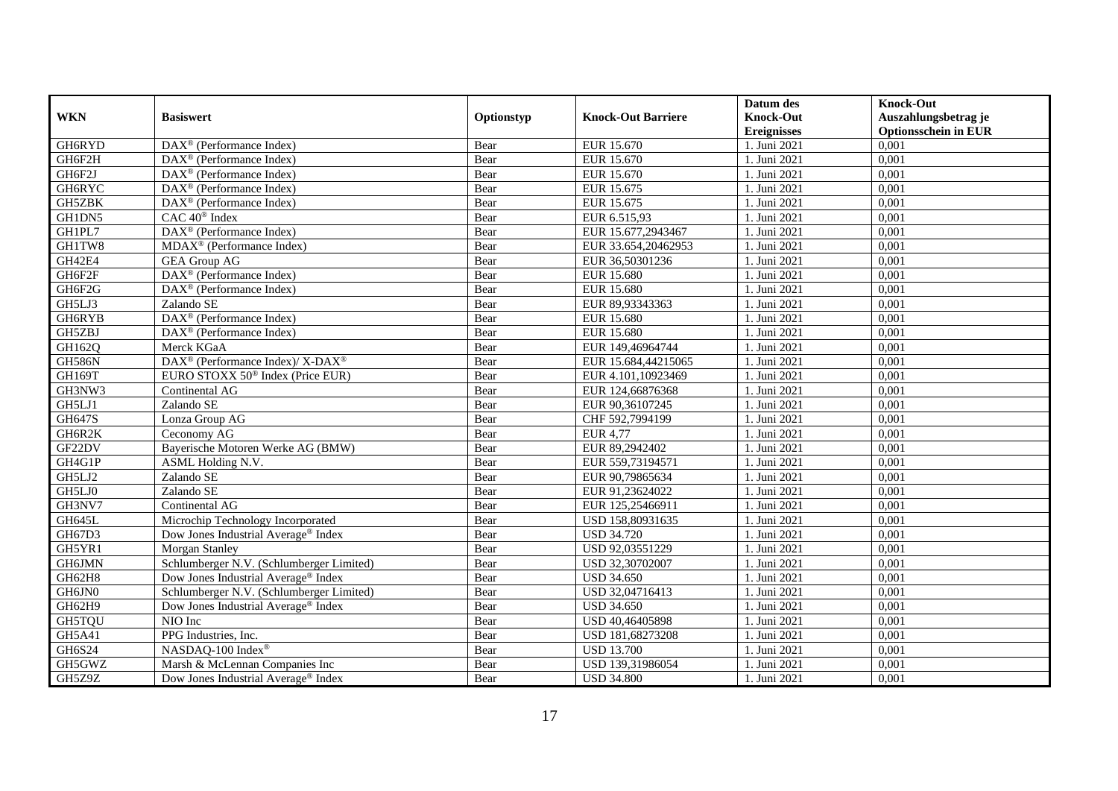| <b>WKN</b>    | <b>Basiswert</b>                                         | Optionstyp | <b>Knock-Out Barriere</b> | Datum des<br><b>Knock-Out</b><br><b>Ereignisses</b> | <b>Knock-Out</b><br>Auszahlungsbetrag je<br><b>Optionsschein in EUR</b> |
|---------------|----------------------------------------------------------|------------|---------------------------|-----------------------------------------------------|-------------------------------------------------------------------------|
| GH6RYD        | $\overline{\text{DAX}^{\otimes}}$ (Performance Index)    | Bear       | EUR 15.670                | 1. Juni 2021                                        | 0,001                                                                   |
| GH6F2H        | $DAX^{\circledR}$ (Performance Index)                    | Bear       | EUR 15.670                | 1. Juni 2021                                        | 0,001                                                                   |
| GH6F2J        | DAX <sup>®</sup> (Performance Index)                     | Bear       | EUR 15.670                | 1. Juni 2021                                        | 0,001                                                                   |
| GH6RYC        | $DAX^{\circledast}$ (Performance Index)                  | Bear       | EUR 15.675                | 1. Juni 2021                                        | 0,001                                                                   |
| GH5ZBK        | DAX <sup>®</sup> (Performance Index)                     | Bear       | EUR 15.675                | 1. Juni 2021                                        | 0,001                                                                   |
| GH1DN5        | CAC 40 <sup>®</sup> Index                                | Bear       | EUR 6.515,93              | 1. Juni 2021                                        | 0,001                                                                   |
| GH1PL7        | DAX <sup>®</sup> (Performance Index)                     | Bear       | EUR 15.677,2943467        | 1. Juni 2021                                        | 0,001                                                                   |
| GH1TW8        | MDAX <sup>®</sup> (Performance Index)                    | Bear       | EUR 33.654,20462953       | 1. Juni 2021                                        | 0,001                                                                   |
| GH42E4        | <b>GEA Group AG</b>                                      | Bear       | EUR 36,50301236           | 1. Juni 2021                                        | 0,001                                                                   |
| GH6F2F        | DAX <sup>®</sup> (Performance Index)                     | Bear       | <b>EUR 15.680</b>         | 1. Juni 2021                                        | 0,001                                                                   |
| GH6F2G        | DAX <sup>®</sup> (Performance Index)                     | Bear       | <b>EUR 15.680</b>         | 1. Juni 2021                                        | 0,001                                                                   |
| GH5LJ3        | Zalando SE                                               | Bear       | EUR 89,93343363           | 1. Juni 2021                                        | 0,001                                                                   |
| GH6RYB        | $\overline{\text{DAX}^{\otimes}}$ (Performance Index)    | Bear       | <b>EUR 15.680</b>         | 1. Juni 2021                                        | 0,001                                                                   |
| GH5ZBJ        | DAX <sup>®</sup> (Performance Index)                     | Bear       | <b>EUR 15.680</b>         | 1. Juni 2021                                        | 0,001                                                                   |
| GH162Q        | Merck KGaA                                               | Bear       | EUR 149,46964744          | 1. Juni 2021                                        | 0,001                                                                   |
| <b>GH586N</b> | DAX <sup>®</sup> (Performance Index)/ X-DAX <sup>®</sup> | Bear       | EUR 15.684,44215065       | 1. Juni 2021                                        | 0,001                                                                   |
| GH169T        | EURO STOXX 50 <sup>®</sup> Index (Price EUR)             | Bear       | EUR 4.101,10923469        | 1. Juni 2021                                        | 0,001                                                                   |
| GH3NW3        | Continental AG                                           | Bear       | EUR 124,66876368          | 1. Juni 2021                                        | 0,001                                                                   |
| GH5LJ1        | Zalando SE                                               | Bear       | EUR 90,36107245           | 1. Juni 2021                                        | 0,001                                                                   |
| GH647S        | Lonza Group AG                                           | Bear       | CHF 592,7994199           | 1. Juni 2021                                        | 0,001                                                                   |
| GH6R2K        | Ceconomy AG                                              | Bear       | <b>EUR 4,77</b>           | 1. Juni 2021                                        | 0,001                                                                   |
| GF22DV        | Bayerische Motoren Werke AG (BMW)                        | Bear       | EUR 89,2942402            | 1. Juni 2021                                        | 0,001                                                                   |
| GH4G1P        | ASML Holding N.V.                                        | Bear       | EUR 559,73194571          | 1. Juni 2021                                        | 0,001                                                                   |
| GH5LJ2        | Zalando SE                                               | Bear       | EUR 90,79865634           | 1. Juni 2021                                        | 0,001                                                                   |
| GH5LJ0        | Zalando SE                                               | Bear       | EUR 91,23624022           | 1. Juni 2021                                        | 0,001                                                                   |
| GH3NV7        | Continental AG                                           | Bear       | EUR 125,25466911          | 1. Juni 2021                                        | 0,001                                                                   |
| GH645L        | Microchip Technology Incorporated                        | Bear       | USD 158,80931635          | 1. Juni 2021                                        | 0,001                                                                   |
| GH67D3        | Dow Jones Industrial Average® Index                      | Bear       | <b>USD 34.720</b>         | 1. Juni 2021                                        | 0,001                                                                   |
| GH5YR1        | Morgan Stanley                                           | Bear       | USD 92,03551229           | 1. Juni 2021                                        | 0,001                                                                   |
| GH6JMN        | Schlumberger N.V. (Schlumberger Limited)                 | Bear       | USD 32,30702007           | 1. Juni 2021                                        | 0.001                                                                   |
| GH62H8        | Dow Jones Industrial Average® Index                      | Bear       | <b>USD 34.650</b>         | 1. Juni 2021                                        | 0,001                                                                   |
| GH6JN0        | Schlumberger N.V. (Schlumberger Limited)                 | Bear       | USD 32,04716413           | 1. Juni 2021                                        | 0,001                                                                   |
| GH62H9        | Dow Jones Industrial Average® Index                      | Bear       | <b>USD 34.650</b>         | 1. Juni 2021                                        | 0,001                                                                   |
| <b>GH5TQU</b> | NIO Inc                                                  | Bear       | USD 40,46405898           | 1. Juni 2021                                        | 0,001                                                                   |
| <b>GH5A41</b> | PPG Industries, Inc.                                     | Bear       | USD 181,68273208          | 1. Juni 2021                                        | 0,001                                                                   |
| GH6S24        | NASDAQ-100 Index®                                        | Bear       | <b>USD 13.700</b>         | 1. Juni 2021                                        | 0,001                                                                   |
| GH5GWZ        | Marsh & McLennan Companies Inc                           | Bear       | USD 139,31986054          | 1. Juni 2021                                        | 0,001                                                                   |
| GH5Z9Z        | Dow Jones Industrial Average® Index                      | Bear       | <b>USD 34.800</b>         | 1. Juni 2021                                        | 0,001                                                                   |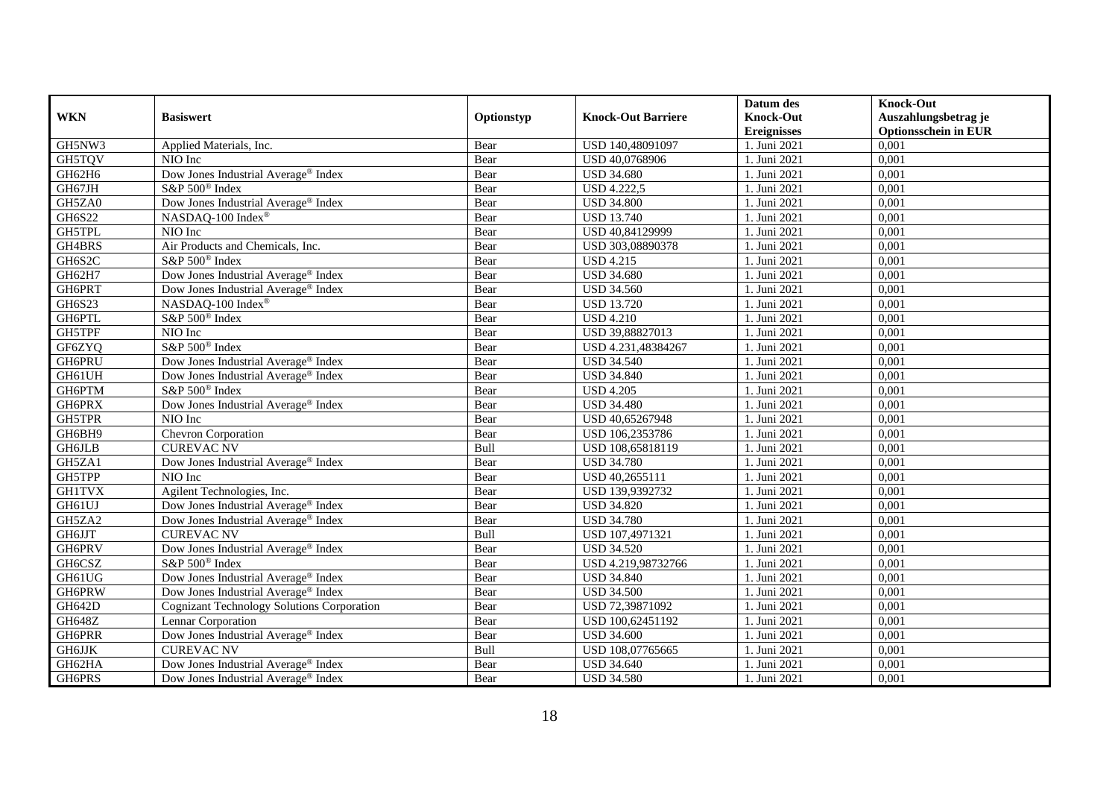|               |                                                 |            |                           | Datum des          | <b>Knock-Out</b>            |
|---------------|-------------------------------------------------|------------|---------------------------|--------------------|-----------------------------|
| <b>WKN</b>    | <b>Basiswert</b>                                | Optionstyp | <b>Knock-Out Barriere</b> | <b>Knock-Out</b>   | Auszahlungsbetrag je        |
|               |                                                 |            |                           | <b>Ereignisses</b> | <b>Optionsschein in EUR</b> |
| GH5NW3        | Applied Materials, Inc.                         | Bear       | USD 140,48091097          | 1. Juni 2021       | 0,001                       |
| GH5TQV        | NIO Inc                                         | Bear       | USD 40,0768906            | 1. Juni 2021       | 0,001                       |
| GH62H6        | Dow Jones Industrial Average® Index             | Bear       | <b>USD 34.680</b>         | 1. Juni 2021       | 0,001                       |
| GH67JH        | S&P 500 <sup>®</sup> Index                      | Bear       | <b>USD 4.222,5</b>        | 1. Juni 2021       | 0,001                       |
| GH5ZA0        | Dow Jones Industrial Average <sup>®</sup> Index | Bear       | <b>USD 34.800</b>         | 1. Juni 2021       | 0,001                       |
| GH6S22        | NASDAQ-100 Index®                               | Bear       | <b>USD 13.740</b>         | 1. Juni 2021       | 0,001                       |
| <b>GH5TPL</b> | NIO Inc                                         | Bear       | USD 40,84129999           | 1. Juni 2021       | 0,001                       |
| GH4BRS        | Air Products and Chemicals, Inc.                | Bear       | USD 303,08890378          | 1. Juni 2021       | 0,001                       |
| GH6S2C        | S&P 500 <sup>®</sup> Index                      | Bear       | <b>USD 4.215</b>          | 1. Juni 2021       | 0,001                       |
| GH62H7        | Dow Jones Industrial Average <sup>®</sup> Index | Bear       | <b>USD 34.680</b>         | 1. Juni 2021       | 0,001                       |
| GH6PRT        | Dow Jones Industrial Average <sup>®</sup> Index | Bear       | <b>USD 34.560</b>         | 1. Juni 2021       | 0,001                       |
| GH6S23        | NASDAQ-100 Index®                               | Bear       | <b>USD 13.720</b>         | 1. Juni 2021       | 0,001                       |
| GH6PTL        | S&P 500 <sup>®</sup> Index                      | Bear       | <b>USD 4.210</b>          | 1. Juni 2021       | 0,001                       |
| GH5TPF        | NIO Inc                                         | Bear       | USD 39,88827013           | 1. Juni 2021       | 0,001                       |
| GF6ZYQ        | S&P 500 <sup>®</sup> Index                      | Bear       | USD 4.231,48384267        | . Juni 2021        | 0,001                       |
| GH6PRU        | Dow Jones Industrial Average <sup>®</sup> Index | Bear       | <b>USD 34.540</b>         | 1. Juni 2021       | 0,001                       |
| GH61UH        | Dow Jones Industrial Average® Index             | Bear       | <b>USD 34.840</b>         | 1. Juni 2021       | 0,001                       |
| GH6PTM        | S&P 500 <sup>®</sup> Index                      | Bear       | <b>USD 4.205</b>          | 1. Juni 2021       | 0,001                       |
| <b>GH6PRX</b> | Dow Jones Industrial Average® Index             | Bear       | <b>USD 34.480</b>         | 1. Juni 2021       | 0,001                       |
| GH5TPR        | NIO Inc                                         | Bear       | USD 40,65267948           | 1. Juni 2021       | 0,001                       |
| GH6BH9        | Chevron Corporation                             | Bear       | USD 106,2353786           | 1. Juni 2021       | 0,001                       |
| <b>GH6JLB</b> | <b>CUREVAC NV</b>                               | Bull       | USD 108,65818119          | 1. Juni 2021       | 0,001                       |
| GH5ZA1        | Dow Jones Industrial Average® Index             | Bear       | <b>USD 34.780</b>         | 1. Juni 2021       | 0,001                       |
| GH5TPP        | NIO Inc                                         | Bear       | USD 40,2655111            | 1. Juni 2021       | 0,001                       |
| <b>GH1TVX</b> | Agilent Technologies, Inc.                      | Bear       | USD 139,9392732           | 1. Juni 2021       | 0,001                       |
| GH61UJ        | Dow Jones Industrial Average <sup>®</sup> Index | Bear       | <b>USD 34.820</b>         | 1. Juni 2021       | 0,001                       |
| GH5ZA2        | Dow Jones Industrial Average® Index             | Bear       | <b>USD 34.780</b>         | 1. Juni $2021$     | 0,001                       |
| <b>GH6JJT</b> | <b>CUREVAC NV</b>                               | Bull       | USD 107,4971321           | 1. Juni 2021       | 0,001                       |
| GH6PRV        | Dow Jones Industrial Average <sup>®</sup> Index | Bear       | <b>USD 34.520</b>         | 1. Juni 2021       | 0,001                       |
| GH6CSZ        | S&P 500 <sup>®</sup> Index                      | Bear       | USD 4.219,98732766        | 1. Juni 2021       | 0,001                       |
| GH61UG        | Dow Jones Industrial Average® Index             | Bear       | <b>USD 34.840</b>         | 1. Juni 2021       | 0,001                       |
| GH6PRW        | Dow Jones Industrial Average <sup>®</sup> Index | Bear       | <b>USD 34.500</b>         | 1. Juni 2021       | 0,001                       |
| <b>GH642D</b> | Cognizant Technology Solutions Corporation      | Bear       | USD 72,39871092           | 1. Juni 2021       | 0,001                       |
| <b>GH648Z</b> | Lennar Corporation                              | Bear       | USD 100,62451192          | 1. Juni 2021       | 0,001                       |
| GH6PRR        | Dow Jones Industrial Average® Index             | Bear       | <b>USD 34.600</b>         | 1. Juni 2021       | 0,001                       |
| $\,$ GH6JJK   | <b>CUREVAC NV</b>                               | Bull       | USD 108,07765665          | 1. Juni 2021       | 0,001                       |
| GH62HA        | Dow Jones Industrial Average <sup>®</sup> Index | Bear       | <b>USD 34.640</b>         | 1. Juni 2021       | 0,001                       |
| GH6PRS        | Dow Jones Industrial Average® Index             | Bear       | <b>USD 34.580</b>         | 1. Juni 2021       | 0,001                       |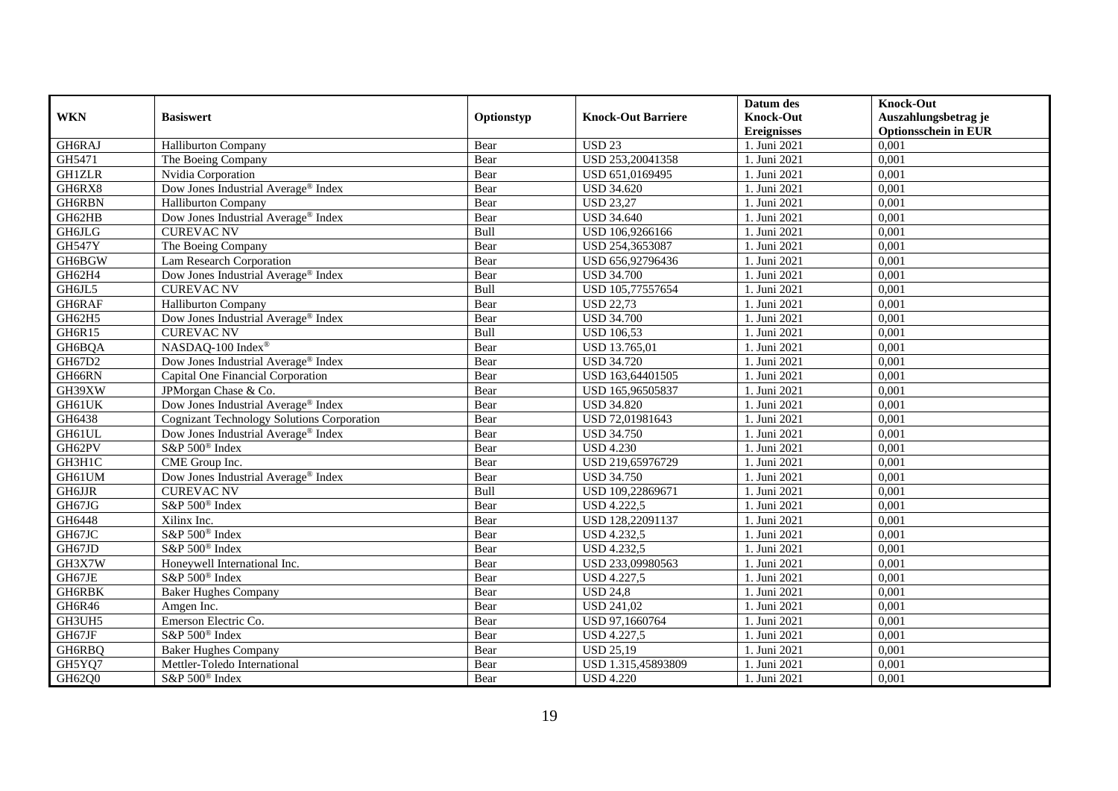|               |                                                   |            |                           | Datum des          | <b>Knock-Out</b>            |
|---------------|---------------------------------------------------|------------|---------------------------|--------------------|-----------------------------|
| <b>WKN</b>    | <b>Basiswert</b>                                  | Optionstyp | <b>Knock-Out Barriere</b> | <b>Knock-Out</b>   | Auszahlungsbetrag je        |
|               |                                                   |            |                           | <b>Ereignisses</b> | <b>Optionsschein in EUR</b> |
| GH6RAJ        | <b>Halliburton Company</b>                        | Bear       | <b>USD 23</b>             | 1. Juni 2021       | 0,001                       |
| GH5471        | The Boeing Company                                | Bear       | USD 253,20041358          | 1. Juni 2021       | 0,001                       |
| <b>GH1ZLR</b> | Nvidia Corporation                                | Bear       | USD 651,0169495           | 1. Juni 2021       | 0,001                       |
| GH6RX8        | Dow Jones Industrial Average® Index               | Bear       | <b>USD 34.620</b>         | 1. Juni 2021       | 0,001                       |
| GH6RBN        | <b>Halliburton Company</b>                        | Bear       | <b>USD 23,27</b>          | 1. Juni 2021       | 0,001                       |
| GH62HB        | Dow Jones Industrial Average® Index               | Bear       | <b>USD 34.640</b>         | 1. Juni 2021       | 0,001                       |
| GH6JLG        | <b>CUREVAC NV</b>                                 | Bull       | USD 106,9266166           | 1. Juni 2021       | 0,001                       |
| <b>GH547Y</b> | The Boeing Company                                | Bear       | USD 254,3653087           | 1. Juni 2021       | 0,001                       |
| GH6BGW        | <b>Lam Research Corporation</b>                   | Bear       | USD 656,92796436          | 1. Juni 2021       | 0,001                       |
| GH62H4        | Dow Jones Industrial Average <sup>®</sup> Index   | Bear       | <b>USD 34.700</b>         | 1. Juni 2021       | 0,001                       |
| GH6JL5        | <b>CUREVAC NV</b>                                 | Bull       | USD 105,77557654          | 1. Juni 2021       | 0,001                       |
| GH6RAF        | <b>Halliburton Company</b>                        | Bear       | <b>USD 22,73</b>          | 1. Juni 2021       | 0,001                       |
| GH62H5        | Dow Jones Industrial Average® Index               | Bear       | <b>USD 34.700</b>         | 1. Juni 2021       | 0,001                       |
| GH6R15        | <b>CUREVAC NV</b>                                 | Bull       | <b>USD 106.53</b>         | 1. Juni 2021       | 0,001                       |
| GH6BQA        | NASDAQ-100 Index®                                 | Bear       | USD 13.765,01             | 1. Juni 2021       | 0,001                       |
| GH67D2        | Dow Jones Industrial Average <sup>®</sup> Index   | Bear       | <b>USD 34.720</b>         | 1. Juni 2021       | 0,001                       |
| GH66RN        | Capital One Financial Corporation                 | Bear       | USD 163,64401505          | 1. Juni 2021       | 0,001                       |
| GH39XW        | JPMorgan Chase & Co.                              | Bear       | USD 165,96505837          | 1. Juni 2021       | 0,001                       |
| GH61UK        | Dow Jones Industrial Average <sup>®</sup> Index   | Bear       | <b>USD 34.820</b>         | 1. Juni 2021       | 0,001                       |
| GH6438        | <b>Cognizant Technology Solutions Corporation</b> | Bear       | USD 72,01981643           | 1. Juni 2021       | 0,001                       |
| GH61UL        | Dow Jones Industrial Average® Index               | Bear       | <b>USD 34.750</b>         | 1. Juni $2021$     | 0,001                       |
| GH62PV        | S&P 500 <sup>®</sup> Index                        | Bear       | <b>USD 4.230</b>          | 1. Juni 2021       | 0,001                       |
| GH3H1C        | CME Group Inc.                                    | Bear       | USD 219,65976729          | 1. Juni 2021       | 0,001                       |
| GH61UM        | Dow Jones Industrial Average <sup>®</sup> Index   | Bear       | <b>USD 34.750</b>         | 1. Juni 2021       | 0,001                       |
| GH6JJR        | <b>CUREVAC NV</b>                                 | Bull       | USD 109,22869671          | 1. Juni 2021       | 0,001                       |
| GH67JG        | S&P 500 <sup>®</sup> Index                        | Bear       | <b>USD 4.222,5</b>        | 1. Juni 2021       | 0,001                       |
| GH6448        | Xilinx Inc.                                       | Bear       | USD 128,22091137          | 1. Juni 2021       | 0,001                       |
| GH67JC        | S&P 500 <sup>®</sup> Index                        | Bear       | <b>USD 4.232,5</b>        | 1. Juni 2021       | 0,001                       |
| GH67JD        | S&P 500 <sup>®</sup> Index                        | Bear       | <b>USD 4.232,5</b>        | 1. Juni 2021       | 0,001                       |
| GH3X7W        | Honeywell International Inc.                      | Bear       | USD 233,09980563          | 1. Juni 2021       | 0,001                       |
| GH67JE        | S&P 500 <sup>®</sup> Index                        | Bear       | <b>USD 4.227,5</b>        | 1. Juni 2021       | 0,001                       |
| GH6RBK        | <b>Baker Hughes Company</b>                       | Bear       | <b>USD 24,8</b>           | 1. Juni 2021       | 0,001                       |
| GH6R46        | Amgen Inc.                                        | Bear       | <b>USD 241,02</b>         | 1. Juni 2021       | 0,001                       |
| GH3UH5        | Emerson Electric Co.                              | Bear       | USD 97,1660764            | 1. Juni 2021       | 0,001                       |
| GH67JF        | S&P 500 <sup>®</sup> Index                        | Bear       | <b>USD 4.227,5</b>        | 1. Juni 2021       | 0,001                       |
| GH6RBQ        | <b>Baker Hughes Company</b>                       | Bear       | <b>USD 25,19</b>          | 1. Juni 2021       | 0,001                       |
| GH5YQ7        | Mettler-Toledo International                      | Bear       | USD 1.315,45893809        | . Juni 2021        | 0,001                       |
| GH62Q0        | S&P 500 <sup>®</sup> Index                        | Bear       | <b>USD 4.220</b>          | 1. Juni 2021       | 0,001                       |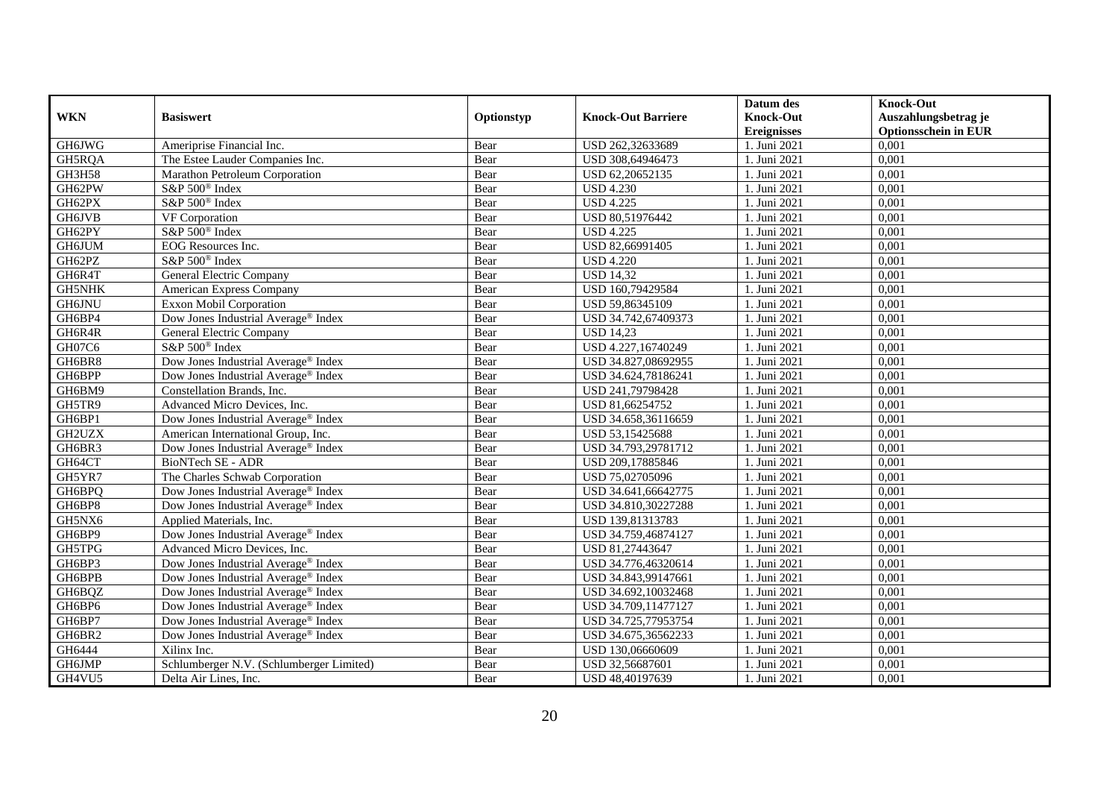| <b>WKN</b>    | <b>Basiswert</b>                                | Optionstyp | <b>Knock-Out Barriere</b> | Datum des<br><b>Knock-Out</b> | <b>Knock-Out</b><br>Auszahlungsbetrag je |
|---------------|-------------------------------------------------|------------|---------------------------|-------------------------------|------------------------------------------|
|               |                                                 |            |                           | <b>Ereignisses</b>            | <b>Optionsschein in EUR</b>              |
| GH6JWG        | Ameriprise Financial Inc.                       | Bear       | USD 262,32633689          | 1. Juni 2021                  | 0,001                                    |
| GH5RQA        | The Estee Lauder Companies Inc.                 | Bear       | USD 308,64946473          | 1. Juni 2021                  | 0,001                                    |
| GH3H58        | Marathon Petroleum Corporation                  | Bear       | USD 62,20652135           | 1. Juni 2021                  | 0,001                                    |
| GH62PW        | S&P 500 <sup>®</sup> Index                      | Bear       | <b>USD 4.230</b>          | 1. Juni 2021                  | 0,001                                    |
| GH62PX        | S&P 500 <sup>®</sup> Index                      | Bear       | <b>USD 4.225</b>          | 1. Juni 2021                  | 0,001                                    |
| <b>GH6JVB</b> | VF Corporation                                  | Bear       | USD 80,51976442           | 1. Juni 2021                  | 0,001                                    |
| GH62PY        | S&P 500 <sup>®</sup> Index                      | Bear       | <b>USD 4.225</b>          | 1. Juni 2021                  | 0,001                                    |
| GH6JUM        | EOG Resources Inc.                              | Bear       | USD 82,66991405           | 1. Juni 2021                  | 0,001                                    |
| GH62PZ        | S&P 500 <sup>®</sup> Index                      | Bear       | <b>USD 4.220</b>          | 1. Juni 2021                  | 0,001                                    |
| GH6R4T        | General Electric Company                        | Bear       | <b>USD 14,32</b>          | 1. Juni 2021                  | 0,001                                    |
| <b>GH5NHK</b> | American Express Company                        | Bear       | USD 160,79429584          | 1. Juni 2021                  | 0,001                                    |
| GH6JNU        | <b>Exxon Mobil Corporation</b>                  | Bear       | USD 59,86345109           | 1. Juni 2021                  | 0,001                                    |
| GH6BP4        | Dow Jones Industrial Average <sup>®</sup> Index | Bear       | USD 34.742,67409373       | 1. Juni 2021                  | 0,001                                    |
| GH6R4R        | General Electric Company                        | Bear       | <b>USD 14,23</b>          | 1. Juni 2021                  | 0,001                                    |
| GH07C6        | S&P 500 <sup>®</sup> Index                      | Bear       | USD 4.227,16740249        | . Juni 2021                   | 0,001                                    |
| GH6BR8        | Dow Jones Industrial Average <sup>®</sup> Index | Bear       | USD 34.827,08692955       | 1. Juni 2021                  | 0,001                                    |
| GH6BPP        | Dow Jones Industrial Average <sup>®</sup> Index | Bear       | USD 34.624,78186241       | 1. Juni 2021                  | 0,001                                    |
| GH6BM9        | Constellation Brands, Inc.                      | Bear       | USD 241,79798428          | 1. Juni 2021                  | 0,001                                    |
| GH5TR9        | Advanced Micro Devices, Inc.                    | Bear       | USD 81,66254752           | 1. Juni 2021                  | 0,001                                    |
| GH6BP1        | Dow Jones Industrial Average <sup>®</sup> Index | Bear       | USD 34.658,36116659       | 1. Juni 2021                  | 0,001                                    |
| GH2UZX        | American International Group, Inc.              | Bear       | USD 53,15425688           | 1. Juni 2021                  | 0,001                                    |
| GH6BR3        | Dow Jones Industrial Average® Index             | Bear       | USD 34.793,29781712       | 1. Juni 2021                  | 0,001                                    |
| GH64CT        | <b>BioNTech SE - ADR</b>                        | Bear       | USD 209,17885846          | 1. Juni 2021                  | 0,001                                    |
| GH5YR7        | The Charles Schwab Corporation                  | Bear       | USD 75,02705096           | 1. Juni 2021                  | 0,001                                    |
| GH6BPQ        | Dow Jones Industrial Average® Index             | Bear       | USD 34.641,66642775       | 1. Juni 2021                  | 0,001                                    |
| GH6BP8        | Dow Jones Industrial Average® Index             | Bear       | USD 34.810,30227288       | 1. Juni 2021                  | 0,001                                    |
| GH5NX6        | Applied Materials, Inc.                         | Bear       | USD 139,81313783          | 1. Juni 2021                  | 0,001                                    |
| GH6BP9        | Dow Jones Industrial Average® Index             | Bear       | USD 34.759,46874127       | 1. Juni 2021                  | 0,001                                    |
| GH5TPG        | Advanced Micro Devices, Inc.                    | Bear       | USD 81,27443647           | 1. Juni 2021                  | 0,001                                    |
| GH6BP3        | Dow Jones Industrial Average® Index             | Bear       | USD 34.776,46320614       | 1. Juni 2021                  | 0.001                                    |
| GH6BPB        | Dow Jones Industrial Average <sup>®</sup> Index | Bear       | USD 34.843,99147661       | 1. Juni 2021                  | 0,001                                    |
| GH6BQZ        | Dow Jones Industrial Average <sup>®</sup> Index | Bear       | USD 34.692,10032468       | 1. Juni 2021                  | 0,001                                    |
| GH6BP6        | Dow Jones Industrial Average <sup>®</sup> Index | Bear       | USD 34.709,11477127       | 1. Juni 2021                  | 0,001                                    |
| GH6BP7        | Dow Jones Industrial Average® Index             | Bear       | USD 34.725,77953754       | 1. Juni 2021                  | 0,001                                    |
| GH6BR2        | Dow Jones Industrial Average® Index             | Bear       | USD 34.675,36562233       | 1. Juni 2021                  | 0,001                                    |
| GH6444        | Xilinx Inc.                                     | Bear       | USD 130,06660609          | 1. Juni 2021                  | 0,001                                    |
| GH6JMP        | Schlumberger N.V. (Schlumberger Limited)        | Bear       | USD 32,56687601           | 1. Juni 2021                  | 0,001                                    |
| GH4VU5        | Delta Air Lines, Inc.                           | Bear       | USD 48,40197639           | 1. Juni 2021                  | 0,001                                    |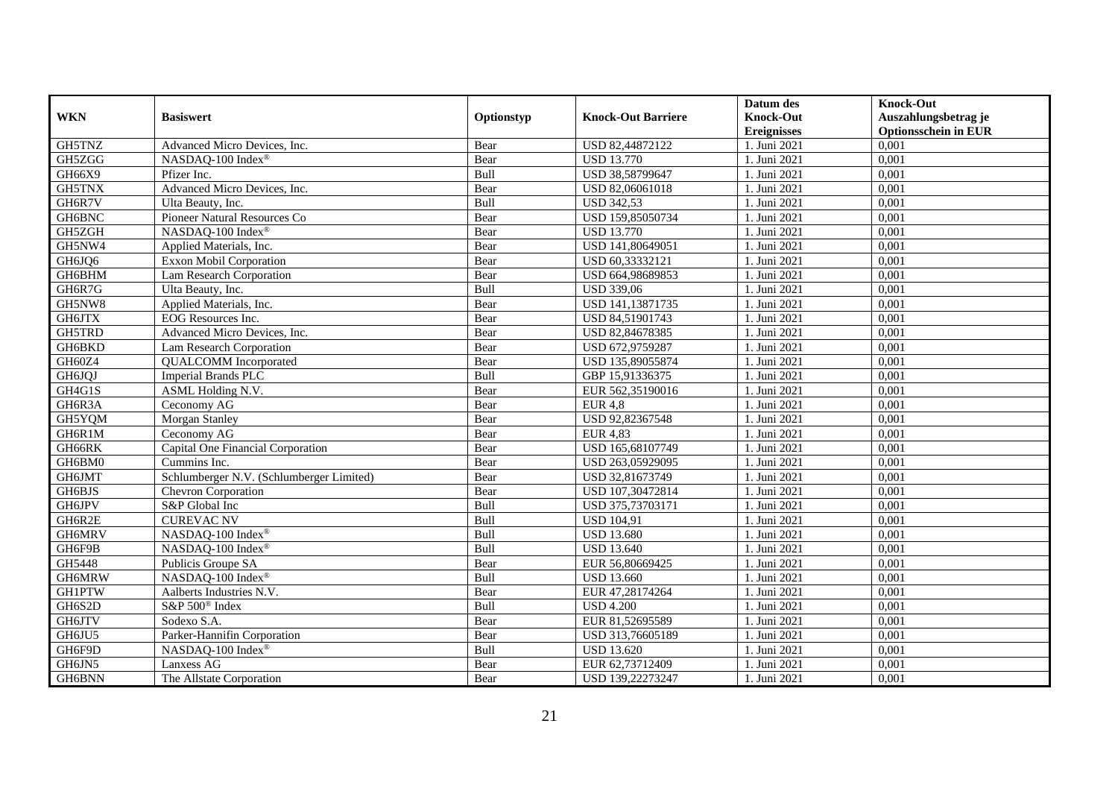|               |                                          |            |                           | Datum des          | <b>Knock-Out</b>            |
|---------------|------------------------------------------|------------|---------------------------|--------------------|-----------------------------|
| <b>WKN</b>    | <b>Basiswert</b>                         | Optionstyp | <b>Knock-Out Barriere</b> | <b>Knock-Out</b>   | Auszahlungsbetrag je        |
|               |                                          |            |                           | <b>Ereignisses</b> | <b>Optionsschein in EUR</b> |
| GH5TNZ        | Advanced Micro Devices, Inc.             | Bear       | USD 82,44872122           | 1. Juni 2021       | 0,001                       |
| GH5ZGG        | NASDAQ-100 Index®                        | Bear       | <b>USD 13.770</b>         | 1. Juni 2021       | 0,001                       |
| GH66X9        | Pfizer Inc.                              | Bull       | USD 38,58799647           | 1. Juni 2021       | 0,001                       |
| GH5TNX        | Advanced Micro Devices, Inc.             | Bear       | USD 82,06061018           | 1. Juni 2021       | 0,001                       |
| GH6R7V        | Ulta Beauty, Inc.                        | Bull       | <b>USD 342,53</b>         | 1. Juni 2021       | 0,001                       |
| GH6BNC        | Pioneer Natural Resources Co             | Bear       | USD 159,85050734          | 1. Juni 2021       | 0,001                       |
| GH5ZGH        | NASDAQ-100 Index®                        | Bear       | <b>USD 13.770</b>         | 1. Juni 2021       | 0,001                       |
| GH5NW4        | Applied Materials, Inc.                  | Bear       | USD 141,80649051          | 1. Juni 2021       | 0,001                       |
| GH6JQ6        | <b>Exxon Mobil Corporation</b>           | Bear       | USD 60,33332121           | 1. Juni 2021       | 0,001                       |
| GH6BHM        | Lam Research Corporation                 | Bear       | USD 664,98689853          | 1. Juni 2021       | 0,001                       |
| GH6R7G        | Ulta Beauty, Inc.                        | Bull       | <b>USD 339,06</b>         | 1. Juni 2021       | 0,001                       |
| GH5NW8        | Applied Materials, Inc.                  | Bear       | USD 141,13871735          | 1. Juni 2021       | 0,001                       |
| GH6JTX        | EOG Resources Inc.                       | Bear       | USD 84,51901743           | 1. Juni 2021       | 0,001                       |
| GH5TRD        | Advanced Micro Devices, Inc.             | Bear       | USD 82,84678385           | 1. Juni 2021       | 0.001                       |
| GH6BKD        | Lam Research Corporation                 | Bear       | USD 672,9759287           | 1. Juni 2021       | 0,001                       |
| GH60Z4        | <b>QUALCOMM</b> Incorporated             | Bear       | USD 135,89055874          | 1. Juni 2021       | 0,001                       |
| GH6JQJ        | <b>Imperial Brands PLC</b>               | Bull       | GBP 15,91336375           | 1. Juni 2021       | 0,001                       |
| GH4G1S        | ASML Holding N.V.                        | Bear       | EUR 562,35190016          | 1. Juni 2021       | 0,001                       |
| GH6R3A        | Ceconomy AG                              | Bear       | <b>EUR 4,8</b>            | 1. Juni 2021       | 0,001                       |
| GH5YQM        | Morgan Stanley                           | Bear       | USD 92,82367548           | 1. Juni 2021       | 0,001                       |
| GH6R1M        | Ceconomy AG                              | Bear       | <b>EUR 4,83</b>           | 1. Juni 2021       | 0,001                       |
| GH66RK        | Capital One Financial Corporation        | Bear       | USD 165,68107749          | 1. Juni 2021       | 0,001                       |
| GH6BM0        | Cummins Inc.                             | Bear       | USD 263,05929095          | 1. Juni 2021       | 0,001                       |
| GH6JMT        | Schlumberger N.V. (Schlumberger Limited) | Bear       | USD 32,81673749           | 1. Juni 2021       | 0,001                       |
| GH6BJS        | Chevron Corporation                      | Bear       | USD 107,30472814          | 1. Juni 2021       | 0,001                       |
| GH6JPV        | S&P Global Inc                           | Bull       | USD 375,73703171          | 1. Juni 2021       | 0,001                       |
| GH6R2E        | <b>CUREVAC NV</b>                        | Bull       | <b>USD 104,91</b>         | 1. Juni 2021       | 0,001                       |
| GH6MRV        | NASDAQ-100 Index®                        | Bull       | <b>USD 13.680</b>         | 1. Juni 2021       | 0,001                       |
| GH6F9B        | NASDAQ-100 Index®                        | Bull       | <b>USD 13.640</b>         | 1. Juni 2021       | 0,001                       |
| GH5448        | Publicis Groupe SA                       | Bear       | EUR 56,80669425           | 1. Juni 2021       | 0,001                       |
| GH6MRW        | NASDAQ-100 Index®                        | Bull       | <b>USD 13.660</b>         | 1. Juni 2021       | 0,001                       |
| <b>GH1PTW</b> | Aalberts Industries N.V.                 | Bear       | EUR 47,28174264           | 1. Juni 2021       | 0,001                       |
| GH6S2D        | S&P 500 <sup>®</sup> Index               | Bull       | <b>USD 4.200</b>          | 1. Juni 2021       | 0,001                       |
| <b>GH6JTV</b> | Sodexo S.A.                              | Bear       | EUR 81,52695589           | 1. Juni 2021       | 0,001                       |
| GH6JU5        | Parker-Hannifin Corporation              | Bear       | USD 313,76605189          | 1. Juni 2021       | 0,001                       |
| GH6F9D        | NASDAQ-100 Index®                        | Bull       | <b>USD 13.620</b>         | 1. Juni 2021       | 0,001                       |
| GH6JN5        | Lanxess AG                               | Bear       | EUR 62,73712409           | 1. Juni 2021       | 0,001                       |
| GH6BNN        | The Allstate Corporation                 | Bear       | USD 139,22273247          | 1. Juni 2021       | 0,001                       |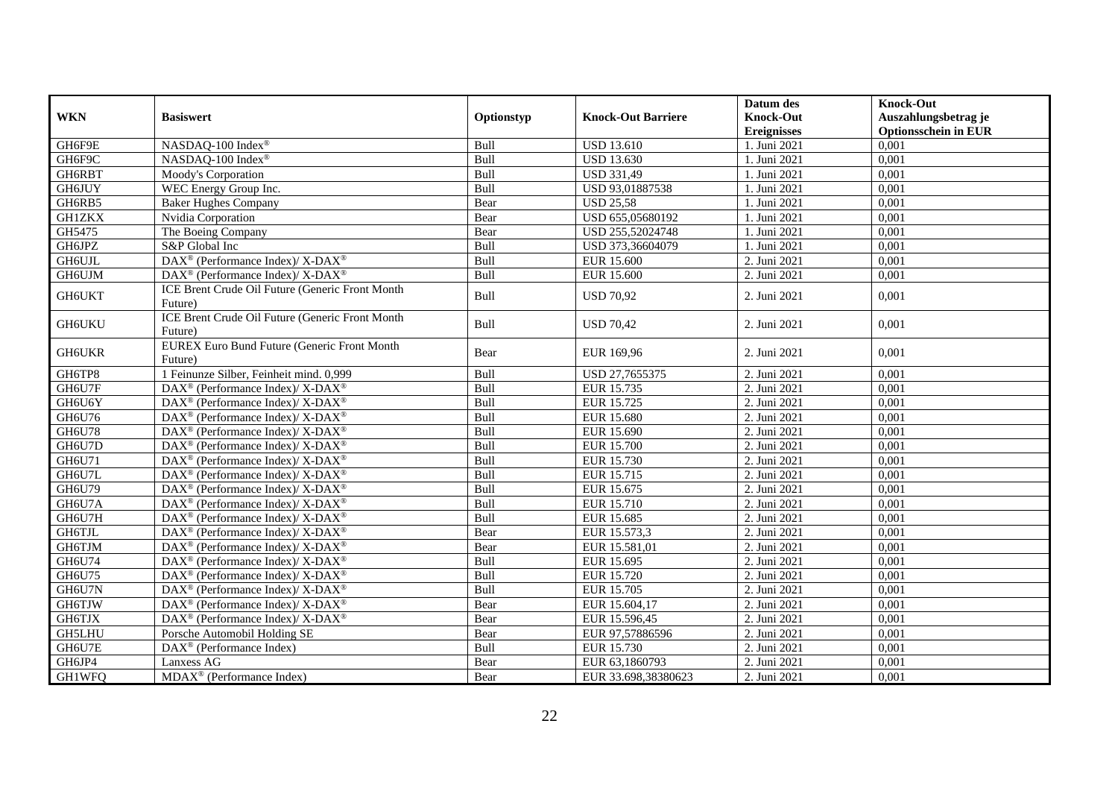| <b>WKN</b>    | <b>Basiswert</b>                                                         | Optionstyp  | <b>Knock-Out Barriere</b> | Datum des<br><b>Knock-Out</b><br><b>Ereignisses</b> | <b>Knock-Out</b><br>Auszahlungsbetrag je<br><b>Optionsschein in EUR</b> |
|---------------|--------------------------------------------------------------------------|-------------|---------------------------|-----------------------------------------------------|-------------------------------------------------------------------------|
| GH6F9E        | NASDAQ-100 Index®                                                        | Bull        | <b>USD 13.610</b>         | 1. Juni 2021                                        | 0,001                                                                   |
| GH6F9C        | NASDAQ-100 Index®                                                        | Bull        | <b>USD 13.630</b>         | 1. Juni 2021                                        | 0,001                                                                   |
| GH6RBT        | Moody's Corporation                                                      | Bull        | <b>USD 331,49</b>         | 1. Juni 2021                                        | 0,001                                                                   |
| <b>GH6JUY</b> | WEC Energy Group Inc.                                                    | Bull        | USD 93,01887538           | 1. Juni 2021                                        | 0,001                                                                   |
| GH6RB5        | <b>Baker Hughes Company</b>                                              | Bear        | <b>USD 25,58</b>          | 1. Juni 2021                                        | 0,001                                                                   |
| <b>GH1ZKX</b> | Nvidia Corporation                                                       | Bear        | USD 655,05680192          | 1. Juni 2021                                        | 0,001                                                                   |
| GH5475        | The Boeing Company                                                       | Bear        | USD 255,52024748          | 1. Juni 2021                                        | 0,001                                                                   |
| GH6JPZ        | S&P Global Inc                                                           | Bull        | USD 373,36604079          | 1. Juni 2021                                        | 0,001                                                                   |
| <b>GH6UJL</b> | DAX <sup>®</sup> (Performance Index)/X-DAX <sup>®</sup>                  | Bull        | <b>EUR 15.600</b>         | 2. Juni 2021                                        | 0,001                                                                   |
| GH6UJM        | DAX <sup>®</sup> (Performance Index)/ X-DAX <sup>®</sup>                 | Bull        | EUR 15.600                | 2. Juni 2021                                        | 0,001                                                                   |
| GH6UKT        | ICE Brent Crude Oil Future (Generic Front Month<br>Future)               | Bull        | <b>USD 70,92</b>          | 2. Juni 2021                                        | 0,001                                                                   |
| GH6UKU        | ICE Brent Crude Oil Future (Generic Front Month<br>Future)               | Bull        | <b>USD 70,42</b>          | 2. Juni 2021                                        | 0,001                                                                   |
| <b>GH6UKR</b> | <b>EUREX Euro Bund Future (Generic Front Month</b><br>Future)            | Bear        | EUR 169,96                | 2. Juni 2021                                        | 0,001                                                                   |
| GH6TP8        | 1 Feinunze Silber, Feinheit mind. 0,999                                  | Bull        | USD 27,7655375            | 2. Juni 2021                                        | 0,001                                                                   |
| GH6U7F        | $\text{DAX}^{\circledast}$ (Performance Index)/X-DAX <sup>®</sup>        | Bull        | EUR 15.735                | 2. Juni 2021                                        | 0,001                                                                   |
| GH6U6Y        | DAX <sup>®</sup> (Performance Index)/X-DAX <sup>®</sup>                  | Bull        | EUR 15.725                | 2. Juni 2021                                        | 0,001                                                                   |
| GH6U76        | $\overline{\text{DAX}^{\otimes}}$ (Performance Index)/X-DAX <sup>®</sup> | Bull        | <b>EUR 15.680</b>         | 2. Juni 2021                                        | 0,001                                                                   |
| GH6U78        | $DAX^{\circledast}$ (Performance Index)/ X-DAX <sup>®</sup>              | Bull        | EUR 15.690                | 2. Juni 2021                                        | 0,001                                                                   |
| GH6U7D        | $\text{DAX}^{\circledR}$ (Performance Index)/ X-DAX <sup>®</sup>         | Bull        | <b>EUR 15.700</b>         | 2. Juni 2021                                        | 0,001                                                                   |
| GH6U71        | $DAX^{\circledcirc}$ (Performance Index)/X-DAX <sup>®</sup>              | <b>Bull</b> | EUR 15.730                | 2. Juni 2021                                        | 0,001                                                                   |
| GH6U7L        | DAX <sup>®</sup> (Performance Index)/ X-DAX <sup>®</sup>                 | Bull        | EUR 15.715                | 2. Juni 2021                                        | 0,001                                                                   |
| GH6U79        | DAX <sup>®</sup> (Performance Index)/ X-DAX <sup>®</sup>                 | Bull        | EUR 15.675                | 2. Juni 2021                                        | 0,001                                                                   |
| GH6U7A        | DAX <sup>®</sup> (Performance Index)/ X-DAX <sup>®</sup>                 | Bull        | EUR 15.710                | 2. Juni 2021                                        | 0,001                                                                   |
| GH6U7H        | DAX <sup>®</sup> (Performance Index)/ X-DAX <sup>®</sup>                 | Bull        | EUR 15.685                | 2. Juni 2021                                        | 0,001                                                                   |
| GH6TJL        | $\text{DAX}^{\circledR}$ (Performance Index)/ X-DAX <sup>®</sup>         | Bear        | EUR 15.573,3              | 2. Juni 2021                                        | 0,001                                                                   |
| GH6TJM        | DAX <sup>®</sup> (Performance Index)/ X-DAX <sup>®</sup>                 | Bear        | EUR 15.581,01             | 2. Juni 2021                                        | 0,001                                                                   |
| GH6U74        | DAX <sup>®</sup> (Performance Index)/ X-DAX <sup>®</sup>                 | Bull        | EUR 15.695                | 2. Juni 2021                                        | 0,001                                                                   |
| GH6U75        | DAX <sup>®</sup> (Performance Index)/ X-DAX <sup>®</sup>                 | Bull        | EUR 15.720                | 2. Juni 2021                                        | 0,001                                                                   |
| GH6U7N        | $DAX^{\circledast}$ (Performance Index)/ X-DAX <sup>®</sup>              | Bull        | <b>EUR 15.705</b>         | 2. Juni 2021                                        | 0,001                                                                   |
| GH6TJW        | $DAX^{\circledast}$ (Performance Index)/ X-DAX <sup>®</sup>              | Bear        | EUR 15.604,17             | 2. Juni 2021                                        | 0,001                                                                   |
| GH6TJX        | DAX <sup>®</sup> (Performance Index)/ X-DAX <sup>®</sup>                 | Bear        | EUR 15.596,45             | 2. Juni 2021                                        | 0,001                                                                   |
| <b>GH5LHU</b> | Porsche Automobil Holding SE                                             | Bear        | EUR 97,57886596           | 2. Juni 2021                                        | 0,001                                                                   |
| GH6U7E        | DAX <sup>®</sup> (Performance Index)                                     | Bull        | EUR 15.730                | 2. Juni 2021                                        | 0,001                                                                   |
| GH6JP4        | Lanxess AG                                                               | Bear        | EUR 63,1860793            | 2. Juni 2021                                        | 0,001                                                                   |
| GH1WFQ        | $MDAX^{\circledR}$ (Performance Index)                                   | Bear        | EUR 33.698,38380623       | 2. Juni 2021                                        | 0,001                                                                   |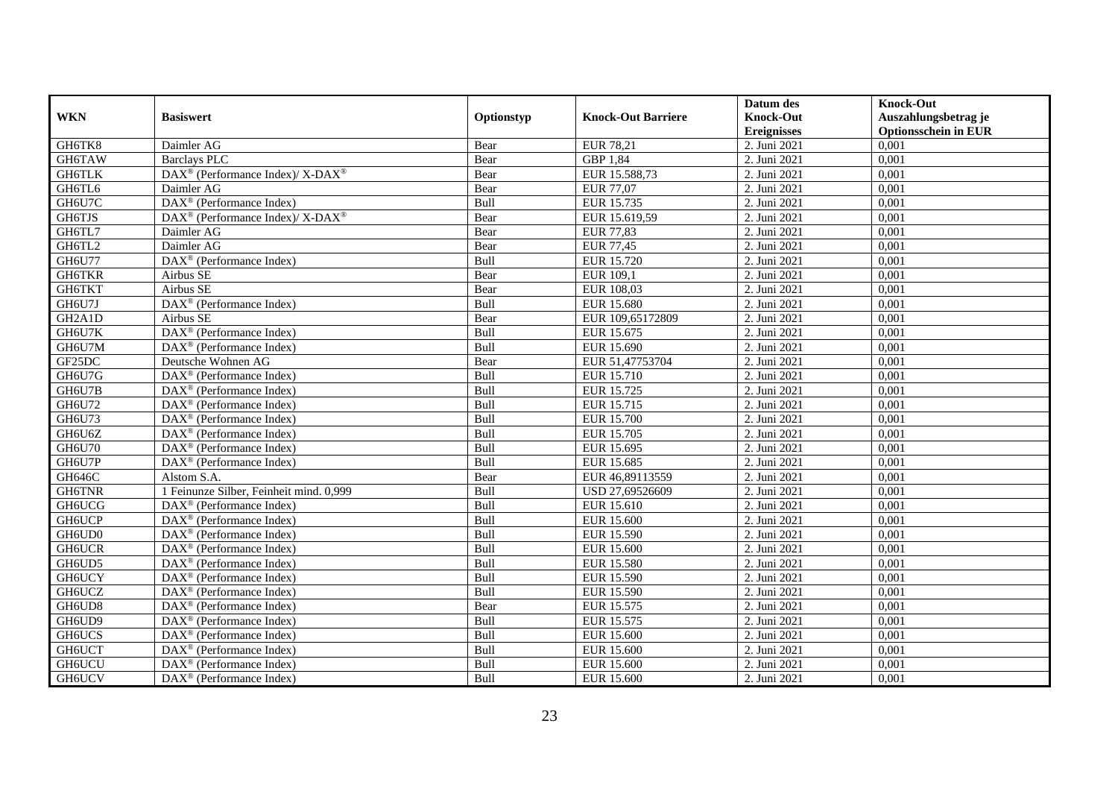|                                  |                                                             |            |                           | Datum des          | <b>Knock-Out</b>            |
|----------------------------------|-------------------------------------------------------------|------------|---------------------------|--------------------|-----------------------------|
| <b>WKN</b>                       | <b>Basiswert</b>                                            | Optionstyp | <b>Knock-Out Barriere</b> | <b>Knock-Out</b>   | Auszahlungsbetrag je        |
|                                  |                                                             |            |                           | <b>Ereignisses</b> | <b>Optionsschein in EUR</b> |
| GH6TK8                           | Daimler AG                                                  | Bear       | <b>EUR 78,21</b>          | 2. Juni 2021       | 0,001                       |
| GH6TAW                           | Barclays PLC                                                | Bear       | GBP 1,84                  | 2. Juni 2021       | 0,001                       |
| GH6TLK                           | DAX <sup>®</sup> (Performance Index)/ X-DAX <sup>®</sup>    | Bear       | EUR 15.588,73             | 2. Juni 2021       | 0,001                       |
| GH6TL6                           | Daimler AG                                                  | Bear       | <b>EUR 77,07</b>          | 2. Juni 2021       | 0,001                       |
| GH6U7C                           | DAX <sup>®</sup> (Performance Index)                        | Bull       | EUR 15.735                | 2. Juni 2021       | 0,001                       |
| GH6TJS                           | $DAX^{\circledast}$ (Performance Index)/ X-DAX <sup>®</sup> | Bear       | EUR 15.619,59             | 2. Juni 2021       | 0,001                       |
| GH6TL7                           | Daimler AG                                                  | Bear       | <b>EUR 77,83</b>          | 2. Juni 2021       | 0,001                       |
| GH6TL2                           | Daimler AG                                                  | Bear       | <b>EUR 77,45</b>          | 2. Juni 2021       | 0,001                       |
| GH6U77                           | DAX <sup>®</sup> (Performance Index)                        | Bull       | <b>EUR 15.720</b>         | 2. Juni 2021       | 0,001                       |
| <b>GH6TKR</b>                    | Airbus SE                                                   | Bear       | EUR 109,1                 | 2. Juni 2021       | 0,001                       |
| GH6TKT                           | Airbus SE                                                   | Bear       | EUR 108,03                | 2. Juni 2021       | 0,001                       |
| GH6U7J                           | DAX <sup>®</sup> (Performance Index)                        | Bull       | <b>EUR 15.680</b>         | 2. Juni 2021       | 0,001                       |
| GH <sub>2</sub> A <sub>1</sub> D | Airbus SE                                                   | Bear       | EUR 109,65172809          | 2. Juni 2021       | 0,001                       |
| GH6U7K                           | $DAX^{\circledR}$ (Performance Index)                       | Bull       | EUR 15.675                | 2. Juni 2021       | 0.001                       |
| GH6U7M                           | DAX <sup>®</sup> (Performance Index)                        | Bull       | EUR 15.690                | 2. Juni 2021       | 0,001                       |
| GF25DC                           | Deutsche Wohnen AG                                          | Bear       | EUR 51,47753704           | 2. Juni 2021       | 0,001                       |
| GH6U7G                           | DAX <sup>®</sup> (Performance Index)                        | Bull       | EUR 15.710                | 2. Juni 2021       | 0,001                       |
| GH6U7B                           | $DAX^{\circledast}$ (Performance Index)                     | Bull       | EUR 15.725                | 2. Juni 2021       | 0,001                       |
| GH6U72                           | DAX <sup>®</sup> (Performance Index)                        | Bull       | EUR 15.715                | 2. Juni 2021       | 0,001                       |
| GH6U73                           | $DAX^{\circledast}$ (Performance Index)                     | Bull       | EUR 15.700                | 2. Juni 2021       | 0,001                       |
| GH6U6Z                           | DAX <sup>®</sup> (Performance Index)                        | Bull       | <b>EUR 15.705</b>         | 2. Juni 2021       | 0,001                       |
| <b>GH6U70</b>                    | $DAX^{\circledcirc}$ (Performance Index)                    | Bull       | EUR 15.695                | 2. Juni 2021       | 0,001                       |
| GH6U7P                           | $DAX^{\circledR}$ (Performance Index)                       | Bull       | EUR 15.685                | 2. Juni 2021       | 0,001                       |
| GH646C                           | Alstom S.A.                                                 | Bear       | EUR 46,89113559           | 2. Juni 2021       | 0,001                       |
| <b>GH6TNR</b>                    | 1 Feinunze Silber, Feinheit mind. 0,999                     | Bull       | USD 27,69526609           | 2. Juni 2021       | 0,001                       |
| <b>GH6UCG</b>                    | DAX <sup>®</sup> (Performance Index)                        | Bull       | EUR 15.610                | 2. Juni 2021       | 0,001                       |
| <b>GH6UCP</b>                    | $\overline{\text{DAX}}^{\textcirc}$ (Performance Index)     | Bull       | <b>EUR 15.600</b>         | 2. Juni 2021       | 0,001                       |
| GH6UD0                           | DAX <sup>®</sup> (Performance Index)                        | Bull       | EUR 15.590                | 2. Juni 2021       | 0,001                       |
| <b>GH6UCR</b>                    | $DAX^{\circledast}$ (Performance Index)                     | Bull       | EUR 15.600                | 2. Juni 2021       | 0,001                       |
| GH6UD5                           | $DAX^{\circledast}$ (Performance Index)                     | Bull       | <b>EUR 15.580</b>         | 2. Juni 2021       | 0,001                       |
| <b>GH6UCY</b>                    | $DAX^{\circledR}$ (Performance Index)                       | Bull       | <b>EUR 15.590</b>         | 2. Juni 2021       | 0,001                       |
| <b>GH6UCZ</b>                    | DAX <sup>®</sup> (Performance Index)                        | Bull       | <b>EUR 15.590</b>         | 2. Juni 2021       | 0,001                       |
| GH6UD8                           | $DAX^{\circledR}$ (Performance Index)                       | Bear       | EUR 15.575                | 2. Juni 2021       | 0,001                       |
| GH6UD9                           | $\overline{\text{DAX}}^{\textcirc}$ (Performance Index)     | Bull       | EUR 15.575                | 2. Juni 2021       | 0,001                       |
| GH6UCS                           | $DAX^{\circledast}$ (Performance Index)                     | Bull       | <b>EUR 15.600</b>         | 2. Juni 2021       | 0,001                       |
| GH6UCT                           | $DAX^{\circledast}$ (Performance Index)                     | Bull       | EUR 15.600                | 2. Juni 2021       | 0,001                       |
| <b>GH6UCU</b>                    | DAX <sup>®</sup> (Performance Index)                        | Bull       | EUR 15.600                | 2. Juni 2021       | 0,001                       |
| <b>GH6UCV</b>                    | $DAX^{\circledast}$ (Performance Index)                     | Bull       | <b>EUR 15.600</b>         | 2. Juni 2021       | 0,001                       |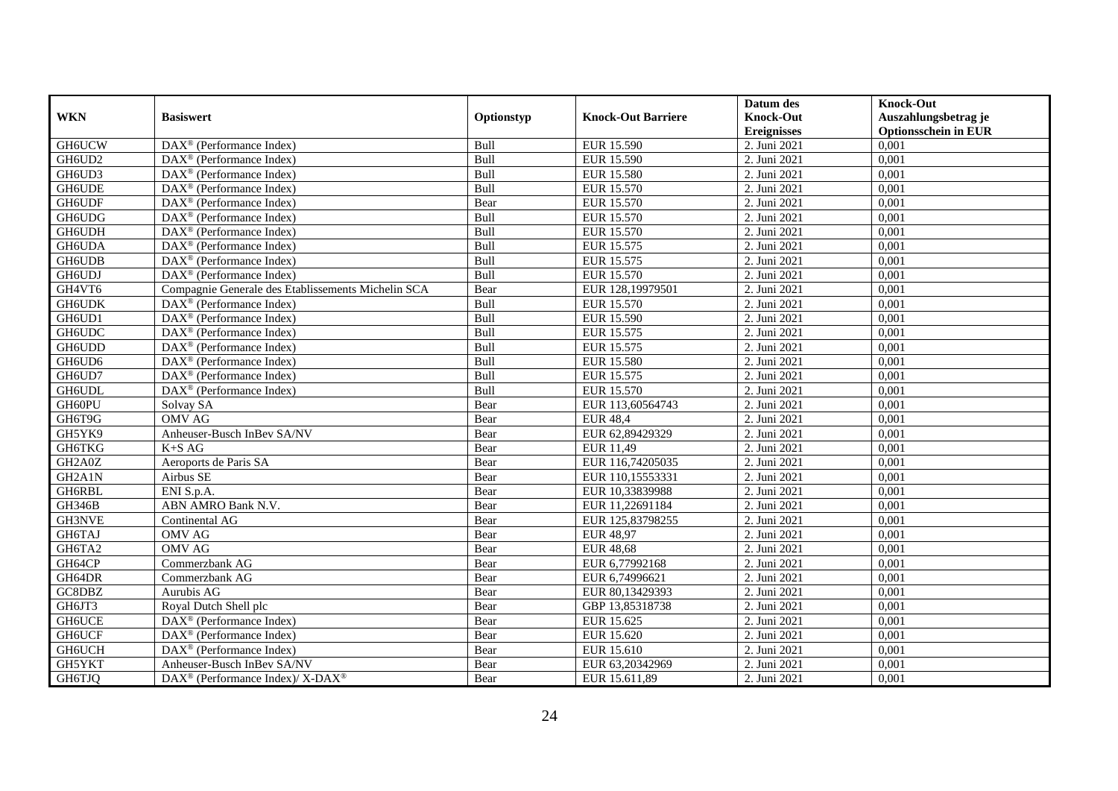|                                  |                                                          |             |                           | Datum des                              | <b>Knock-Out</b>                                    |
|----------------------------------|----------------------------------------------------------|-------------|---------------------------|----------------------------------------|-----------------------------------------------------|
| <b>WKN</b>                       | <b>Basiswert</b>                                         | Optionstyp  | <b>Knock-Out Barriere</b> | <b>Knock-Out</b><br><b>Ereignisses</b> | Auszahlungsbetrag je<br><b>Optionsschein in EUR</b> |
| GH6UCW                           | $\overline{\text{DAX}^{\otimes}}$ (Performance Index)    | Bull        | EUR 15.590                | 2. Juni 2021                           | 0,001                                               |
| GH6UD2                           | $DAX^{\circledR}$ (Performance Index)                    | Bull        | EUR 15.590                | 2. Juni 2021                           | 0,001                                               |
| GH6UD3                           | DAX <sup>®</sup> (Performance Index)                     | Bull        | <b>EUR 15.580</b>         | 2. Juni 2021                           | 0,001                                               |
| <b>GH6UDE</b>                    | $DAX^{\circledast}$ (Performance Index)                  | Bull        | EUR 15.570                | 2. Juni 2021                           | 0,001                                               |
| GH6UDF                           | DAX <sup>®</sup> (Performance Index)                     | Bear        | EUR 15.570                | 2. Juni 2021                           | 0,001                                               |
| GH6UDG                           | $DAX^{\circledast}$ (Performance Index)                  | Bull        | EUR 15.570                | 2. Juni 2021                           | 0,001                                               |
| <b>GH6UDH</b>                    | $\text{DAX}^{\textcircled{}}$ (Performance Index)        | Bull        | EUR 15.570                | 2. Juni 2021                           | 0,001                                               |
| GH6UDA                           | $DAX^{\circledR}$ (Performance Index)                    | Bull        | EUR 15.575                | 2. Juni 2021                           | 0,001                                               |
|                                  |                                                          |             |                           |                                        |                                                     |
| <b>GH6UDB</b>                    | $DAX^{\circledR}$ (Performance Index)                    | Bull        | EUR 15.575                | 2. Juni 2021                           | 0,001                                               |
| GH6UDJ                           | DAX <sup>®</sup> (Performance Index)                     | Bull        | EUR 15.570                | 2. Juni 2021                           | 0,001                                               |
| GH4VT6                           | Compagnie Generale des Etablissements Michelin SCA       | Bear        | EUR 128,19979501          | 2. Juni 2021                           | 0,001                                               |
| <b>GH6UDK</b>                    | DAX <sup>®</sup> (Performance Index)                     | Bull        | <b>EUR 15.570</b>         | 2. Juni 2021                           | 0,001                                               |
| GH6UD1                           | DAX <sup>®</sup> (Performance Index)                     | Bull        | <b>EUR 15.590</b>         | 2. Juni 2021                           | 0,001                                               |
| GH6UDC                           | DAX <sup>®</sup> (Performance Index)                     | Bull        | EUR 15.575                | 2. Juni 2021                           | 0,001                                               |
| GH6UDD                           | $DAX^{\circledast}$ (Performance Index)                  | Bull        | EUR 15.575                | 2. Juni 2021                           | 0,001                                               |
| GH6UD6                           | $DAX^{\circledast}$ (Performance Index)                  | Bull        | <b>EUR 15.580</b>         | 2. Juni 2021                           | 0,001                                               |
| GH6UD7                           | $DAX^{\circledast}$ (Performance Index)                  | Bull        | EUR 15.575                | 2. Juni 2021                           | 0,001                                               |
| <b>GH6UDL</b>                    | $\overline{\text{DAX}}^{\textcirc}$ (Performance Index)  | <b>Bull</b> | EUR 15.570                | 2. Juni 2021                           | 0,001                                               |
| GH60PU                           | Solvay SA                                                | Bear        | EUR 113,60564743          | 2. Juni 2021                           | 0,001                                               |
| GH6T9G                           | <b>OMV AG</b>                                            | Bear        | <b>EUR 48,4</b>           | 2. Juni 2021                           | 0,001                                               |
| GH5YK9                           | Anheuser-Busch InBev SA/NV                               | Bear        | EUR 62,89429329           | 2. Juni 2021                           | 0,001                                               |
| <b>GH6TKG</b>                    | $K+SAG$                                                  | Bear        | EUR 11,49                 | 2. Juni 2021                           | 0,001                                               |
| GH2A0Z                           | Aeroports de Paris SA                                    | Bear        | EUR 116,74205035          | 2. Juni 2021                           | 0,001                                               |
| GH <sub>2</sub> A <sub>1</sub> N | Airbus SE                                                | Bear        | EUR 110,15553331          | 2. Juni 2021                           | 0,001                                               |
| GH6RBL                           | ENI S.p.A.                                               | Bear        | EUR 10,33839988           | 2. Juni 2021                           | 0,001                                               |
| <b>GH346B</b>                    | ABN AMRO Bank N.V.                                       | Bear        | EUR 11,22691184           | 2. Juni 2021                           | 0,001                                               |
| GH3NVE                           | Continental AG                                           | Bear        | EUR 125,83798255          | 2. Juni 2021                           | 0,001                                               |
| GH6TAJ                           | <b>OMV AG</b>                                            | Bear        | <b>EUR 48,97</b>          | 2. Juni 2021                           | 0,001                                               |
| GH6TA2                           | <b>OMV AG</b>                                            | Bear        | <b>EUR 48,68</b>          | 2. Juni 2021                           | 0,001                                               |
| GH64CP                           | Commerzbank AG                                           | Bear        | EUR 6,77992168            | 2. Juni 2021                           | 0,001                                               |
| GH64DR                           | Commerzbank AG                                           | Bear        | EUR 6,74996621            | 2. Juni 2021                           | 0,001                                               |
| GC8DBZ                           | Aurubis AG                                               | Bear        | EUR 80,13429393           | 2. Juni 2021                           | 0,001                                               |
| GH6JT3                           | Royal Dutch Shell plc                                    | Bear        | GBP 13,85318738           | 2. Juni 2021                           | 0,001                                               |
| <b>GH6UCE</b>                    | DAX <sup>®</sup> (Performance Index)                     | Bear        | EUR 15.625                | 2. Juni 2021                           | 0,001                                               |
| <b>GH6UCF</b>                    | $DAX^{\circledast}$ (Performance Index)                  | Bear        | EUR 15.620                | 2. Juni 2021                           | 0,001                                               |
| <b>GH6UCH</b>                    | $DAX^{\circledast}$ (Performance Index)                  | Bear        | EUR 15.610                | 2. Juni 2021                           | 0,001                                               |
| GH5YKT                           | Anheuser-Busch InBev SA/NV                               | Bear        | EUR 63,20342969           | 2. Juni 2021                           | 0,001                                               |
| GH6TJQ                           | DAX <sup>®</sup> (Performance Index)/ X-DAX <sup>®</sup> | Bear        | EUR 15.611,89             | 2. Juni 2021                           | 0,001                                               |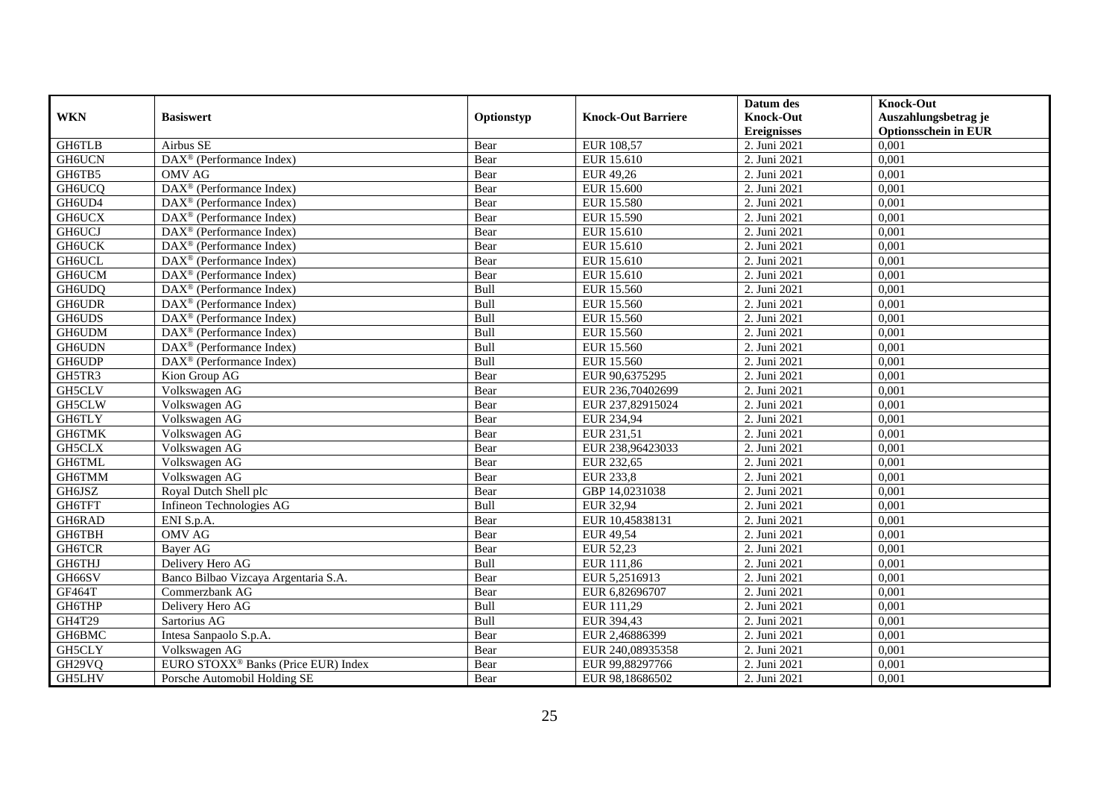|               |                                                         |            |                           | Datum des          | <b>Knock-Out</b>            |
|---------------|---------------------------------------------------------|------------|---------------------------|--------------------|-----------------------------|
| <b>WKN</b>    | <b>Basiswert</b>                                        | Optionstyp | <b>Knock-Out Barriere</b> | <b>Knock-Out</b>   | Auszahlungsbetrag je        |
|               |                                                         |            |                           | <b>Ereignisses</b> | <b>Optionsschein in EUR</b> |
| GH6TLB        | Airbus SE                                               | Bear       | EUR 108,57                | 2. Juni 2021       | 0,001                       |
| <b>GH6UCN</b> | DAX <sup>®</sup> (Performance Index)                    | Bear       | EUR 15.610                | 2. Juni 2021       | 0,001                       |
| GH6TB5        | <b>OMV AG</b>                                           | Bear       | EUR 49,26                 | 2. Juni 2021       | 0,001                       |
| GH6UCQ        | $DAX^{\otimes}$ (Performance Index)                     | Bear       | <b>EUR 15.600</b>         | 2. Juni 2021       | 0,001                       |
| GH6UD4        | DAX <sup>®</sup> (Performance Index)                    | Bear       | <b>EUR 15.580</b>         | 2. Juni 2021       | 0,001                       |
| <b>GH6UCX</b> | $\text{DAX}^{\textcircled{p}}$ (Performance Index)      | Bear       | EUR 15.590                | 2. Juni 2021       | 0,001                       |
| <b>GH6UCJ</b> | $DAX^{\otimes}$ (Performance Index)                     | Bear       | EUR 15.610                | 2. Juni 2021       | 0,001                       |
| <b>GH6UCK</b> | $\overline{\text{DAX}}^{\textcirc}$ (Performance Index) | Bear       | EUR 15.610                | 2. Juni 2021       | 0,001                       |
| GH6UCL        | $\text{DAX}^{\textcircled{n}}$ (Performance Index)      | Bear       | EUR 15.610                | 2. Juni 2021       | 0,001                       |
| GH6UCM        | $\text{DAX}^{\otimes}$ (Performance Index)              | Bear       | EUR 15.610                | 2. Juni 2021       | 0,001                       |
| GH6UDQ        | $\overline{\text{DAX}}^{\textcirc}$ (Performance Index) | Bull       | EUR 15.560                | 2. Juni 2021       | 0,001                       |
| <b>GH6UDR</b> | DAX <sup>®</sup> (Performance Index)                    | Bull       | <b>EUR 15.560</b>         | 2. Juni 2021       | 0,001                       |
| <b>GH6UDS</b> | DAX <sup>®</sup> (Performance Index)                    | Bull       | EUR 15.560                | 2. Juni 2021       | 0,001                       |
| GH6UDM        | $DAX^{\circledR}$ (Performance Index)                   | Bull       | EUR 15.560                | 2. Juni 2021       | 0,001                       |
| GH6UDN        | $\text{DAX}^{\otimes}$ (Performance Index)              | Bull       | EUR 15.560                | 2. Juni 2021       | 0,001                       |
| <b>GH6UDP</b> | DAX <sup>®</sup> (Performance Index)                    | Bull       | EUR 15.560                | 2. Juni 2021       | 0,001                       |
| GH5TR3        | Kion Group AG                                           | Bear       | EUR 90,6375295            | 2. Juni 2021       | 0,001                       |
| GH5CLV        | Volkswagen AG                                           | Bear       | EUR 236,70402699          | 2. Juni 2021       | 0,001                       |
| GH5CLW        | Volkswagen AG                                           | Bear       | EUR 237,82915024          | 2. Juni 2021       | 0,001                       |
| GH6TLY        | Volkswagen AG                                           | Bear       | EUR 234,94                | 2. Juni 2021       | 0,001                       |
| GH6TMK        | Volkswagen AG                                           | Bear       | EUR 231,51                | 2. Juni 2021       | 0,001                       |
| GH5CLX        | Volkswagen AG                                           | Bear       | EUR 238,96423033          | 2. Juni 2021       | 0,001                       |
| GH6TML        | Volkswagen AG                                           | Bear       | EUR 232,65                | 2. Juni 2021       | 0,001                       |
| GH6TMM        | Volkswagen AG                                           | Bear       | <b>EUR 233,8</b>          | 2. Juni 2021       | 0,001                       |
| GH6JSZ        | Roval Dutch Shell plc                                   | Bear       | GBP 14,0231038            | 2. Juni 2021       | 0.001                       |
| GH6TFT        | Infineon Technologies AG                                | Bull       | <b>EUR 32,94</b>          | 2. Juni 2021       | 0,001                       |
| GH6RAD        | ENI S.p.A.                                              | Bear       | EUR 10,45838131           | 2. Juni 2021       | 0,001                       |
| GH6TBH        | <b>OMV AG</b>                                           | Bear       | <b>EUR 49,54</b>          | 2. Juni 2021       | 0,001                       |
| <b>GH6TCR</b> | Bayer AG                                                | Bear       | EUR 52,23                 | 2. Juni 2021       | 0,001                       |
| GH6THJ        | Delivery Hero AG                                        | Bull       | EUR 111,86                | 2. Juni 2021       | 0,001                       |
| GH66SV        | Banco Bilbao Vizcaya Argentaria S.A.                    | Bear       | EUR 5,2516913             | 2. Juni 2021       | 0,001                       |
| <b>GF464T</b> | Commerzbank AG                                          | Bear       | EUR 6,82696707            | 2. Juni 2021       | 0,001                       |
| GH6THP        | Delivery Hero AG                                        | Bull       | EUR 111,29                | 2. Juni 2021       | 0,001                       |
| GH4T29        | Sartorius AG                                            | Bull       | EUR 394,43                | 2. Juni 2021       | 0,001                       |
| GH6BMC        | Intesa Sanpaolo S.p.A.                                  | Bear       | EUR 2,46886399            | 2. Juni 2021       | 0,001                       |
| GH5CLY        | Volkswagen AG                                           | Bear       | EUR 240,08935358          | 2. Juni 2021       | 0,001                       |
| GH29VQ        | EURO STOXX <sup>®</sup> Banks (Price EUR) Index         | Bear       | EUR 99,88297766           | 2. Juni 2021       | 0,001                       |
| GH5LHV        | Porsche Automobil Holding SE                            | Bear       | EUR 98,18686502           | 2. Juni 2021       | 0,001                       |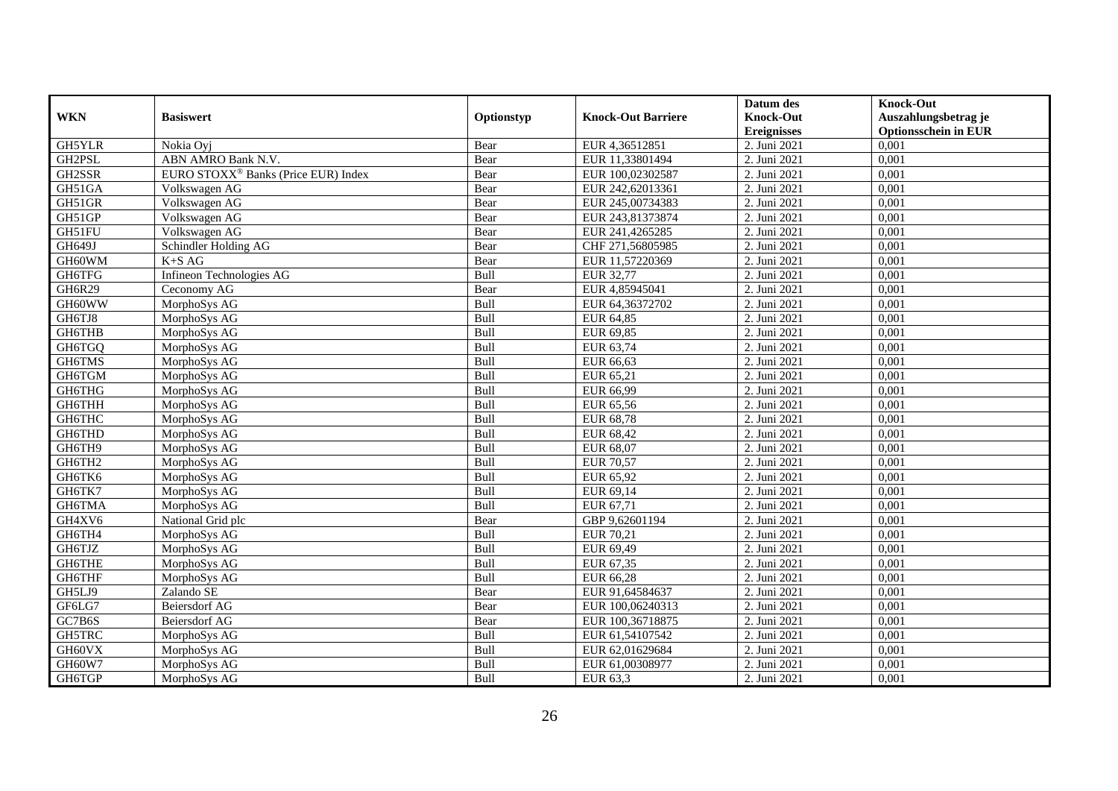|               |                                                 |            |                           | Datum des          | <b>Knock-Out</b>            |
|---------------|-------------------------------------------------|------------|---------------------------|--------------------|-----------------------------|
| <b>WKN</b>    | <b>Basiswert</b>                                | Optionstyp | <b>Knock-Out Barriere</b> | <b>Knock-Out</b>   | Auszahlungsbetrag je        |
|               |                                                 |            |                           | <b>Ereignisses</b> | <b>Optionsschein in EUR</b> |
| GH5YLR        | Nokia Oyj                                       | Bear       | EUR 4,36512851            | 2. Juni 2021       | 0,001                       |
| GH2PSL        | ABN AMRO Bank N.V.                              | Bear       | EUR 11,33801494           | 2. Juni 2021       | 0,001                       |
| GH2SSR        | EURO STOXX <sup>®</sup> Banks (Price EUR) Index | Bear       | EUR 100,02302587          | 2. Juni 2021       | 0,001                       |
| GH51GA        | Volkswagen AG                                   | Bear       | EUR 242,62013361          | 2. Juni 2021       | 0,001                       |
| GH51GR        | Volkswagen AG                                   | Bear       | EUR 245,00734383          | 2. Juni 2021       | 0,001                       |
| GH51GP        | Volkswagen AG                                   | Bear       | EUR 243,81373874          | 2. Juni 2021       | 0,001                       |
| GH51FU        | Volkswagen AG                                   | Bear       | EUR 241,4265285           | 2. Juni 2021       | 0,001                       |
| GH649J        | Schindler Holding AG                            | Bear       | CHF 271,56805985          | 2. Juni 2021       | 0,001                       |
| GH60WM        | $K+SAG$                                         | Bear       | EUR 11,57220369           | 2. Juni 2021       | 0,001                       |
| GH6TFG        | Infineon Technologies AG                        | Bull       | EUR 32,77                 | 2. Juni 2021       | 0,001                       |
| <b>GH6R29</b> | Ceconomy AG                                     | Bear       | EUR 4,85945041            | 2. Juni 2021       | 0,001                       |
| GH60WW        | MorphoSys AG                                    | Bull       | EUR 64,36372702           | 2. Juni 2021       | 0,001                       |
| GH6TJ8        | MorphoSys AG                                    | Bull       | EUR 64,85                 | 2. Juni 2021       | 0,001                       |
| GH6THB        | MorphoSys AG                                    | Bull       | EUR 69,85                 | 2. Juni 2021       | 0,001                       |
| GH6TGQ        | MorphoSys AG                                    | Bull       | EUR 63,74                 | 2. Juni 2021       | 0,001                       |
| GH6TMS        | MorphoSys AG                                    | Bull       | EUR 66,63                 | 2. Juni 2021       | 0,001                       |
| GH6TGM        | MorphoSys AG                                    | Bull       | EUR 65,21                 | 2. Juni 2021       | 0,001                       |
| GH6THG        | MorphoSys AG                                    | Bull       | EUR 66,99                 | 2. Juni 2021       | 0,001                       |
| <b>GH6THH</b> | MorphoSys AG                                    | Bull       | EUR 65,56                 | 2. Juni 2021       | 0,001                       |
| <b>GH6THC</b> | MorphoSys AG                                    | Bull       | <b>EUR 68,78</b>          | 2. Juni 2021       | 0,001                       |
| GH6THD        | MorphoSys AG                                    | Bull       | EUR 68,42                 | 2. Juni 2021       | 0,001                       |
| GH6TH9        | MorphoSys AG                                    | Bull       | EUR 68,07                 | 2. Juni 2021       | 0,001                       |
| GH6TH2        | MorphoSys AG                                    | Bull       | <b>EUR 70,57</b>          | 2. Juni 2021       | 0,001                       |
| GH6TK6        | MorphoSys AG                                    | Bull       | EUR 65,92                 | 2. Juni 2021       | 0,001                       |
| GH6TK7        | MorphoSys AG                                    | Bull       | EUR 69,14                 | 2. Juni 2021       | 0,001                       |
| GH6TMA        | MorphoSys AG                                    | Bull       | EUR 67,71                 | 2. Juni 2021       | 0,001                       |
| GH4XV6        | National Grid plc                               | Bear       | GBP 9,62601194            | 2. Juni 2021       | 0,001                       |
| GH6TH4        | MorphoSys AG                                    | Bull       | EUR 70,21                 | 2. Juni 2021       | 0,001                       |
| GH6TJZ        | MorphoSys AG                                    | Bull       | EUR 69,49                 | 2. Juni 2021       | 0,001                       |
| GH6THE        | MorphoSys AG                                    | Bull       | EUR 67,35                 | 2. Juni 2021       | 0,001                       |
| GH6THF        | MorphoSys AG                                    | Bull       | EUR 66,28                 | 2. Juni 2021       | 0,001                       |
| GH5LJ9        | Zalando SE                                      | Bear       | EUR 91,64584637           | 2. Juni 2021       | 0,001                       |
| GF6LG7        | Beiersdorf AG                                   | Bear       | EUR 100,06240313          | 2. Juni 2021       | 0,001                       |
| GC7B6S        | Beiersdorf AG                                   | Bear       | EUR 100,36718875          | 2. Juni 2021       | 0,001                       |
| GH5TRC        | MorphoSys AG                                    | Bull       | EUR 61,54107542           | 2. Juni 2021       | 0,001                       |
| GH60VX        | MorphoSys AG                                    | Bull       | EUR 62,01629684           | 2. Juni 2021       | 0,001                       |
| GH60W7        | MorphoSys AG                                    | Bull       | EUR 61,00308977           | 2. Juni 2021       | 0,001                       |
| GH6TGP        | MorphoSys AG                                    | Bull       | EUR 63,3                  | 2. Juni 2021       | 0,001                       |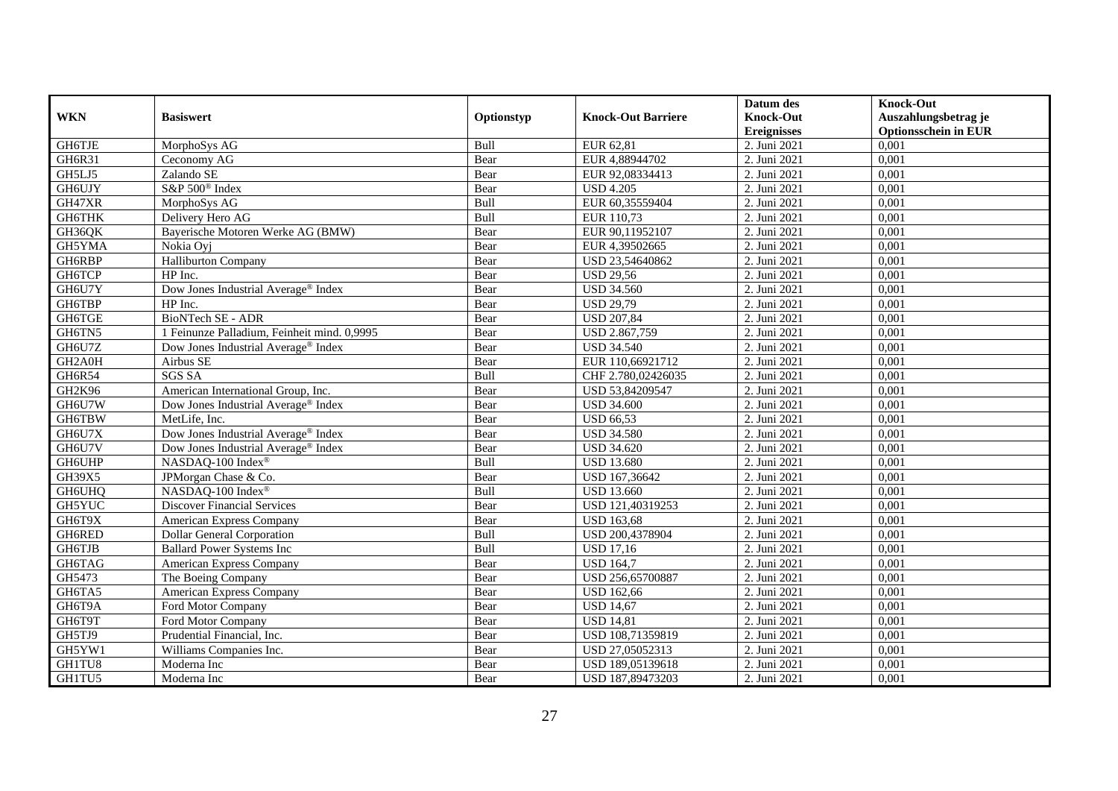| <b>WKN</b>          | <b>Basiswert</b>                                |            | <b>Knock-Out Barriere</b> | Datum des<br><b>Knock-Out</b> | <b>Knock-Out</b><br>Auszahlungsbetrag je |
|---------------------|-------------------------------------------------|------------|---------------------------|-------------------------------|------------------------------------------|
|                     |                                                 | Optionstyp |                           | <b>Ereignisses</b>            | <b>Optionsschein in EUR</b>              |
| GH6TJE              | MorphoSys AG                                    | Bull       | EUR 62,81                 | 2. Juni 2021                  | 0,001                                    |
| GH6R31              | Ceconomy AG                                     | Bear       | EUR 4,88944702            | 2. Juni 2021                  | 0,001                                    |
| GH5LJ5              | Zalando SE                                      | Bear       | EUR 92,08334413           | 2. Juni 2021                  | 0,001                                    |
| GH6UJY              | S&P 500 <sup>®</sup> Index                      | Bear       | <b>USD 4.205</b>          | 2. Juni 2021                  | 0,001                                    |
| GH47XR              | MorphoSys AG                                    | Bull       | EUR 60,35559404           | 2. Juni 2021                  | 0,001                                    |
| <b>GH6THK</b>       | Delivery Hero AG                                | Bull       | EUR 110,73                | 2. Juni 2021                  | 0,001                                    |
| GH36QK              | Bayerische Motoren Werke AG (BMW)               | Bear       | EUR 90,11952107           | 2. Juni 2021                  | 0,001                                    |
| GH5YMA              | Nokia Ovi                                       | Bear       | EUR 4,39502665            | 2. Juni 2021                  | 0,001                                    |
| GH6RBP              | <b>Halliburton Company</b>                      | Bear       | USD 23,54640862           | 2. Juni 2021                  | 0,001                                    |
| GH6TCP              | HP Inc.                                         | Bear       | <b>USD 29,56</b>          | 2. Juni 2021                  | 0,001                                    |
| GH6U7Y              | Dow Jones Industrial Average® Index             | Bear       | <b>USD 34.560</b>         | 2. Juni 2021                  | 0,001                                    |
| GH6TBP              | HP Inc.                                         | Bear       | <b>USD 29,79</b>          | 2. Juni 2021                  | 0,001                                    |
| GH6TGE              | <b>BioNTech SE - ADR</b>                        | Bear       | <b>USD 207,84</b>         | 2. Juni 2021                  | 0,001                                    |
| GH6TN5              | 1 Feinunze Palladium, Feinheit mind. 0,9995     | Bear       | USD 2.867,759             | 2. Juni 2021                  | 0,001                                    |
| GH6U7Z              | Dow Jones Industrial Average <sup>®</sup> Index | Bear       | <b>USD 34.540</b>         | 2. Juni 2021                  | 0,001                                    |
| GH <sub>2</sub> A0H | Airbus SE                                       | Bear       | EUR 110,66921712          | 2. Juni 2021                  | 0,001                                    |
| GH6R54              | <b>SGS SA</b>                                   | Bull       | CHF 2.780,02426035        | 2. Juni 2021                  | 0,001                                    |
| GH2K96              | American International Group, Inc.              | Bear       | USD 53,84209547           | 2. Juni 2021                  | 0,001                                    |
| GH6U7W              | Dow Jones Industrial Average® Index             | Bear       | <b>USD 34.600</b>         | 2. Juni 2021                  | 0,001                                    |
| GH6TBW              | MetLife, Inc.                                   | Bear       | <b>USD 66,53</b>          | 2. Juni 2021                  | 0,001                                    |
| GH6U7X              | Dow Jones Industrial Average <sup>®</sup> Index | Bear       | <b>USD 34.580</b>         | 2. Juni 2021                  | 0,001                                    |
| GH6U7V              | Dow Jones Industrial Average <sup>®</sup> Index | Bear       | <b>USD 34.620</b>         | 2. Juni 2021                  | 0,001                                    |
| <b>GH6UHP</b>       | NASDAQ-100 Index®                               | Bull       | <b>USD 13.680</b>         | 2. Juni 2021                  | 0,001                                    |
| GH39X5              | JPMorgan Chase & Co.                            | Bear       | USD 167,36642             | 2. Juni 2021                  | 0,001                                    |
| <b>GH6UHQ</b>       | NASDAQ-100 Index®                               | Bull       | <b>USD 13.660</b>         | 2. Juni 2021                  | 0,001                                    |
| GH5YUC              | <b>Discover Financial Services</b>              | Bear       | USD 121,40319253          | 2. Juni 2021                  | 0,001                                    |
| GH6T9X              | American Express Company                        | Bear       | <b>USD 163,68</b>         | 2. Juni 2021                  | 0,001                                    |
| GH6RED              | <b>Dollar General Corporation</b>               | Bull       | USD 200,4378904           | 2. Juni 2021                  | 0,001                                    |
| GH6TJB              | <b>Ballard Power Systems Inc</b>                | Bull       | <b>USD 17,16</b>          | 2. Juni 2021                  | 0,001                                    |
| GH6TAG              | American Express Company                        | Bear       | <b>USD 164.7</b>          | 2. Juni 2021                  | 0,001                                    |
| GH5473              | The Boeing Company                              | Bear       | USD 256,65700887          | 2. Juni 2021                  | 0,001                                    |
| GH6TA5              | <b>American Express Company</b>                 | Bear       | <b>USD 162,66</b>         | 2. Juni 2021                  | 0,001                                    |
| GH6T9A              | Ford Motor Company                              | Bear       | <b>USD 14,67</b>          | 2. Juni 2021                  | 0,001                                    |
| GH6T9T              | Ford Motor Company                              | Bear       | <b>USD 14,81</b>          | 2. Juni 2021                  | 0,001                                    |
| GH5TJ9              | Prudential Financial, Inc.                      | Bear       | USD 108,71359819          | 2. Juni 2021                  | 0,001                                    |
| GH5YW1              | Williams Companies Inc.                         | Bear       | USD 27,05052313           | 2. Juni 2021                  | 0,001                                    |
| GH1TU8              | Moderna Inc                                     | Bear       | USD 189,05139618          | 2. Juni 2021                  | 0,001                                    |
| GH1TU5              | Moderna Inc                                     | Bear       | USD 187,89473203          | 2. Juni 2021                  | 0,001                                    |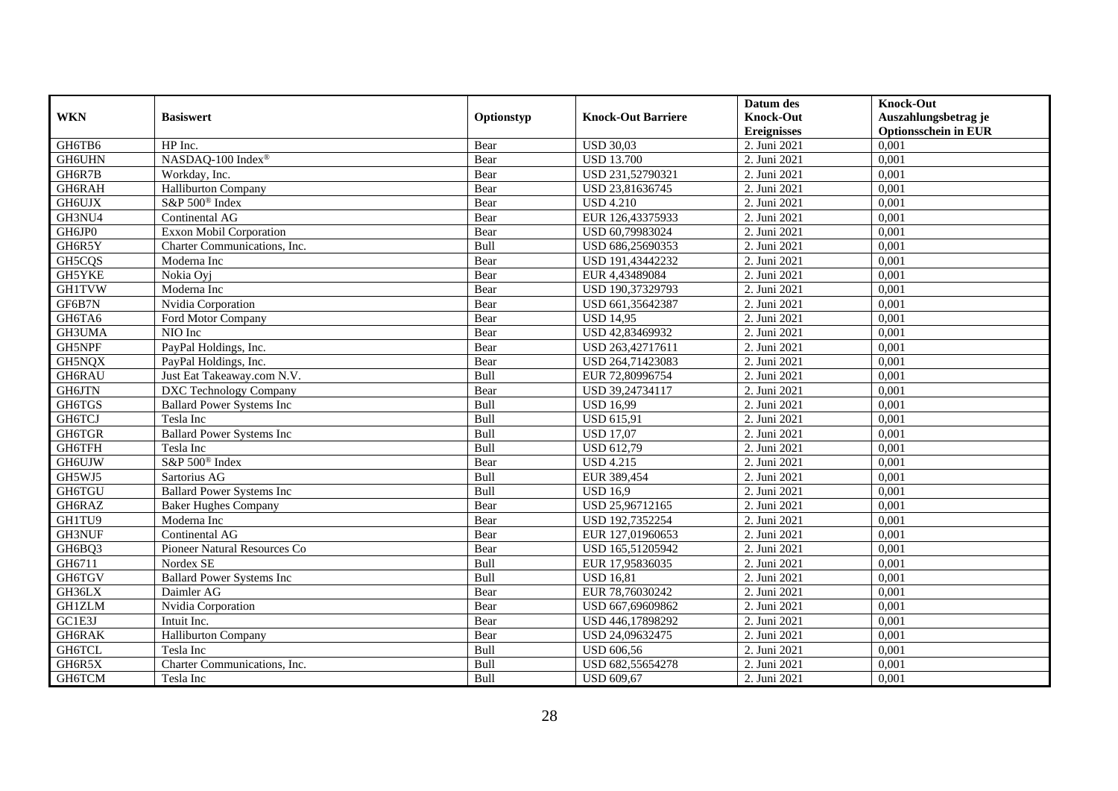|               |                                  |             |                           | Datum des          | <b>Knock-Out</b>            |
|---------------|----------------------------------|-------------|---------------------------|--------------------|-----------------------------|
| <b>WKN</b>    | <b>Basiswert</b>                 | Optionstyp  | <b>Knock-Out Barriere</b> | <b>Knock-Out</b>   | Auszahlungsbetrag je        |
|               |                                  |             |                           | <b>Ereignisses</b> | <b>Optionsschein in EUR</b> |
| GH6TB6        | HP Inc.                          | Bear        | <b>USD 30,03</b>          | 2. Juni 2021       | 0,001                       |
| GH6UHN        | NASDAQ-100 Index®                | Bear        | <b>USD 13.700</b>         | 2. Juni 2021       | 0,001                       |
| GH6R7B        | Workday, Inc.                    | Bear        | USD 231,52790321          | 2. Juni 2021       | 0,001                       |
| GH6RAH        | <b>Halliburton Company</b>       | Bear        | USD 23,81636745           | 2. Juni 2021       | 0,001                       |
| GH6UJX        | S&P 500 <sup>®</sup> Index       | Bear        | <b>USD 4.210</b>          | 2. Juni 2021       | 0,001                       |
| GH3NU4        | Continental AG                   | Bear        | EUR 126,43375933          | 2. Juni 2021       | 0,001                       |
| GH6JP0        | <b>Exxon Mobil Corporation</b>   | Bear        | USD 60,79983024           | 2. Juni 2021       | 0,001                       |
| GH6R5Y        | Charter Communications, Inc.     | Bull        | USD 686,25690353          | 2. Juni 2021       | 0,001                       |
| GH5CQS        | Moderna Inc                      | Bear        | USD 191,43442232          | 2. Juni 2021       | 0,001                       |
| GH5YKE        | Nokia Ovi                        | Bear        | EUR 4,43489084            | 2. Juni 2021       | 0,001                       |
| <b>GH1TVW</b> | Moderna Inc                      | Bear        | USD 190,37329793          | 2. Juni 2021       | 0,001                       |
| GF6B7N        | Nvidia Corporation               | Bear        | USD 661,35642387          | 2. Juni 2021       | 0,001                       |
| GH6TA6        | Ford Motor Company               | Bear        | <b>USD 14,95</b>          | 2. Juni 2021       | 0,001                       |
| GH3UMA        | NIO Inc                          | Bear        | USD 42.83469932           | 2. Juni 2021       | 0.001                       |
| GH5NPF        | PayPal Holdings, Inc.            | Bear        | USD 263,42717611          | 2. Juni 2021       | 0,001                       |
| GH5NQX        | PayPal Holdings, Inc.            | Bear        | USD 264,71423083          | 2. Juni 2021       | 0,001                       |
| GH6RAU        | Just Eat Takeaway.com N.V.       | Bull        | EUR 72,80996754           | 2. Juni 2021       | 0,001                       |
| GH6JTN        | <b>DXC Technology Company</b>    | Bear        | USD 39,24734117           | 2. Juni 2021       | 0,001                       |
| GH6TGS        | <b>Ballard Power Systems Inc</b> | Bull        | <b>USD 16,99</b>          | 2. Juni 2021       | 0,001                       |
| GH6TCJ        | Tesla Inc                        | Bull        | <b>USD 615,91</b>         | 2. Juni 2021       | 0,001                       |
| GH6TGR        | <b>Ballard Power Systems Inc</b> | Bull        | <b>USD 17,07</b>          | 2. Juni 2021       | 0,001                       |
| GH6TFH        | Tesla Inc                        | Bull        | <b>USD 612,79</b>         | 2. Juni 2021       | 0,001                       |
| <b>GH6UJW</b> | S&P 500 <sup>®</sup> Index       | Bear        | <b>USD 4.215</b>          | 2. Juni 2021       | 0,001                       |
| GH5WJ5        | Sartorius AG                     | Bull        | EUR 389,454               | 2. Juni 2021       | 0,001                       |
| <b>GH6TGU</b> | <b>Ballard Power Systems Inc</b> | Bull        | <b>USD 16,9</b>           | 2. Juni 2021       | 0,001                       |
| GH6RAZ        | Baker Hughes Company             | Bear        | USD 25,96712165           | 2. Juni $2021$     | 0,001                       |
| GH1TU9        | Moderna Inc                      | Bear        | USD 192,7352254           | 2. Juni 2021       | 0,001                       |
| <b>GH3NUF</b> | Continental AG                   | Bear        | EUR 127,01960653          | 2. Juni 2021       | 0,001                       |
| GH6BQ3        | Pioneer Natural Resources Co     | Bear        | USD 165,51205942          | 2. Juni 2021       | 0,001                       |
| GH6711        | Nordex SE                        | Bull        | EUR 17,95836035           | 2. Juni 2021       | 0,001                       |
| GH6TGV        | <b>Ballard Power Systems Inc</b> | Bull        | <b>USD 16,81</b>          | 2. Juni 2021       | 0,001                       |
| GH36LX        | Daimler AG                       | Bear        | EUR 78,76030242           | 2. Juni 2021       | 0,001                       |
| <b>GH1ZLM</b> | Nvidia Corporation               | Bear        | USD 667,69609862          | 2. Juni 2021       | 0,001                       |
| GC1E3J        | Intuit Inc.                      | Bear        | USD 446,17898292          | 2. Juni 2021       | 0,001                       |
| GH6RAK        | <b>Halliburton Company</b>       | Bear        | USD 24,09632475           | 2. Juni 2021       | 0,001                       |
| GH6TCL        | Tesla Inc                        | Bull        | <b>USD 606,56</b>         | 2. Juni 2021       | 0,001                       |
| GH6R5X        | Charter Communications, Inc.     | <b>Bull</b> | USD 682,55654278          | 2. Juni 2021       | 0,001                       |
| GH6TCM        | Tesla Inc                        | Bull        | <b>USD 609,67</b>         | 2. Juni 2021       | 0,001                       |